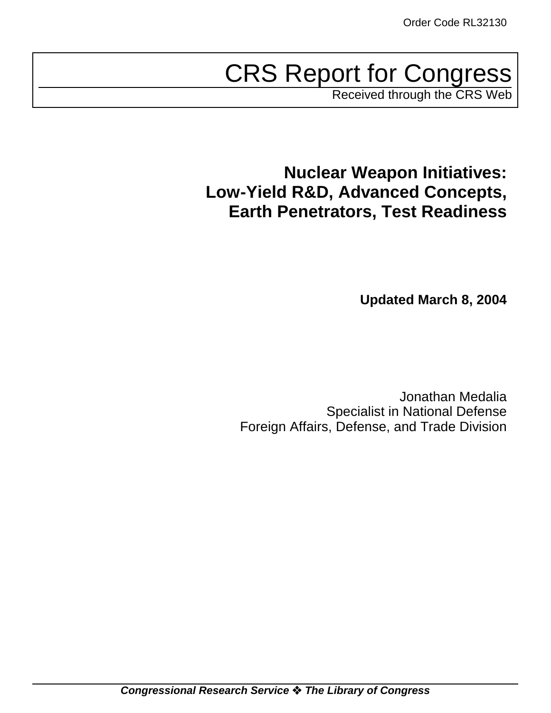# CRS Report for Congress

Received through the CRS Web

## **Nuclear Weapon Initiatives: Low-Yield R&D, Advanced Concepts, Earth Penetrators, Test Readiness**

**Updated March 8, 2004**

Jonathan Medalia Specialist in National Defense Foreign Affairs, Defense, and Trade Division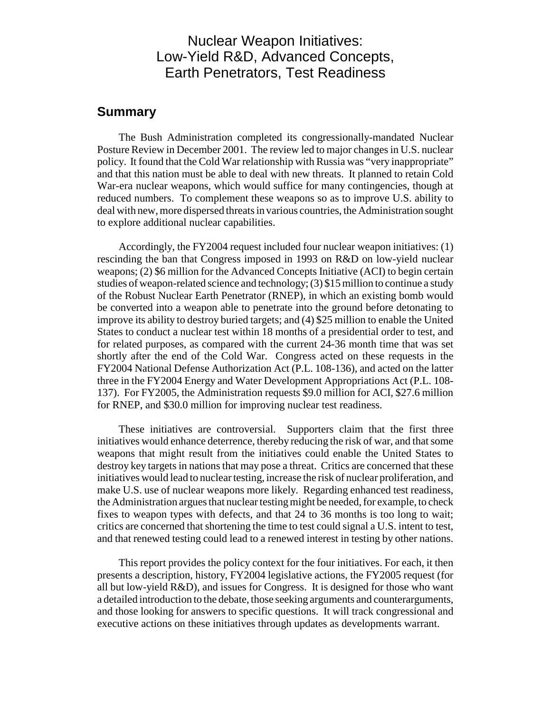## Nuclear Weapon Initiatives: Low-Yield R&D, Advanced Concepts, Earth Penetrators, Test Readiness

## **Summary**

The Bush Administration completed its congressionally-mandated Nuclear Posture Review in December 2001. The review led to major changes in U.S. nuclear policy. It found that the Cold War relationship with Russia was "very inappropriate" and that this nation must be able to deal with new threats. It planned to retain Cold War-era nuclear weapons, which would suffice for many contingencies, though at reduced numbers. To complement these weapons so as to improve U.S. ability to deal with new, more dispersed threats in various countries, the Administration sought to explore additional nuclear capabilities.

Accordingly, the FY2004 request included four nuclear weapon initiatives: (1) rescinding the ban that Congress imposed in 1993 on R&D on low-yield nuclear weapons; (2) \$6 million for the Advanced Concepts Initiative (ACI) to begin certain studies of weapon-related science and technology; (3) \$15 million to continue a study of the Robust Nuclear Earth Penetrator (RNEP), in which an existing bomb would be converted into a weapon able to penetrate into the ground before detonating to improve its ability to destroy buried targets; and (4) \$25 million to enable the United States to conduct a nuclear test within 18 months of a presidential order to test, and for related purposes, as compared with the current 24-36 month time that was set shortly after the end of the Cold War. Congress acted on these requests in the FY2004 National Defense Authorization Act (P.L. 108-136), and acted on the latter three in the FY2004 Energy and Water Development Appropriations Act (P.L. 108- 137). For FY2005, the Administration requests \$9.0 million for ACI, \$27.6 million for RNEP, and \$30.0 million for improving nuclear test readiness.

These initiatives are controversial. Supporters claim that the first three initiatives would enhance deterrence, thereby reducing the risk of war, and that some weapons that might result from the initiatives could enable the United States to destroy key targets in nations that may pose a threat. Critics are concerned that these initiatives would lead to nuclear testing, increase the risk of nuclear proliferation, and make U.S. use of nuclear weapons more likely. Regarding enhanced test readiness, the Administration argues that nuclear testing might be needed, for example, to check fixes to weapon types with defects, and that 24 to 36 months is too long to wait; critics are concerned that shortening the time to test could signal a U.S. intent to test, and that renewed testing could lead to a renewed interest in testing by other nations.

This report provides the policy context for the four initiatives. For each, it then presents a description, history, FY2004 legislative actions, the FY2005 request (for all but low-yield R&D), and issues for Congress. It is designed for those who want a detailed introduction to the debate, those seeking arguments and counterarguments, and those looking for answers to specific questions. It will track congressional and executive actions on these initiatives through updates as developments warrant.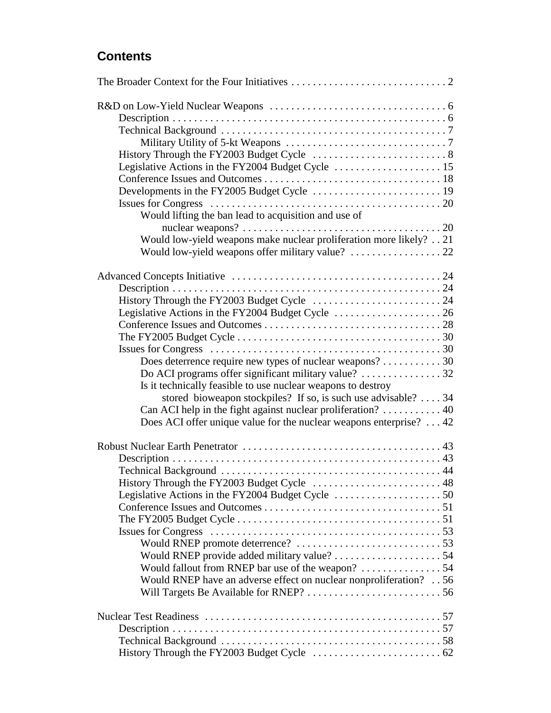## **Contents**

| Would lifting the ban lead to acquisition and use of                                                             |  |
|------------------------------------------------------------------------------------------------------------------|--|
|                                                                                                                  |  |
| Would low-yield weapons make nuclear proliferation more likely? 21                                               |  |
|                                                                                                                  |  |
|                                                                                                                  |  |
|                                                                                                                  |  |
|                                                                                                                  |  |
|                                                                                                                  |  |
|                                                                                                                  |  |
| The FY2005 Budget Cycle $\dots \dots \dots \dots \dots \dots \dots \dots \dots \dots \dots \dots \dots \dots 30$ |  |
|                                                                                                                  |  |
| Does deterrence require new types of nuclear weapons? 30                                                         |  |
|                                                                                                                  |  |
| Is it technically feasible to use nuclear weapons to destroy                                                     |  |
| stored bioweapon stockpiles? If so, is such use advisable? $\dots$ 34                                            |  |
| Can ACI help in the fight against nuclear proliferation?  40                                                     |  |
| Does ACI offer unique value for the nuclear weapons enterprise? $\dots$ 42                                       |  |
|                                                                                                                  |  |
|                                                                                                                  |  |
|                                                                                                                  |  |
|                                                                                                                  |  |
| History Through the FY2003 Budget Cycle  48                                                                      |  |
|                                                                                                                  |  |
|                                                                                                                  |  |
| The FY2005 Budget Cycle $\ldots \ldots \ldots \ldots \ldots \ldots \ldots \ldots \ldots \ldots \ldots \ldots 51$ |  |
|                                                                                                                  |  |
|                                                                                                                  |  |
|                                                                                                                  |  |
|                                                                                                                  |  |
| Would RNEP have an adverse effect on nuclear nonproliferation? 56                                                |  |
|                                                                                                                  |  |
|                                                                                                                  |  |
|                                                                                                                  |  |
|                                                                                                                  |  |
|                                                                                                                  |  |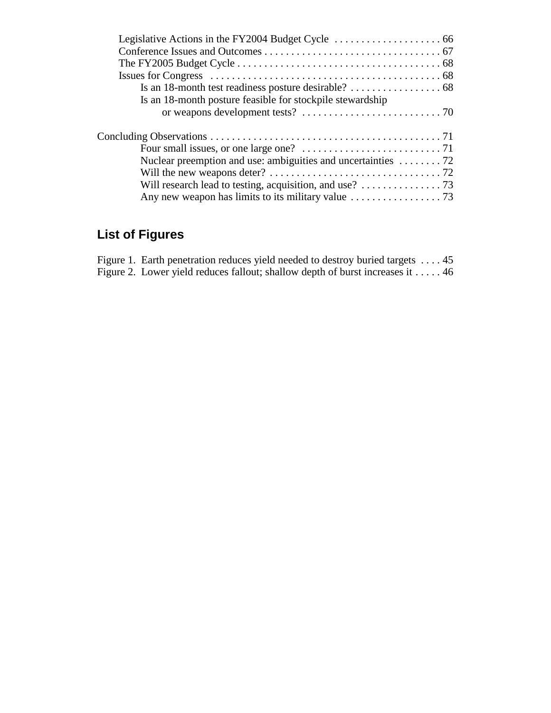| Is an 18-month posture feasible for stockpile stewardship                               |  |
|-----------------------------------------------------------------------------------------|--|
|                                                                                         |  |
|                                                                                         |  |
|                                                                                         |  |
| Nuclear preemption and use: ambiguities and uncertainties $\dots \dots 72$              |  |
|                                                                                         |  |
| Will research lead to testing, acquisition, and use? $\dots \dots \dots \dots \dots$ 73 |  |
|                                                                                         |  |

## **List of Figures**

| Figure 1. Earth penetration reduces yield needed to destroy buried targets  45          |  |
|-----------------------------------------------------------------------------------------|--|
| Figure 2. Lower yield reduces fallout; shallow depth of burst increases it $\dots$ . 46 |  |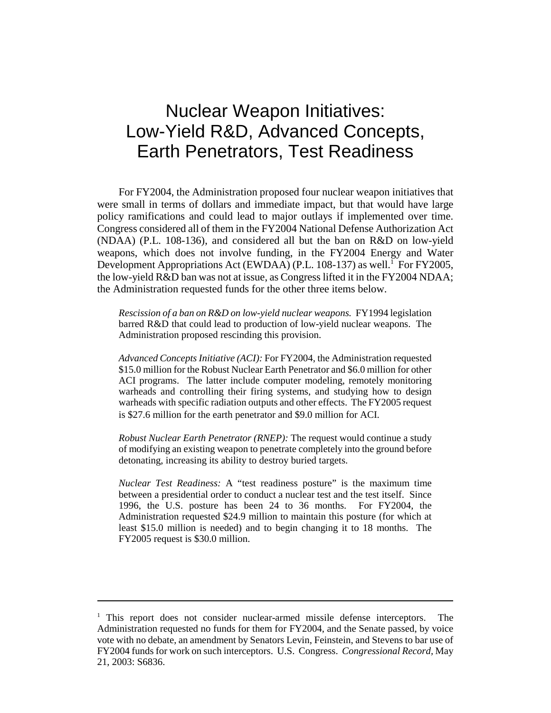## Nuclear Weapon Initiatives: Low-Yield R&D, Advanced Concepts, Earth Penetrators, Test Readiness

For FY2004, the Administration proposed four nuclear weapon initiatives that were small in terms of dollars and immediate impact, but that would have large policy ramifications and could lead to major outlays if implemented over time. Congress considered all of them in the FY2004 National Defense Authorization Act (NDAA) (P.L. 108-136), and considered all but the ban on R&D on low-yield weapons, which does not involve funding, in the FY2004 Energy and Water Development Appropriations Act (EWDAA) (P.L. 108-137) as well.<sup>1</sup> For FY2005, the low-yield R&D ban was not at issue, as Congress lifted it in the FY2004 NDAA; the Administration requested funds for the other three items below.

*Rescission of a ban on R&D on low-yield nuclear weapons.* FY1994 legislation barred R&D that could lead to production of low-yield nuclear weapons. The Administration proposed rescinding this provision.

*Advanced Concepts Initiative (ACI):* For FY2004, the Administration requested \$15.0 million for the Robust Nuclear Earth Penetrator and \$6.0 million for other ACI programs. The latter include computer modeling, remotely monitoring warheads and controlling their firing systems, and studying how to design warheads with specific radiation outputs and other effects. The FY2005 request is \$27.6 million for the earth penetrator and \$9.0 million for ACI.

*Robust Nuclear Earth Penetrator (RNEP):* The request would continue a study of modifying an existing weapon to penetrate completely into the ground before detonating, increasing its ability to destroy buried targets.

*Nuclear Test Readiness:* A "test readiness posture" is the maximum time between a presidential order to conduct a nuclear test and the test itself. Since 1996, the U.S. posture has been 24 to 36 months. For FY2004, the Administration requested \$24.9 million to maintain this posture (for which at least \$15.0 million is needed) and to begin changing it to 18 months. The FY2005 request is \$30.0 million.

<sup>&</sup>lt;sup>1</sup> This report does not consider nuclear-armed missile defense interceptors. The Administration requested no funds for them for FY2004, and the Senate passed, by voice vote with no debate, an amendment by Senators Levin, Feinstein, and Stevens to bar use of FY2004 funds for work on such interceptors. U.S. Congress. *Congressional Record,* May 21, 2003: S6836.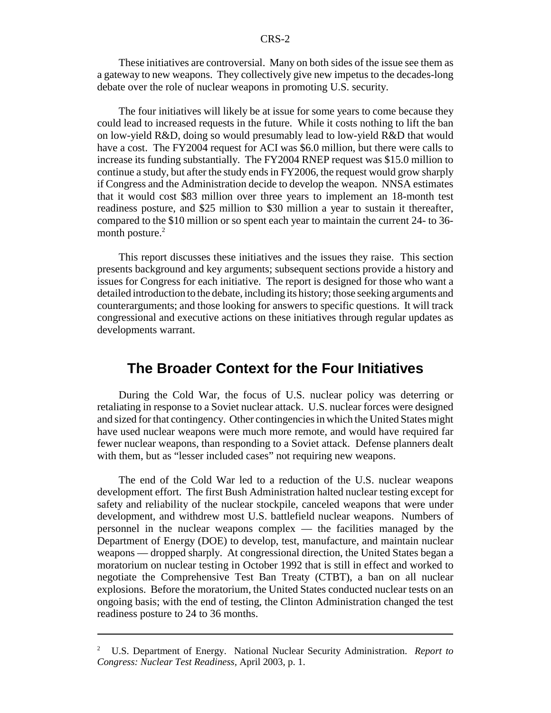These initiatives are controversial. Many on both sides of the issue see them as a gateway to new weapons. They collectively give new impetus to the decades-long debate over the role of nuclear weapons in promoting U.S. security.

The four initiatives will likely be at issue for some years to come because they could lead to increased requests in the future. While it costs nothing to lift the ban on low-yield R&D, doing so would presumably lead to low-yield R&D that would have a cost. The FY2004 request for ACI was \$6.0 million, but there were calls to increase its funding substantially. The FY2004 RNEP request was \$15.0 million to continue a study, but after the study ends in FY2006, the request would grow sharply if Congress and the Administration decide to develop the weapon. NNSA estimates that it would cost \$83 million over three years to implement an 18-month test readiness posture, and \$25 million to \$30 million a year to sustain it thereafter, compared to the \$10 million or so spent each year to maintain the current 24- to 36 month posture.<sup>2</sup>

This report discusses these initiatives and the issues they raise. This section presents background and key arguments; subsequent sections provide a history and issues for Congress for each initiative. The report is designed for those who want a detailed introduction to the debate, including its history; those seeking arguments and counterarguments; and those looking for answers to specific questions. It will track congressional and executive actions on these initiatives through regular updates as developments warrant.

## **The Broader Context for the Four Initiatives**

During the Cold War, the focus of U.S. nuclear policy was deterring or retaliating in response to a Soviet nuclear attack. U.S. nuclear forces were designed and sized for that contingency. Other contingencies in which the United States might have used nuclear weapons were much more remote, and would have required far fewer nuclear weapons, than responding to a Soviet attack. Defense planners dealt with them, but as "lesser included cases" not requiring new weapons.

The end of the Cold War led to a reduction of the U.S. nuclear weapons development effort. The first Bush Administration halted nuclear testing except for safety and reliability of the nuclear stockpile, canceled weapons that were under development, and withdrew most U.S. battlefield nuclear weapons. Numbers of personnel in the nuclear weapons complex — the facilities managed by the Department of Energy (DOE) to develop, test, manufacture, and maintain nuclear weapons — dropped sharply. At congressional direction, the United States began a moratorium on nuclear testing in October 1992 that is still in effect and worked to negotiate the Comprehensive Test Ban Treaty (CTBT), a ban on all nuclear explosions. Before the moratorium, the United States conducted nuclear tests on an ongoing basis; with the end of testing, the Clinton Administration changed the test readiness posture to 24 to 36 months.

<sup>2</sup> U.S. Department of Energy. National Nuclear Security Administration. *Report to Congress: Nuclear Test Readiness,* April 2003, p. 1.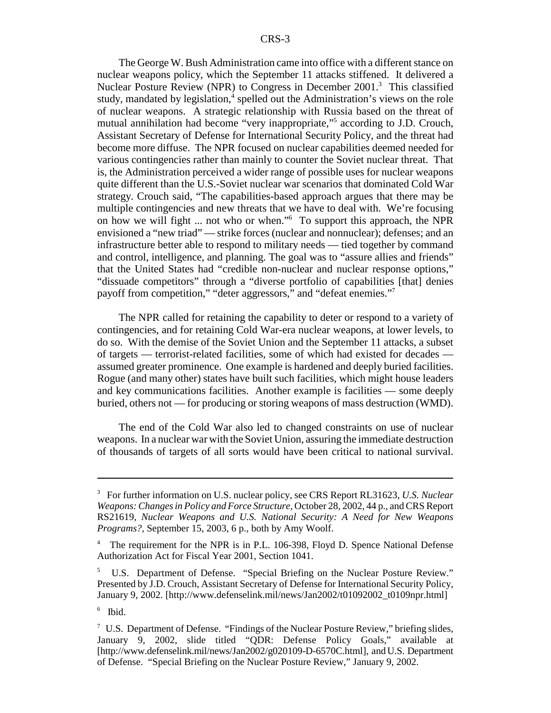The George W. Bush Administration came into office with a different stance on nuclear weapons policy, which the September 11 attacks stiffened. It delivered a Nuclear Posture Review (NPR) to Congress in December 2001.<sup>3</sup> This classified study, mandated by legislation,<sup>4</sup> spelled out the Administration's views on the role of nuclear weapons. A strategic relationship with Russia based on the threat of mutual annihilation had become "very inappropriate,"5 according to J.D. Crouch, Assistant Secretary of Defense for International Security Policy, and the threat had become more diffuse. The NPR focused on nuclear capabilities deemed needed for various contingencies rather than mainly to counter the Soviet nuclear threat. That is, the Administration perceived a wider range of possible uses for nuclear weapons quite different than the U.S.-Soviet nuclear war scenarios that dominated Cold War strategy. Crouch said, "The capabilities-based approach argues that there may be multiple contingencies and new threats that we have to deal with. We're focusing on how we will fight ... not who or when."6 To support this approach, the NPR envisioned a "new triad" — strike forces (nuclear and nonnuclear); defenses; and an infrastructure better able to respond to military needs — tied together by command and control, intelligence, and planning. The goal was to "assure allies and friends" that the United States had "credible non-nuclear and nuclear response options," "dissuade competitors" through a "diverse portfolio of capabilities [that] denies payoff from competition," "deter aggressors," and "defeat enemies."7

The NPR called for retaining the capability to deter or respond to a variety of contingencies, and for retaining Cold War-era nuclear weapons, at lower levels, to do so. With the demise of the Soviet Union and the September 11 attacks, a subset of targets — terrorist-related facilities, some of which had existed for decades assumed greater prominence. One example is hardened and deeply buried facilities. Rogue (and many other) states have built such facilities, which might house leaders and key communications facilities. Another example is facilities — some deeply buried, others not — for producing or storing weapons of mass destruction (WMD).

The end of the Cold War also led to changed constraints on use of nuclear weapons. In a nuclear war with the Soviet Union, assuring the immediate destruction of thousands of targets of all sorts would have been critical to national survival.

<sup>3</sup> For further information on U.S. nuclear policy, see CRS Report RL31623, *U.S. Nuclear Weapons: Changes in Policy and Force Structure,* October 28, 2002, 44 p., and CRS Report RS21619, *Nuclear Weapons and U.S. National Security: A Need for New Weapons Programs?,* September 15, 2003, 6 p., both by Amy Woolf.

<sup>4</sup> The requirement for the NPR is in P.L. 106-398, Floyd D. Spence National Defense Authorization Act for Fiscal Year 2001, Section 1041.

<sup>&</sup>lt;sup>5</sup> U.S. Department of Defense. "Special Briefing on the Nuclear Posture Review." Presented by J.D. Crouch, Assistant Secretary of Defense for International Security Policy, January 9, 2002. [http://www.defenselink.mil/news/Jan2002/t01092002\_t0109npr.html]

<sup>6</sup> Ibid.

<sup>&</sup>lt;sup>7</sup> U.S. Department of Defense. "Findings of the Nuclear Posture Review," briefing slides, January 9, 2002, slide titled "QDR: Defense Policy Goals," available at [http://www.defenselink.mil/news/Jan2002/g020109-D-6570C.html], and U.S. Department of Defense. "Special Briefing on the Nuclear Posture Review," January 9, 2002.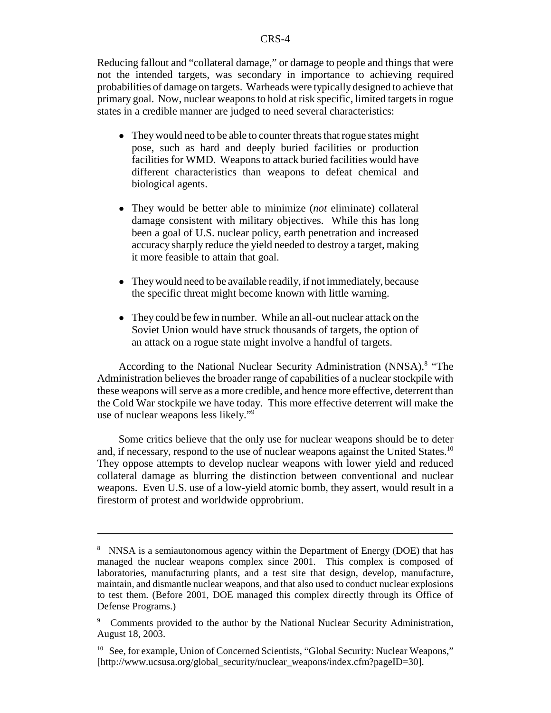Reducing fallout and "collateral damage," or damage to people and things that were not the intended targets, was secondary in importance to achieving required probabilities of damage on targets. Warheads were typically designed to achieve that primary goal. Now, nuclear weapons to hold at risk specific, limited targets in rogue states in a credible manner are judged to need several characteristics:

- They would need to be able to counter threats that rogue states might pose, such as hard and deeply buried facilities or production facilities for WMD. Weapons to attack buried facilities would have different characteristics than weapons to defeat chemical and biological agents.
- ! They would be better able to minimize (*not* eliminate) collateral damage consistent with military objectives. While this has long been a goal of U.S. nuclear policy, earth penetration and increased accuracy sharply reduce the yield needed to destroy a target, making it more feasible to attain that goal.
- They would need to be available readily, if not immediately, because the specific threat might become known with little warning.
- They could be few in number. While an all-out nuclear attack on the Soviet Union would have struck thousands of targets, the option of an attack on a rogue state might involve a handful of targets.

According to the National Nuclear Security Administration (NNSA),<sup>8</sup> "The Administration believes the broader range of capabilities of a nuclear stockpile with these weapons will serve as a more credible, and hence more effective, deterrent than the Cold War stockpile we have today. This more effective deterrent will make the use of nuclear weapons less likely."9

Some critics believe that the only use for nuclear weapons should be to deter and, if necessary, respond to the use of nuclear weapons against the United States.<sup>10</sup> They oppose attempts to develop nuclear weapons with lower yield and reduced collateral damage as blurring the distinction between conventional and nuclear weapons. Even U.S. use of a low-yield atomic bomb, they assert, would result in a firestorm of protest and worldwide opprobrium.

<sup>&</sup>lt;sup>8</sup> NNSA is a semiautonomous agency within the Department of Energy (DOE) that has managed the nuclear weapons complex since 2001. This complex is composed of laboratories, manufacturing plants, and a test site that design, develop, manufacture, maintain, and dismantle nuclear weapons, and that also used to conduct nuclear explosions to test them. (Before 2001, DOE managed this complex directly through its Office of Defense Programs.)

<sup>9</sup> Comments provided to the author by the National Nuclear Security Administration, August 18, 2003.

<sup>&</sup>lt;sup>10</sup> See, for example, Union of Concerned Scientists, "Global Security: Nuclear Weapons," [http://www.ucsusa.org/global\_security/nuclear\_weapons/index.cfm?pageID=30].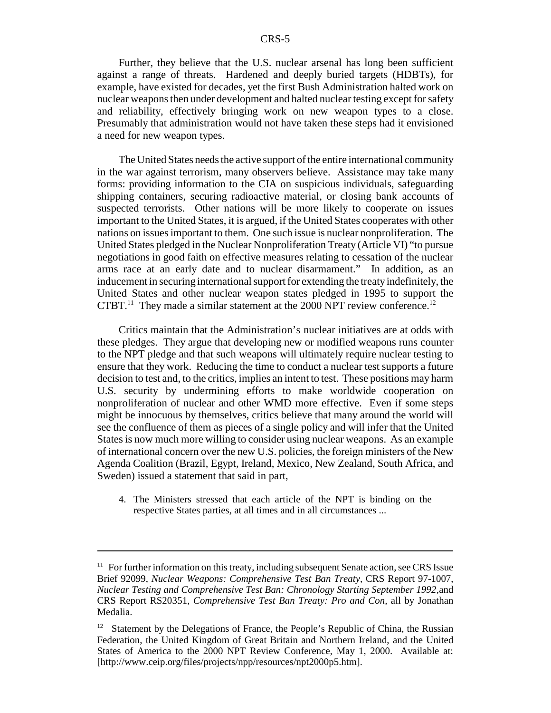Further, they believe that the U.S. nuclear arsenal has long been sufficient against a range of threats. Hardened and deeply buried targets (HDBTs), for example, have existed for decades, yet the first Bush Administration halted work on nuclear weapons then under development and halted nuclear testing except for safety and reliability, effectively bringing work on new weapon types to a close. Presumably that administration would not have taken these steps had it envisioned a need for new weapon types.

The United States needs the active support of the entire international community in the war against terrorism, many observers believe. Assistance may take many forms: providing information to the CIA on suspicious individuals, safeguarding shipping containers, securing radioactive material, or closing bank accounts of suspected terrorists. Other nations will be more likely to cooperate on issues important to the United States, it is argued, if the United States cooperates with other nations on issues important to them. One such issue is nuclear nonproliferation. The United States pledged in the Nuclear Nonproliferation Treaty (Article VI) "to pursue negotiations in good faith on effective measures relating to cessation of the nuclear arms race at an early date and to nuclear disarmament." In addition, as an inducement in securing international support for extending the treaty indefinitely, the United States and other nuclear weapon states pledged in 1995 to support the CTBT.<sup>11</sup> They made a similar statement at the 2000 NPT review conference.<sup>12</sup>

Critics maintain that the Administration's nuclear initiatives are at odds with these pledges. They argue that developing new or modified weapons runs counter to the NPT pledge and that such weapons will ultimately require nuclear testing to ensure that they work. Reducing the time to conduct a nuclear test supports a future decision to test and, to the critics, implies an intent to test. These positions may harm U.S. security by undermining efforts to make worldwide cooperation on nonproliferation of nuclear and other WMD more effective. Even if some steps might be innocuous by themselves, critics believe that many around the world will see the confluence of them as pieces of a single policy and will infer that the United States is now much more willing to consider using nuclear weapons. As an example of international concern over the new U.S. policies, the foreign ministers of the New Agenda Coalition (Brazil, Egypt, Ireland, Mexico, New Zealand, South Africa, and Sweden) issued a statement that said in part,

4. The Ministers stressed that each article of the NPT is binding on the respective States parties, at all times and in all circumstances ...

 $11$  For further information on this treaty, including subsequent Senate action, see CRS Issue Brief 92099, *Nuclear Weapons: Comprehensive Test Ban Treaty,* CRS Report 97-1007, *Nuclear Testing and Comprehensive Test Ban: Chronology Starting September 1992,*and CRS Report RS20351, *Comprehensive Test Ban Treaty: Pro and Con,* all by Jonathan Medalia.

<sup>&</sup>lt;sup>12</sup> Statement by the Delegations of France, the People's Republic of China, the Russian Federation, the United Kingdom of Great Britain and Northern Ireland, and the United States of America to the 2000 NPT Review Conference, May 1, 2000. Available at: [http://www.ceip.org/files/projects/npp/resources/npt2000p5.htm].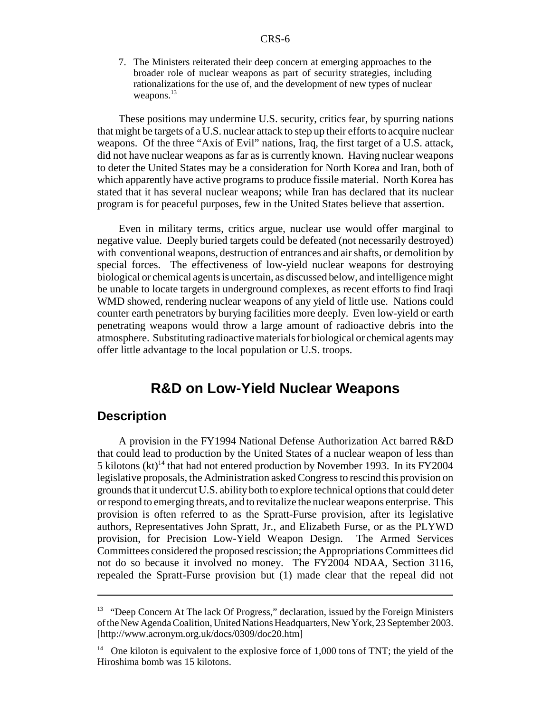7. The Ministers reiterated their deep concern at emerging approaches to the broader role of nuclear weapons as part of security strategies, including rationalizations for the use of, and the development of new types of nuclear weapons.<sup>13</sup>

These positions may undermine U.S. security, critics fear, by spurring nations that might be targets of a U.S. nuclear attack to step up their efforts to acquire nuclear weapons. Of the three "Axis of Evil" nations, Iraq, the first target of a U.S. attack, did not have nuclear weapons as far as is currently known. Having nuclear weapons to deter the United States may be a consideration for North Korea and Iran, both of which apparently have active programs to produce fissile material. North Korea has stated that it has several nuclear weapons; while Iran has declared that its nuclear program is for peaceful purposes, few in the United States believe that assertion.

Even in military terms, critics argue, nuclear use would offer marginal to negative value. Deeply buried targets could be defeated (not necessarily destroyed) with conventional weapons, destruction of entrances and air shafts, or demolition by special forces. The effectiveness of low-yield nuclear weapons for destroying biological or chemical agents is uncertain, as discussed below, and intelligence might be unable to locate targets in underground complexes, as recent efforts to find Iraqi WMD showed, rendering nuclear weapons of any yield of little use. Nations could counter earth penetrators by burying facilities more deeply. Even low-yield or earth penetrating weapons would throw a large amount of radioactive debris into the atmosphere. Substituting radioactive materials for biological or chemical agents may offer little advantage to the local population or U.S. troops.

## **R&D on Low-Yield Nuclear Weapons**

### **Description**

A provision in the FY1994 National Defense Authorization Act barred R&D that could lead to production by the United States of a nuclear weapon of less than 5 kilotons  $(kt)^{14}$  that had not entered production by November 1993. In its FY2004 legislative proposals, the Administration asked Congress to rescind this provision on grounds that it undercut U.S. ability both to explore technical options that could deter or respond to emerging threats, and to revitalize the nuclear weapons enterprise. This provision is often referred to as the Spratt-Furse provision, after its legislative authors, Representatives John Spratt, Jr., and Elizabeth Furse, or as the PLYWD provision, for Precision Low-Yield Weapon Design. The Armed Services Committees considered the proposed rescission; the Appropriations Committees did not do so because it involved no money. The FY2004 NDAA, Section 3116, repealed the Spratt-Furse provision but (1) made clear that the repeal did not

<sup>&</sup>lt;sup>13</sup> "Deep Concern At The lack Of Progress," declaration, issued by the Foreign Ministers of the New Agenda Coalition, United Nations Headquarters, New York, 23 September 2003. [http://www.acronym.org.uk/docs/0309/doc20.htm]

 $14$  One kiloton is equivalent to the explosive force of 1,000 tons of TNT; the yield of the Hiroshima bomb was 15 kilotons.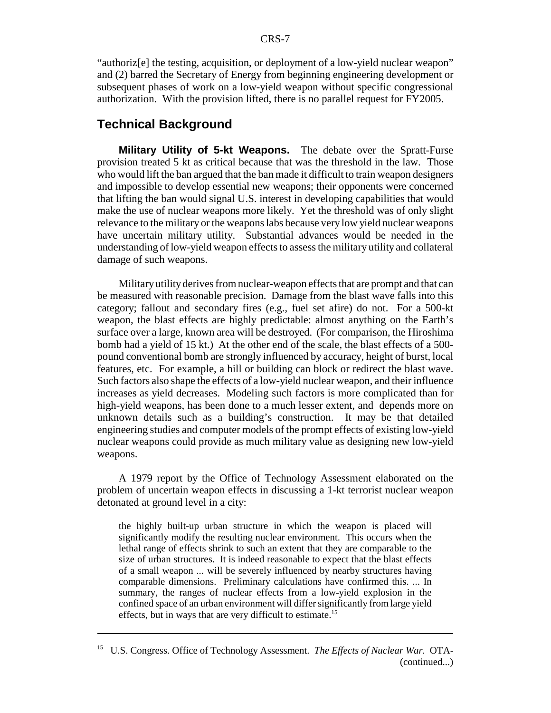"authoriz[e] the testing, acquisition, or deployment of a low-yield nuclear weapon" and (2) barred the Secretary of Energy from beginning engineering development or subsequent phases of work on a low-yield weapon without specific congressional authorization. With the provision lifted, there is no parallel request for FY2005.

## **Technical Background**

**Military Utility of 5-kt Weapons.** The debate over the Spratt-Furse provision treated 5 kt as critical because that was the threshold in the law. Those who would lift the ban argued that the ban made it difficult to train weapon designers and impossible to develop essential new weapons; their opponents were concerned that lifting the ban would signal U.S. interest in developing capabilities that would make the use of nuclear weapons more likely. Yet the threshold was of only slight relevance to the military or the weapons labs because very low yield nuclear weapons have uncertain military utility. Substantial advances would be needed in the understanding of low-yield weapon effects to assess the military utility and collateral damage of such weapons.

Military utility derives from nuclear-weapon effects that are prompt and that can be measured with reasonable precision. Damage from the blast wave falls into this category; fallout and secondary fires (e.g., fuel set afire) do not. For a 500-kt weapon, the blast effects are highly predictable: almost anything on the Earth's surface over a large, known area will be destroyed. (For comparison, the Hiroshima bomb had a yield of 15 kt.) At the other end of the scale, the blast effects of a 500 pound conventional bomb are strongly influenced by accuracy, height of burst, local features, etc. For example, a hill or building can block or redirect the blast wave. Such factors also shape the effects of a low-yield nuclear weapon, and their influence increases as yield decreases. Modeling such factors is more complicated than for high-yield weapons, has been done to a much lesser extent, and depends more on unknown details such as a building's construction. It may be that detailed engineering studies and computer models of the prompt effects of existing low-yield nuclear weapons could provide as much military value as designing new low-yield weapons.

A 1979 report by the Office of Technology Assessment elaborated on the problem of uncertain weapon effects in discussing a 1-kt terrorist nuclear weapon detonated at ground level in a city:

the highly built-up urban structure in which the weapon is placed will significantly modify the resulting nuclear environment. This occurs when the lethal range of effects shrink to such an extent that they are comparable to the size of urban structures. It is indeed reasonable to expect that the blast effects of a small weapon ... will be severely influenced by nearby structures having comparable dimensions. Preliminary calculations have confirmed this. ... In summary, the ranges of nuclear effects from a low-yield explosion in the confined space of an urban environment will differ significantly from large yield effects, but in ways that are very difficult to estimate.<sup>15</sup>

<sup>15</sup> U.S. Congress. Office of Technology Assessment. *The Effects of Nuclear War.* OTA- (continued...)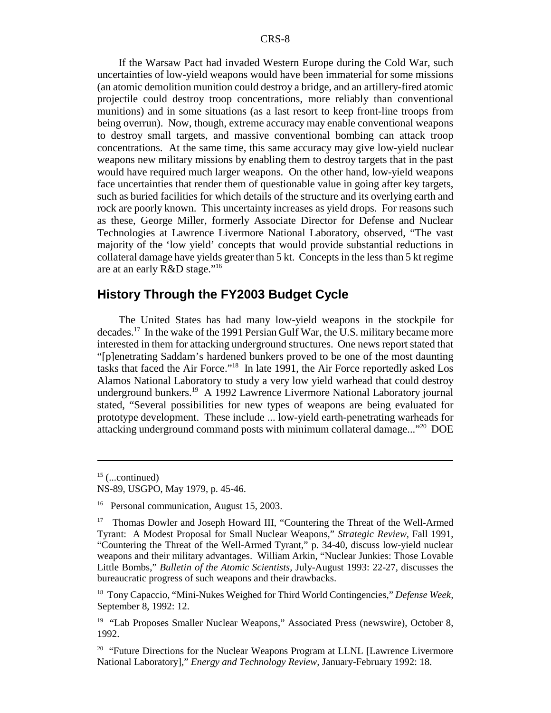If the Warsaw Pact had invaded Western Europe during the Cold War, such uncertainties of low-yield weapons would have been immaterial for some missions (an atomic demolition munition could destroy a bridge, and an artillery-fired atomic projectile could destroy troop concentrations, more reliably than conventional munitions) and in some situations (as a last resort to keep front-line troops from being overrun). Now, though, extreme accuracy may enable conventional weapons to destroy small targets, and massive conventional bombing can attack troop concentrations. At the same time, this same accuracy may give low-yield nuclear weapons new military missions by enabling them to destroy targets that in the past would have required much larger weapons. On the other hand, low-yield weapons face uncertainties that render them of questionable value in going after key targets, such as buried facilities for which details of the structure and its overlying earth and rock are poorly known. This uncertainty increases as yield drops. For reasons such as these, George Miller, formerly Associate Director for Defense and Nuclear Technologies at Lawrence Livermore National Laboratory, observed, "The vast majority of the 'low yield' concepts that would provide substantial reductions in collateral damage have yields greater than 5 kt. Concepts in the less than 5 kt regime are at an early R&D stage."16

## **History Through the FY2003 Budget Cycle**

The United States has had many low-yield weapons in the stockpile for decades.17 In the wake of the 1991 Persian Gulf War, the U.S. military became more interested in them for attacking underground structures. One news report stated that "[p]enetrating Saddam's hardened bunkers proved to be one of the most daunting tasks that faced the Air Force."18 In late 1991, the Air Force reportedly asked Los Alamos National Laboratory to study a very low yield warhead that could destroy underground bunkers.<sup>19</sup> A 1992 Lawrence Livermore National Laboratory journal stated, "Several possibilities for new types of weapons are being evaluated for prototype development. These include ... low-yield earth-penetrating warheads for attacking underground command posts with minimum collateral damage..."<sup>20</sup> DOE

 $15$  (...continued)

NS-89, USGPO, May 1979, p. 45-46.

<sup>&</sup>lt;sup>16</sup> Personal communication, August 15, 2003.

<sup>&</sup>lt;sup>17</sup> Thomas Dowler and Joseph Howard III, "Countering the Threat of the Well-Armed Tyrant: A Modest Proposal for Small Nuclear Weapons," *Strategic Review,* Fall 1991, "Countering the Threat of the Well-Armed Tyrant," p. 34-40, discuss low-yield nuclear weapons and their military advantages. William Arkin, "Nuclear Junkies: Those Lovable Little Bombs," *Bulletin of the Atomic Scientists,* July-August 1993: 22-27, discusses the bureaucratic progress of such weapons and their drawbacks.

<sup>18</sup> Tony Capaccio, "Mini-Nukes Weighed for Third World Contingencies," *Defense Week,* September 8, 1992: 12.

<sup>&</sup>lt;sup>19</sup> "Lab Proposes Smaller Nuclear Weapons," Associated Press (newswire), October 8, 1992.

 $20$  "Future Directions for the Nuclear Weapons Program at LLNL [Lawrence Livermore National Laboratory]," *Energy and Technology Review,* January-February 1992: 18.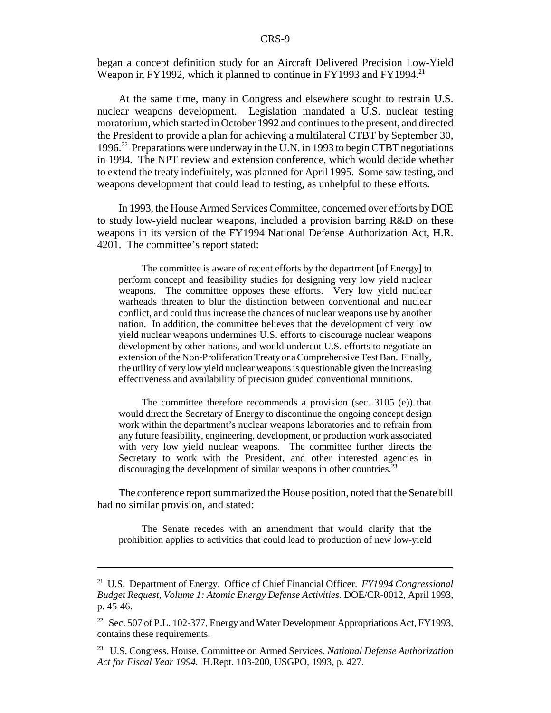began a concept definition study for an Aircraft Delivered Precision Low-Yield Weapon in FY1992, which it planned to continue in FY1993 and FY1994.<sup>21</sup>

At the same time, many in Congress and elsewhere sought to restrain U.S. nuclear weapons development. Legislation mandated a U.S. nuclear testing moratorium, which started in October 1992 and continues to the present, and directed the President to provide a plan for achieving a multilateral CTBT by September 30, 1996.22 Preparations were underway in the U.N. in 1993 to begin CTBT negotiations in 1994. The NPT review and extension conference, which would decide whether to extend the treaty indefinitely, was planned for April 1995. Some saw testing, and weapons development that could lead to testing, as unhelpful to these efforts.

In 1993, the House Armed Services Committee, concerned over efforts by DOE to study low-yield nuclear weapons, included a provision barring R&D on these weapons in its version of the FY1994 National Defense Authorization Act, H.R. 4201. The committee's report stated:

The committee is aware of recent efforts by the department [of Energy] to perform concept and feasibility studies for designing very low yield nuclear weapons. The committee opposes these efforts. Very low yield nuclear warheads threaten to blur the distinction between conventional and nuclear conflict, and could thus increase the chances of nuclear weapons use by another nation. In addition, the committee believes that the development of very low yield nuclear weapons undermines U.S. efforts to discourage nuclear weapons development by other nations, and would undercut U.S. efforts to negotiate an extension of the Non-Proliferation Treaty or a Comprehensive Test Ban. Finally, the utility of very low yield nuclear weapons is questionable given the increasing effectiveness and availability of precision guided conventional munitions.

The committee therefore recommends a provision (sec. 3105 (e)) that would direct the Secretary of Energy to discontinue the ongoing concept design work within the department's nuclear weapons laboratories and to refrain from any future feasibility, engineering, development, or production work associated with very low yield nuclear weapons. The committee further directs the Secretary to work with the President, and other interested agencies in discouraging the development of similar weapons in other countries.<sup>23</sup>

The conference report summarized the House position, noted that the Senate bill had no similar provision, and stated:

The Senate recedes with an amendment that would clarify that the prohibition applies to activities that could lead to production of new low-yield

<sup>21</sup> U.S. Department of Energy. Office of Chief Financial Officer. *FY1994 Congressional Budget Request, Volume 1: Atomic Energy Defense Activities.* DOE/CR-0012, April 1993, p. 45-46.

<sup>&</sup>lt;sup>22</sup> Sec. 507 of P.L. 102-377, Energy and Water Development Appropriations Act, FY1993, contains these requirements.

<sup>23</sup> U.S. Congress. House. Committee on Armed Services. *National Defense Authorization Act for Fiscal Year 1994.* H.Rept. 103-200, USGPO, 1993, p. 427.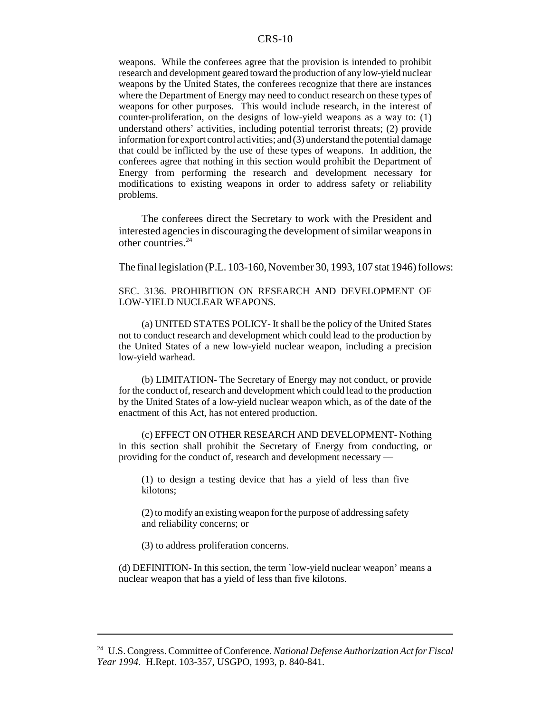weapons. While the conferees agree that the provision is intended to prohibit research and development geared toward the production of any low-yield nuclear weapons by the United States, the conferees recognize that there are instances where the Department of Energy may need to conduct research on these types of weapons for other purposes. This would include research, in the interest of counter-proliferation, on the designs of low-yield weapons as a way to: (1) understand others' activities, including potential terrorist threats; (2) provide information for export control activities; and (3) understand the potential damage that could be inflicted by the use of these types of weapons. In addition, the conferees agree that nothing in this section would prohibit the Department of Energy from performing the research and development necessary for modifications to existing weapons in order to address safety or reliability problems.

The conferees direct the Secretary to work with the President and interested agencies in discouraging the development of similar weapons in other countries.24

The final legislation (P.L. 103-160, November 30, 1993, 107 stat 1946) follows:

#### SEC. 3136. PROHIBITION ON RESEARCH AND DEVELOPMENT OF LOW-YIELD NUCLEAR WEAPONS.

(a) UNITED STATES POLICY- It shall be the policy of the United States not to conduct research and development which could lead to the production by the United States of a new low-yield nuclear weapon, including a precision low-yield warhead.

(b) LIMITATION- The Secretary of Energy may not conduct, or provide for the conduct of, research and development which could lead to the production by the United States of a low-yield nuclear weapon which, as of the date of the enactment of this Act, has not entered production.

(c) EFFECT ON OTHER RESEARCH AND DEVELOPMENT- Nothing in this section shall prohibit the Secretary of Energy from conducting, or providing for the conduct of, research and development necessary —

(1) to design a testing device that has a yield of less than five kilotons;

(2) to modify an existing weapon for the purpose of addressing safety and reliability concerns; or

(3) to address proliferation concerns.

(d) DEFINITION- In this section, the term `low-yield nuclear weapon' means a nuclear weapon that has a yield of less than five kilotons.

<sup>24</sup> U.S. Congress. Committee of Conference. *National Defense Authorization Act for Fiscal Year 1994.* H.Rept. 103-357, USGPO, 1993, p. 840-841.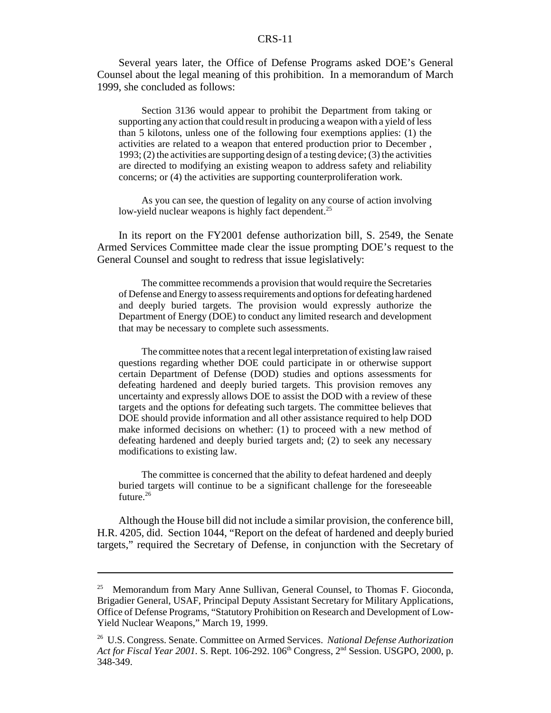Several years later, the Office of Defense Programs asked DOE's General Counsel about the legal meaning of this prohibition. In a memorandum of March 1999, she concluded as follows:

Section 3136 would appear to prohibit the Department from taking or supporting any action that could result in producing a weapon with a yield of less than 5 kilotons, unless one of the following four exemptions applies: (1) the activities are related to a weapon that entered production prior to December , 1993; (2) the activities are supporting design of a testing device; (3) the activities are directed to modifying an existing weapon to address safety and reliability concerns; or (4) the activities are supporting counterproliferation work.

As you can see, the question of legality on any course of action involving low-yield nuclear weapons is highly fact dependent.<sup>25</sup>

In its report on the FY2001 defense authorization bill, S. 2549, the Senate Armed Services Committee made clear the issue prompting DOE's request to the General Counsel and sought to redress that issue legislatively:

The committee recommends a provision that would require the Secretaries of Defense and Energy to assess requirements and options for defeating hardened and deeply buried targets. The provision would expressly authorize the Department of Energy (DOE) to conduct any limited research and development that may be necessary to complete such assessments.

The committee notes that a recent legal interpretation of existing law raised questions regarding whether DOE could participate in or otherwise support certain Department of Defense (DOD) studies and options assessments for defeating hardened and deeply buried targets. This provision removes any uncertainty and expressly allows DOE to assist the DOD with a review of these targets and the options for defeating such targets. The committee believes that DOE should provide information and all other assistance required to help DOD make informed decisions on whether: (1) to proceed with a new method of defeating hardened and deeply buried targets and; (2) to seek any necessary modifications to existing law.

The committee is concerned that the ability to defeat hardened and deeply buried targets will continue to be a significant challenge for the foreseeable future.<sup>26</sup>

Although the House bill did not include a similar provision, the conference bill, H.R. 4205, did. Section 1044, "Report on the defeat of hardened and deeply buried targets," required the Secretary of Defense, in conjunction with the Secretary of

<sup>&</sup>lt;sup>25</sup> Memorandum from Mary Anne Sullivan, General Counsel, to Thomas F. Gioconda, Brigadier General, USAF, Principal Deputy Assistant Secretary for Military Applications, Office of Defense Programs, "Statutory Prohibition on Research and Development of Low-Yield Nuclear Weapons," March 19, 1999.

<sup>26</sup> U.S. Congress. Senate. Committee on Armed Services. *National Defense Authorization* Act for Fiscal Year 2001. S. Rept. 106-292. 106<sup>th</sup> Congress, 2<sup>nd</sup> Session. USGPO, 2000, p. 348-349.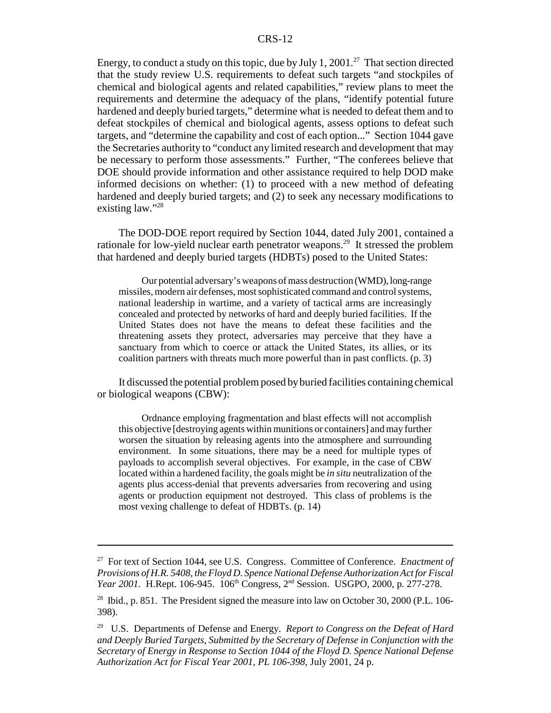Energy, to conduct a study on this topic, due by July 1, 2001.<sup>27</sup> That section directed that the study review U.S. requirements to defeat such targets "and stockpiles of chemical and biological agents and related capabilities," review plans to meet the requirements and determine the adequacy of the plans, "identify potential future hardened and deeply buried targets," determine what is needed to defeat them and to defeat stockpiles of chemical and biological agents, assess options to defeat such targets, and "determine the capability and cost of each option..." Section 1044 gave the Secretaries authority to "conduct any limited research and development that may be necessary to perform those assessments." Further, "The conferees believe that DOE should provide information and other assistance required to help DOD make informed decisions on whether: (1) to proceed with a new method of defeating hardened and deeply buried targets; and (2) to seek any necessary modifications to existing law."<sup>28</sup>

The DOD-DOE report required by Section 1044, dated July 2001, contained a rationale for low-yield nuclear earth penetrator weapons.29 It stressed the problem that hardened and deeply buried targets (HDBTs) posed to the United States:

Our potential adversary's weapons of mass destruction (WMD), long-range missiles, modern air defenses, most sophisticated command and control systems, national leadership in wartime, and a variety of tactical arms are increasingly concealed and protected by networks of hard and deeply buried facilities. If the United States does not have the means to defeat these facilities and the threatening assets they protect, adversaries may perceive that they have a sanctuary from which to coerce or attack the United States, its allies, or its coalition partners with threats much more powerful than in past conflicts. (p. 3)

It discussed the potential problem posed by buried facilities containing chemical or biological weapons (CBW):

Ordnance employing fragmentation and blast effects will not accomplish this objective [destroying agents within munitions or containers] and may further worsen the situation by releasing agents into the atmosphere and surrounding environment. In some situations, there may be a need for multiple types of payloads to accomplish several objectives. For example, in the case of CBW located within a hardened facility, the goals might be *in situ* neutralization of the agents plus access-denial that prevents adversaries from recovering and using agents or production equipment not destroyed. This class of problems is the most vexing challenge to defeat of HDBTs. (p. 14)

<sup>27</sup> For text of Section 1044, see U.S. Congress. Committee of Conference. *Enactment of Provisions of H.R. 5408, the Floyd D. Spence National Defense Authorization Act for Fiscal Year 2001.* H.Rept. 106-945. 106<sup>th</sup> Congress, 2<sup>nd</sup> Session. USGPO, 2000, p. 277-278.

<sup>&</sup>lt;sup>28</sup> Ibid., p. 851. The President signed the measure into law on October 30, 2000 (P.L. 106-398).

<sup>29</sup> U.S. Departments of Defense and Energy. *Report to Congress on the Defeat of Hard and Deeply Buried Targets, Submitted by the Secretary of Defense in Conjunction with the Secretary of Energy in Response to Section 1044 of the Floyd D. Spence National Defense Authorization Act for Fiscal Year 2001, PL 106-398,* July 2001, 24 p.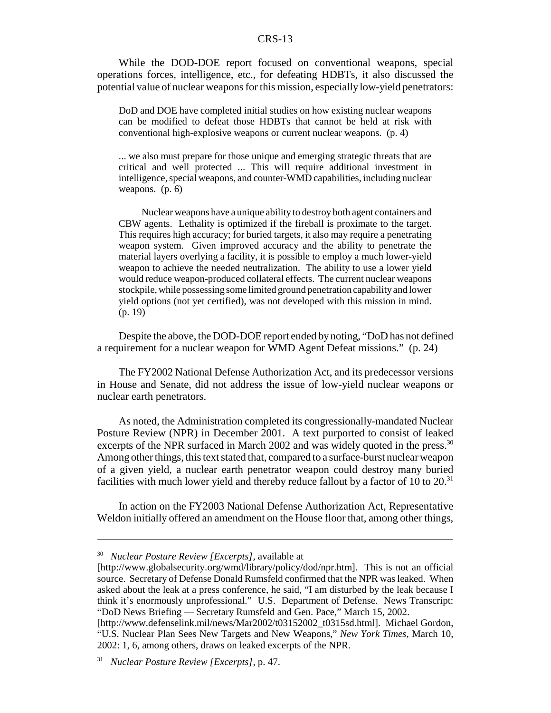While the DOD-DOE report focused on conventional weapons, special operations forces, intelligence, etc., for defeating HDBTs, it also discussed the potential value of nuclear weapons for this mission, especially low-yield penetrators:

DoD and DOE have completed initial studies on how existing nuclear weapons can be modified to defeat those HDBTs that cannot be held at risk with conventional high-explosive weapons or current nuclear weapons. (p. 4)

... we also must prepare for those unique and emerging strategic threats that are critical and well protected ... This will require additional investment in intelligence, special weapons, and counter-WMD capabilities, including nuclear weapons. (p. 6)

Nuclear weapons have a unique ability to destroy both agent containers and CBW agents. Lethality is optimized if the fireball is proximate to the target. This requires high accuracy; for buried targets, it also may require a penetrating weapon system. Given improved accuracy and the ability to penetrate the material layers overlying a facility, it is possible to employ a much lower-yield weapon to achieve the needed neutralization. The ability to use a lower yield would reduce weapon-produced collateral effects. The current nuclear weapons stockpile, while possessing some limited ground penetration capability and lower yield options (not yet certified), was not developed with this mission in mind. (p. 19)

Despite the above, the DOD-DOE report ended by noting, "DoD has not defined a requirement for a nuclear weapon for WMD Agent Defeat missions." (p. 24)

The FY2002 National Defense Authorization Act, and its predecessor versions in House and Senate, did not address the issue of low-yield nuclear weapons or nuclear earth penetrators.

As noted, the Administration completed its congressionally-mandated Nuclear Posture Review (NPR) in December 2001. A text purported to consist of leaked excerpts of the NPR surfaced in March 2002 and was widely quoted in the press.<sup>30</sup> Among other things, this text stated that, compared to a surface-burst nuclear weapon of a given yield, a nuclear earth penetrator weapon could destroy many buried facilities with much lower yield and thereby reduce fallout by a factor of 10 to  $20^{31}$ 

In action on the FY2003 National Defense Authorization Act, Representative Weldon initially offered an amendment on the House floor that, among other things,

<sup>30</sup> *Nuclear Posture Review [Excerpts],* available at

<sup>[</sup>http://www.globalsecurity.org/wmd/library/policy/dod/npr.htm]. This is not an official source. Secretary of Defense Donald Rumsfeld confirmed that the NPR was leaked. When asked about the leak at a press conference, he said, "I am disturbed by the leak because I think it's enormously unprofessional." U.S. Department of Defense. News Transcript: "DoD News Briefing — Secretary Rumsfeld and Gen. Pace," March 15, 2002.

<sup>[</sup>http://www.defenselink.mil/news/Mar2002/t03152002\_t0315sd.html]. Michael Gordon, "U.S. Nuclear Plan Sees New Targets and New Weapons," *New York Times,* March 10, 2002: 1, 6, among others, draws on leaked excerpts of the NPR.

<sup>31</sup> *Nuclear Posture Review [Excerpts],* p. 47.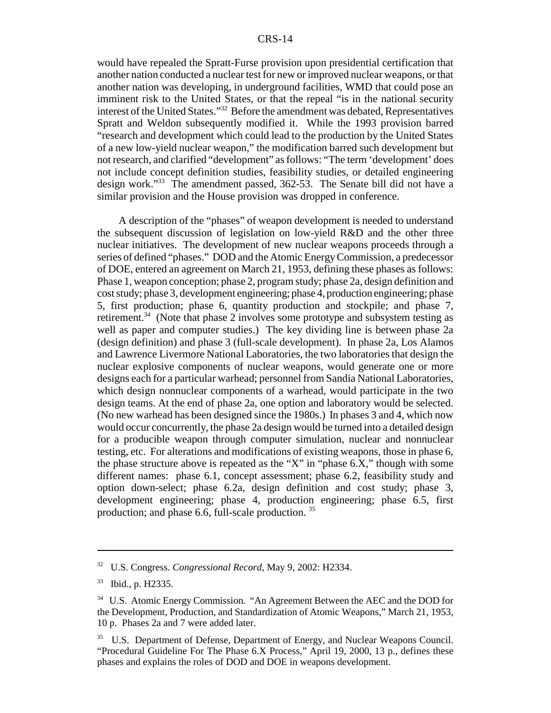would have repealed the Spratt-Furse provision upon presidential certification that another nation conducted a nuclear test for new or improved nuclear weapons, or that another nation was developing, in underground facilities, WMD that could pose an imminent risk to the United States, or that the repeal "is in the national security interest of the United States."32 Before the amendment was debated, Representatives Spratt and Weldon subsequently modified it. While the 1993 provision barred "research and development which could lead to the production by the United States of a new low-yield nuclear weapon," the modification barred such development but not research, and clarified "development" as follows: "The term 'development' does not include concept definition studies, feasibility studies, or detailed engineering design work."33 The amendment passed, 362-53. The Senate bill did not have a similar provision and the House provision was dropped in conference.

A description of the "phases" of weapon development is needed to understand the subsequent discussion of legislation on low-yield R&D and the other three nuclear initiatives. The development of new nuclear weapons proceeds through a series of defined "phases." DOD and the Atomic Energy Commission, a predecessor of DOE, entered an agreement on March 21, 1953, defining these phases as follows: Phase 1, weapon conception; phase 2, program study; phase 2a, design definition and cost study; phase 3, development engineering; phase 4, production engineering; phase 5, first production; phase 6, quantity production and stockpile; and phase 7, retirement.34 (Note that phase 2 involves some prototype and subsystem testing as well as paper and computer studies.) The key dividing line is between phase 2a (design definition) and phase 3 (full-scale development). In phase 2a, Los Alamos and Lawrence Livermore National Laboratories, the two laboratories that design the nuclear explosive components of nuclear weapons, would generate one or more designs each for a particular warhead; personnel from Sandia National Laboratories, which design nonnuclear components of a warhead, would participate in the two design teams. At the end of phase 2a, one option and laboratory would be selected. (No new warhead has been designed since the 1980s.) In phases 3 and 4, which now would occur concurrently, the phase 2a design would be turned into a detailed design for a producible weapon through computer simulation, nuclear and nonnuclear testing, etc. For alterations and modifications of existing weapons, those in phase 6, the phase structure above is repeated as the "X" in "phase 6.X," though with some different names: phase 6.1, concept assessment; phase 6.2, feasibility study and option down-select; phase 6.2a, design definition and cost study; phase 3, development engineering; phase 4, production engineering; phase 6.5, first production; and phase 6.6, full-scale production. 35

<sup>32</sup> U.S. Congress. *Congressional Record,* May 9, 2002: H2334.

<sup>33</sup> Ibid., p. H2335.

<sup>&</sup>lt;sup>34</sup> U.S. Atomic Energy Commission. "An Agreement Between the AEC and the DOD for the Development, Production, and Standardization of Atomic Weapons," March 21, 1953, 10 p. Phases 2a and 7 were added later.

<sup>&</sup>lt;sup>35</sup> U.S. Department of Defense, Department of Energy, and Nuclear Weapons Council. "Procedural Guideline For The Phase 6.X Process," April 19, 2000, 13 p., defines these phases and explains the roles of DOD and DOE in weapons development.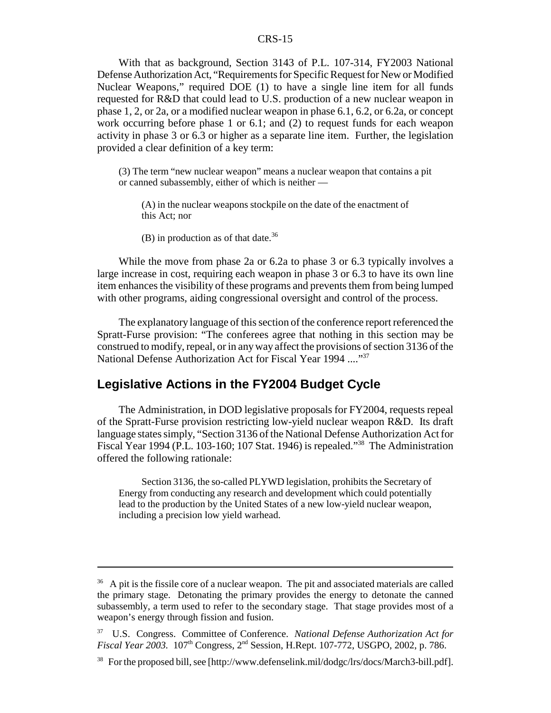With that as background, Section 3143 of P.L. 107-314, FY2003 National Defense Authorization Act, "Requirements for Specific Request for New or Modified Nuclear Weapons," required DOE (1) to have a single line item for all funds requested for R&D that could lead to U.S. production of a new nuclear weapon in phase 1, 2, or 2a, or a modified nuclear weapon in phase 6.1, 6.2, or 6.2a, or concept work occurring before phase 1 or 6.1; and (2) to request funds for each weapon activity in phase 3 or 6.3 or higher as a separate line item. Further, the legislation provided a clear definition of a key term:

(3) The term "new nuclear weapon" means a nuclear weapon that contains a pit or canned subassembly, either of which is neither —

(A) in the nuclear weapons stockpile on the date of the enactment of this Act; nor

(B) in production as of that date.<sup>36</sup>

While the move from phase 2a or 6.2a to phase 3 or 6.3 typically involves a large increase in cost, requiring each weapon in phase 3 or 6.3 to have its own line item enhances the visibility of these programs and prevents them from being lumped with other programs, aiding congressional oversight and control of the process.

The explanatory language of this section of the conference report referenced the Spratt-Furse provision: "The conferees agree that nothing in this section may be construed to modify, repeal, or in any way affect the provisions of section 3136 of the National Defense Authorization Act for Fiscal Year 1994 ...."37

## **Legislative Actions in the FY2004 Budget Cycle**

The Administration, in DOD legislative proposals for FY2004, requests repeal of the Spratt-Furse provision restricting low-yield nuclear weapon R&D. Its draft language states simply, "Section 3136 of the National Defense Authorization Act for Fiscal Year 1994 (P.L. 103-160; 107 Stat. 1946) is repealed."38 The Administration offered the following rationale:

Section 3136, the so-called PLYWD legislation, prohibits the Secretary of Energy from conducting any research and development which could potentially lead to the production by the United States of a new low-yield nuclear weapon, including a precision low yield warhead.

<sup>&</sup>lt;sup>36</sup> A pit is the fissile core of a nuclear weapon. The pit and associated materials are called the primary stage. Detonating the primary provides the energy to detonate the canned subassembly, a term used to refer to the secondary stage. That stage provides most of a weapon's energy through fission and fusion.

<sup>37</sup> U.S. Congress. Committee of Conference. *National Defense Authorization Act for Fiscal Year 2003.* 107th Congress, 2nd Session, H.Rept. 107-772, USGPO, 2002, p. 786.

<sup>38</sup> For the proposed bill, see [http://www.defenselink.mil/dodgc/lrs/docs/March3-bill.pdf].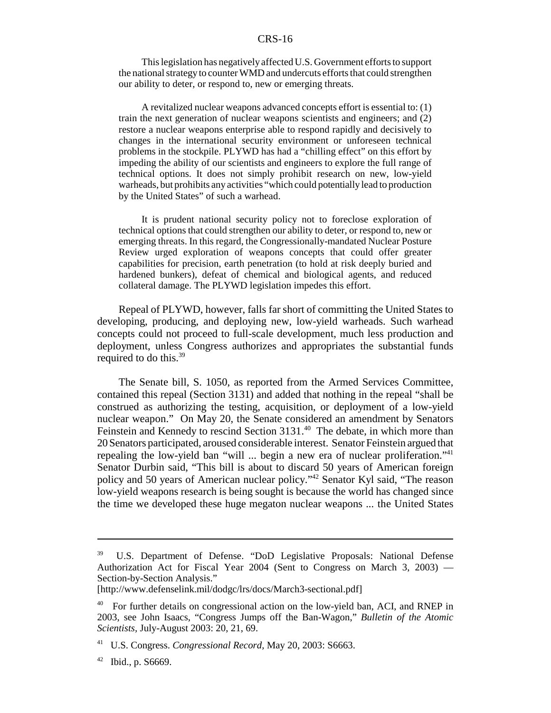This legislation has negatively affected U.S. Government efforts to support the national strategy to counter WMD and undercuts efforts that could strengthen our ability to deter, or respond to, new or emerging threats.

A revitalized nuclear weapons advanced concepts effort is essential to: (1) train the next generation of nuclear weapons scientists and engineers; and (2) restore a nuclear weapons enterprise able to respond rapidly and decisively to changes in the international security environment or unforeseen technical problems in the stockpile. PLYWD has had a "chilling effect" on this effort by impeding the ability of our scientists and engineers to explore the full range of technical options. It does not simply prohibit research on new, low-yield warheads, but prohibits any activities "which could potentially lead to production by the United States" of such a warhead.

It is prudent national security policy not to foreclose exploration of technical options that could strengthen our ability to deter, or respond to, new or emerging threats. In this regard, the Congressionally-mandated Nuclear Posture Review urged exploration of weapons concepts that could offer greater capabilities for precision, earth penetration (to hold at risk deeply buried and hardened bunkers), defeat of chemical and biological agents, and reduced collateral damage. The PLYWD legislation impedes this effort.

Repeal of PLYWD, however, falls far short of committing the United States to developing, producing, and deploying new, low-yield warheads. Such warhead concepts could not proceed to full-scale development, much less production and deployment, unless Congress authorizes and appropriates the substantial funds required to do this. $39$ 

The Senate bill, S. 1050, as reported from the Armed Services Committee, contained this repeal (Section 3131) and added that nothing in the repeal "shall be construed as authorizing the testing, acquisition, or deployment of a low-yield nuclear weapon." On May 20, the Senate considered an amendment by Senators Feinstein and Kennedy to rescind Section 3131.<sup>40</sup> The debate, in which more than 20 Senators participated, aroused considerable interest. Senator Feinstein argued that repealing the low-yield ban "will ... begin a new era of nuclear proliferation."41 Senator Durbin said, "This bill is about to discard 50 years of American foreign policy and 50 years of American nuclear policy."42 Senator Kyl said, "The reason low-yield weapons research is being sought is because the world has changed since the time we developed these huge megaton nuclear weapons ... the United States

<sup>&</sup>lt;sup>39</sup> U.S. Department of Defense. "DoD Legislative Proposals: National Defense Authorization Act for Fiscal Year 2004 (Sent to Congress on March 3, 2003) — Section-by-Section Analysis."

<sup>[</sup>http://www.defenselink.mil/dodgc/lrs/docs/March3-sectional.pdf]

<sup>&</sup>lt;sup>40</sup> For further details on congressional action on the low-yield ban, ACI, and RNEP in 2003, see John Isaacs, "Congress Jumps off the Ban-Wagon," *Bulletin of the Atomic Scientists,* July-August 2003: 20, 21, 69.

<sup>41</sup> U.S. Congress. *Congressional Record,* May 20, 2003: S6663.

 $42$  Ibid., p. S6669.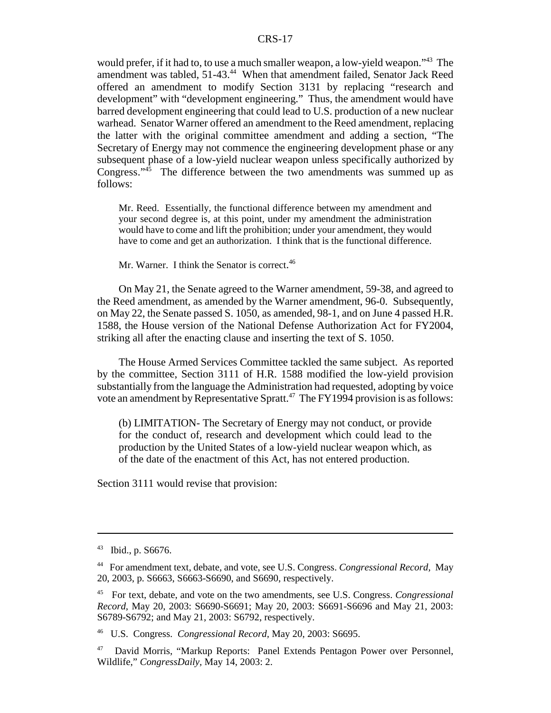would prefer, if it had to, to use a much smaller weapon, a low-yield weapon."43 The amendment was tabled, 51-43.<sup>44</sup> When that amendment failed, Senator Jack Reed offered an amendment to modify Section 3131 by replacing "research and development" with "development engineering." Thus, the amendment would have barred development engineering that could lead to U.S. production of a new nuclear warhead. Senator Warner offered an amendment to the Reed amendment, replacing the latter with the original committee amendment and adding a section, "The Secretary of Energy may not commence the engineering development phase or any subsequent phase of a low-yield nuclear weapon unless specifically authorized by Congress. $145$  The difference between the two amendments was summed up as follows:

Mr. Reed. Essentially, the functional difference between my amendment and your second degree is, at this point, under my amendment the administration would have to come and lift the prohibition; under your amendment, they would have to come and get an authorization. I think that is the functional difference.

Mr. Warner. I think the Senator is correct.<sup>46</sup>

On May 21, the Senate agreed to the Warner amendment, 59-38, and agreed to the Reed amendment, as amended by the Warner amendment, 96-0. Subsequently, on May 22, the Senate passed S. 1050, as amended, 98-1, and on June 4 passed H.R. 1588, the House version of the National Defense Authorization Act for FY2004, striking all after the enacting clause and inserting the text of S. 1050.

The House Armed Services Committee tackled the same subject. As reported by the committee, Section 3111 of H.R. 1588 modified the low-yield provision substantially from the language the Administration had requested, adopting by voice vote an amendment by Representative Spratt.<sup>47</sup> The FY1994 provision is as follows:

(b) LIMITATION- The Secretary of Energy may not conduct, or provide for the conduct of, research and development which could lead to the production by the United States of a low-yield nuclear weapon which, as of the date of the enactment of this Act, has not entered production.

Section 3111 would revise that provision:

<sup>43</sup> Ibid., p. S6676.

<sup>44</sup> For amendment text, debate, and vote, see U.S. Congress. *Congressional Record,* May 20, 2003, p. S6663, S6663-S6690, and S6690, respectively.

<sup>45</sup> For text, debate, and vote on the two amendments, see U.S. Congress. *Congressional Record*, May 20, 2003: S6690-S6691; May 20, 2003: S6691-S6696 and May 21, 2003: S6789-S6792; and May 21, 2003: S6792, respectively.

<sup>46</sup> U.S. Congress. *Congressional Record,* May 20, 2003: S6695.

<sup>47</sup> David Morris, "Markup Reports: Panel Extends Pentagon Power over Personnel, Wildlife," *CongressDaily,* May 14, 2003: 2.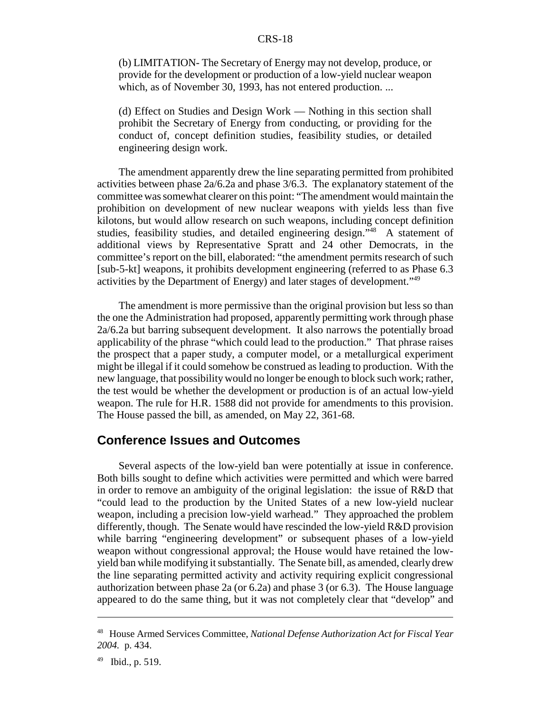(b) LIMITATION- The Secretary of Energy may not develop, produce, or provide for the development or production of a low-yield nuclear weapon which, as of November 30, 1993, has not entered production. ...

(d) Effect on Studies and Design Work — Nothing in this section shall prohibit the Secretary of Energy from conducting, or providing for the conduct of, concept definition studies, feasibility studies, or detailed engineering design work.

The amendment apparently drew the line separating permitted from prohibited activities between phase 2a/6.2a and phase 3/6.3. The explanatory statement of the committee was somewhat clearer on this point: "The amendment would maintain the prohibition on development of new nuclear weapons with yields less than five kilotons, but would allow research on such weapons, including concept definition studies, feasibility studies, and detailed engineering design."<sup>48</sup> A statement of additional views by Representative Spratt and 24 other Democrats, in the committee's report on the bill, elaborated: "the amendment permits research of such [sub-5-kt] weapons, it prohibits development engineering (referred to as Phase 6.3 activities by the Department of Energy) and later stages of development.<sup>149</sup>

The amendment is more permissive than the original provision but less so than the one the Administration had proposed, apparently permitting work through phase 2a/6.2a but barring subsequent development. It also narrows the potentially broad applicability of the phrase "which could lead to the production." That phrase raises the prospect that a paper study, a computer model, or a metallurgical experiment might be illegal if it could somehow be construed as leading to production. With the new language, that possibility would no longer be enough to block such work; rather, the test would be whether the development or production is of an actual low-yield weapon. The rule for H.R. 1588 did not provide for amendments to this provision. The House passed the bill, as amended, on May 22, 361-68.

## **Conference Issues and Outcomes**

Several aspects of the low-yield ban were potentially at issue in conference. Both bills sought to define which activities were permitted and which were barred in order to remove an ambiguity of the original legislation: the issue of R&D that "could lead to the production by the United States of a new low-yield nuclear weapon, including a precision low-yield warhead." They approached the problem differently, though. The Senate would have rescinded the low-yield R&D provision while barring "engineering development" or subsequent phases of a low-yield weapon without congressional approval; the House would have retained the lowyield ban while modifying it substantially. The Senate bill, as amended, clearly drew the line separating permitted activity and activity requiring explicit congressional authorization between phase 2a (or 6.2a) and phase 3 (or 6.3). The House language appeared to do the same thing, but it was not completely clear that "develop" and

<sup>48</sup> House Armed Services Committee, *National Defense Authorization Act for Fiscal Year 2004.* p. 434.

 $49$  Ibid., p. 519.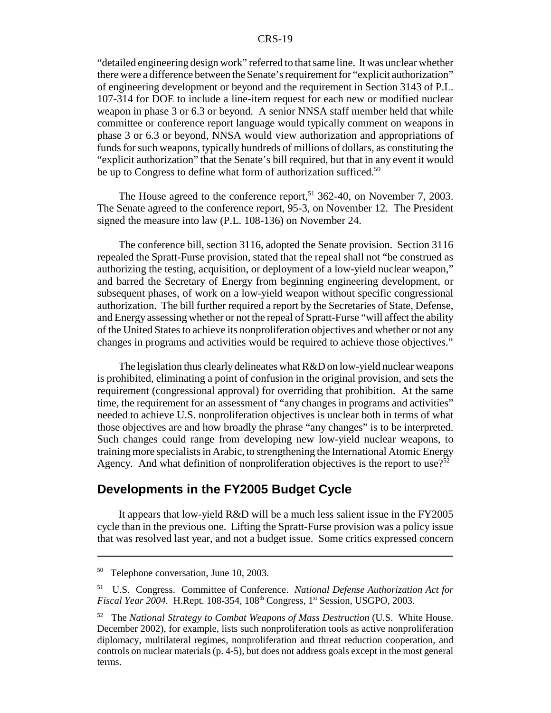"detailed engineering design work" referred to that same line. It was unclear whether there were a difference between the Senate's requirement for "explicit authorization" of engineering development or beyond and the requirement in Section 3143 of P.L. 107-314 for DOE to include a line-item request for each new or modified nuclear weapon in phase 3 or 6.3 or beyond. A senior NNSA staff member held that while committee or conference report language would typically comment on weapons in phase 3 or 6.3 or beyond, NNSA would view authorization and appropriations of funds for such weapons, typically hundreds of millions of dollars, as constituting the "explicit authorization" that the Senate's bill required, but that in any event it would be up to Congress to define what form of authorization sufficed.<sup>50</sup>

The House agreed to the conference report,<sup>51</sup> 362-40, on November 7, 2003. The Senate agreed to the conference report, 95-3, on November 12. The President signed the measure into law (P.L. 108-136) on November 24.

The conference bill, section 3116, adopted the Senate provision. Section 3116 repealed the Spratt-Furse provision, stated that the repeal shall not "be construed as authorizing the testing, acquisition, or deployment of a low-yield nuclear weapon," and barred the Secretary of Energy from beginning engineering development, or subsequent phases, of work on a low-yield weapon without specific congressional authorization. The bill further required a report by the Secretaries of State, Defense, and Energy assessing whether or not the repeal of Spratt-Furse "will affect the ability of the United States to achieve its nonproliferation objectives and whether or not any changes in programs and activities would be required to achieve those objectives."

The legislation thus clearly delineates what R&D on low-yield nuclear weapons is prohibited, eliminating a point of confusion in the original provision, and sets the requirement (congressional approval) for overriding that prohibition. At the same time, the requirement for an assessment of "any changes in programs and activities" needed to achieve U.S. nonproliferation objectives is unclear both in terms of what those objectives are and how broadly the phrase "any changes" is to be interpreted. Such changes could range from developing new low-yield nuclear weapons, to training more specialists in Arabic, to strengthening the International Atomic Energy Agency. And what definition of nonproliferation objectives is the report to use?<sup>52</sup>

## **Developments in the FY2005 Budget Cycle**

It appears that low-yield R&D will be a much less salient issue in the FY2005 cycle than in the previous one. Lifting the Spratt-Furse provision was a policy issue that was resolved last year, and not a budget issue. Some critics expressed concern

<sup>&</sup>lt;sup>50</sup> Telephone conversation, June 10, 2003.

<sup>51</sup> U.S. Congress. Committee of Conference. *National Defense Authorization Act for Fiscal Year 2004.* H.Rept. 108-354, 108<sup>th</sup> Congress, 1<sup>st</sup> Session, USGPO, 2003.

<sup>52</sup> The *National Strategy to Combat Weapons of Mass Destruction* (U.S. White House. December 2002), for example, lists such nonproliferation tools as active nonproliferation diplomacy, multilateral regimes, nonproliferation and threat reduction cooperation, and controls on nuclear materials (p. 4-5), but does not address goals except in the most general terms.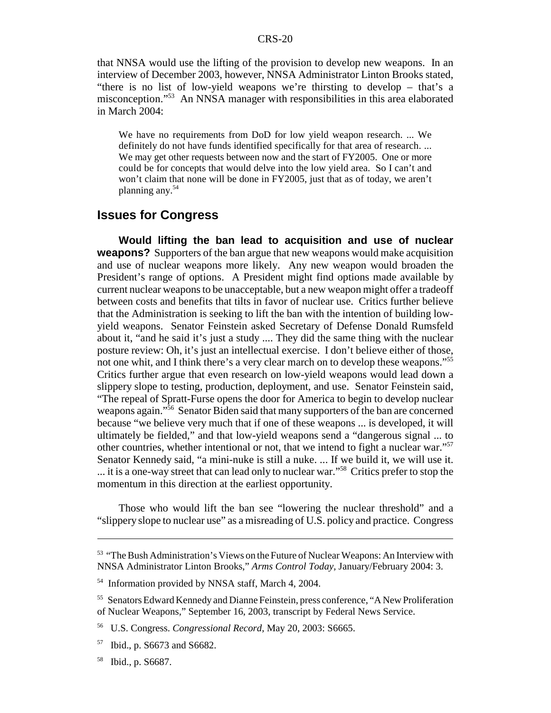that NNSA would use the lifting of the provision to develop new weapons. In an interview of December 2003, however, NNSA Administrator Linton Brooks stated, "there is no list of low-yield weapons we're thirsting to develop – that's a misconception."53 An NNSA manager with responsibilities in this area elaborated in March 2004:

We have no requirements from DoD for low yield weapon research. ... We definitely do not have funds identified specifically for that area of research. ... We may get other requests between now and the start of FY2005. One or more could be for concepts that would delve into the low yield area. So I can't and won't claim that none will be done in FY2005, just that as of today, we aren't planning any.54

## **Issues for Congress**

**Would lifting the ban lead to acquisition and use of nuclear weapons?** Supporters of the ban argue that new weapons would make acquisition and use of nuclear weapons more likely. Any new weapon would broaden the President's range of options. A President might find options made available by current nuclear weapons to be unacceptable, but a new weapon might offer a tradeoff between costs and benefits that tilts in favor of nuclear use. Critics further believe that the Administration is seeking to lift the ban with the intention of building lowyield weapons. Senator Feinstein asked Secretary of Defense Donald Rumsfeld about it, "and he said it's just a study .... They did the same thing with the nuclear posture review: Oh, it's just an intellectual exercise. I don't believe either of those, not one whit, and I think there's a very clear march on to develop these weapons."55 Critics further argue that even research on low-yield weapons would lead down a slippery slope to testing, production, deployment, and use. Senator Feinstein said, "The repeal of Spratt-Furse opens the door for America to begin to develop nuclear weapons again."<sup>56</sup> Senator Biden said that many supporters of the ban are concerned because "we believe very much that if one of these weapons ... is developed, it will ultimately be fielded," and that low-yield weapons send a "dangerous signal ... to other countries, whether intentional or not, that we intend to fight a nuclear war."57 Senator Kennedy said, "a mini-nuke is still a nuke. ... If we build it, we will use it. ... it is a one-way street that can lead only to nuclear war."<sup>58</sup> Critics prefer to stop the momentum in this direction at the earliest opportunity.

Those who would lift the ban see "lowering the nuclear threshold" and a "slippery slope to nuclear use" as a misreading of U.S. policy and practice. Congress

<sup>&</sup>lt;sup>53</sup> "The Bush Administration's Views on the Future of Nuclear Weapons: An Interview with NNSA Administrator Linton Brooks," *Arms Control Today,* January/February 2004: 3.

<sup>54</sup> Information provided by NNSA staff, March 4, 2004.

<sup>&</sup>lt;sup>55</sup> Senators Edward Kennedy and Dianne Feinstein, press conference, "A New Proliferation of Nuclear Weapons," September 16, 2003, transcript by Federal News Service.

<sup>56</sup> U.S. Congress. *Congressional Record,* May 20, 2003: S6665.

<sup>57</sup> Ibid., p. S6673 and S6682.

<sup>58</sup> Ibid., p. S6687.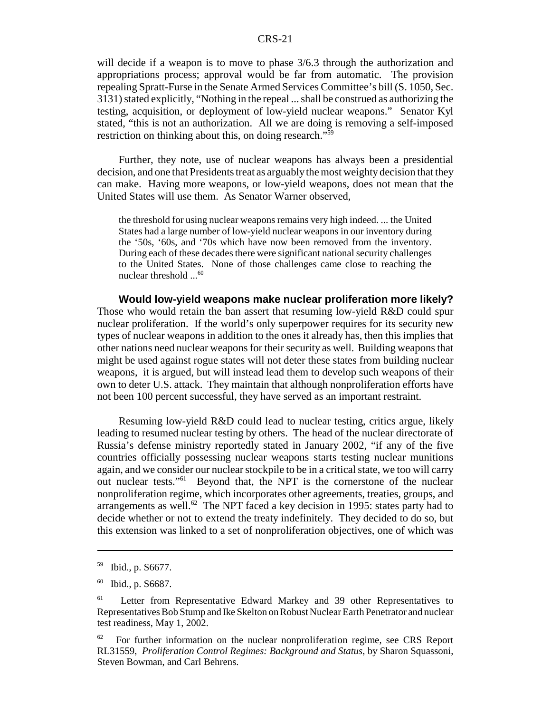will decide if a weapon is to move to phase  $3/6.3$  through the authorization and appropriations process; approval would be far from automatic. The provision repealing Spratt-Furse in the Senate Armed Services Committee's bill (S. 1050, Sec. 3131) stated explicitly, "Nothing in the repeal ... shall be construed as authorizing the testing, acquisition, or deployment of low-yield nuclear weapons." Senator Kyl stated, "this is not an authorization. All we are doing is removing a self-imposed restriction on thinking about this, on doing research."59

Further, they note, use of nuclear weapons has always been a presidential decision, and one that Presidents treat as arguably the most weighty decision that they can make. Having more weapons, or low-yield weapons, does not mean that the United States will use them. As Senator Warner observed,

the threshold for using nuclear weapons remains very high indeed. ... the United States had a large number of low-yield nuclear weapons in our inventory during the '50s, '60s, and '70s which have now been removed from the inventory. During each of these decades there were significant national security challenges to the United States. None of those challenges came close to reaching the nuclear threshold ...<sup>60</sup>

**Would low-yield weapons make nuclear proliferation more likely?** Those who would retain the ban assert that resuming low-yield R&D could spur nuclear proliferation. If the world's only superpower requires for its security new types of nuclear weapons in addition to the ones it already has, then this implies that other nations need nuclear weapons for their security as well. Building weapons that might be used against rogue states will not deter these states from building nuclear weapons, it is argued, but will instead lead them to develop such weapons of their own to deter U.S. attack. They maintain that although nonproliferation efforts have not been 100 percent successful, they have served as an important restraint.

Resuming low-yield R&D could lead to nuclear testing, critics argue, likely leading to resumed nuclear testing by others. The head of the nuclear directorate of Russia's defense ministry reportedly stated in January 2002, "if any of the five countries officially possessing nuclear weapons starts testing nuclear munitions again, and we consider our nuclear stockpile to be in a critical state, we too will carry out nuclear tests."61 Beyond that, the NPT is the cornerstone of the nuclear nonproliferation regime, which incorporates other agreements, treaties, groups, and arrangements as well.<sup>62</sup> The NPT faced a key decision in 1995: states party had to decide whether or not to extend the treaty indefinitely. They decided to do so, but this extension was linked to a set of nonproliferation objectives, one of which was

<sup>59</sup> Ibid., p. S6677.

<sup>60</sup> Ibid., p. S6687.

<sup>&</sup>lt;sup>61</sup> Letter from Representative Edward Markey and 39 other Representatives to Representatives Bob Stump and Ike Skelton on Robust Nuclear Earth Penetrator and nuclear test readiness, May 1, 2002.

 $62$  For further information on the nuclear nonproliferation regime, see CRS Report RL31559, *Proliferation Control Regimes: Background and Status*, by Sharon Squassoni, Steven Bowman, and Carl Behrens.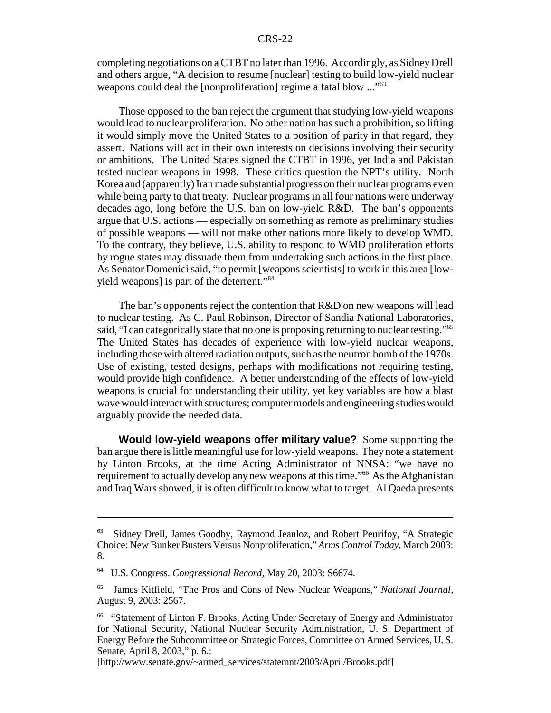completing negotiations on a CTBT no later than 1996. Accordingly, as Sidney Drell and others argue, "A decision to resume [nuclear] testing to build low-yield nuclear weapons could deal the [nonproliferation] regime a fatal blow ..."<sup>63</sup>

Those opposed to the ban reject the argument that studying low-yield weapons would lead to nuclear proliferation. No other nation has such a prohibition, so lifting it would simply move the United States to a position of parity in that regard, they assert. Nations will act in their own interests on decisions involving their security or ambitions. The United States signed the CTBT in 1996, yet India and Pakistan tested nuclear weapons in 1998. These critics question the NPT's utility. North Korea and (apparently) Iran made substantial progress on their nuclear programs even while being party to that treaty. Nuclear programs in all four nations were underway decades ago, long before the U.S. ban on low-yield R&D. The ban's opponents argue that U.S. actions — especially on something as remote as preliminary studies of possible weapons — will not make other nations more likely to develop WMD. To the contrary, they believe, U.S. ability to respond to WMD proliferation efforts by rogue states may dissuade them from undertaking such actions in the first place. As Senator Domenici said, "to permit [weapons scientists] to work in this area [lowyield weapons] is part of the deterrent."<sup>64</sup>

The ban's opponents reject the contention that R&D on new weapons will lead to nuclear testing. As C. Paul Robinson, Director of Sandia National Laboratories, said, "I can categorically state that no one is proposing returning to nuclear testing."<sup>65</sup> The United States has decades of experience with low-yield nuclear weapons, including those with altered radiation outputs, such as the neutron bomb of the 1970s. Use of existing, tested designs, perhaps with modifications not requiring testing, would provide high confidence. A better understanding of the effects of low-yield weapons is crucial for understanding their utility, yet key variables are how a blast wave would interact with structures; computer models and engineering studies would arguably provide the needed data.

**Would low-yield weapons offer military value?** Some supporting the ban argue there is little meaningful use for low-yield weapons. They note a statement by Linton Brooks, at the time Acting Administrator of NNSA: "we have no requirement to actually develop any new weapons at this time.<sup>"66</sup> As the Afghanistan and Iraq Wars showed, it is often difficult to know what to target. Al Qaeda presents

<sup>63</sup> Sidney Drell, James Goodby, Raymond Jeanloz, and Robert Peurifoy, "A Strategic Choice: New Bunker Busters Versus Nonproliferation," *Arms Control Today,* March 2003: 8.

<sup>64</sup> U.S. Congress. *Congressional Record,* May 20, 2003: S6674.

<sup>65</sup> James Kitfield, "The Pros and Cons of New Nuclear Weapons," *National Journal,* August 9, 2003: 2567.

<sup>66 &</sup>quot;Statement of Linton F. Brooks, Acting Under Secretary of Energy and Administrator for National Security, National Nuclear Security Administration, U. S. Department of Energy Before the Subcommittee on Strategic Forces, Committee on Armed Services, U. S. Senate, April 8, 2003," p. 6.:

<sup>[</sup>http://www.senate.gov/~armed\_services/statemnt/2003/April/Brooks.pdf]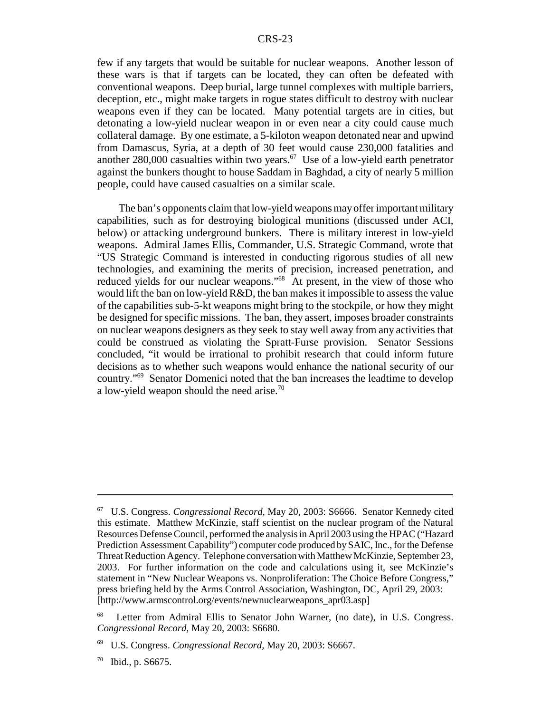few if any targets that would be suitable for nuclear weapons. Another lesson of these wars is that if targets can be located, they can often be defeated with conventional weapons. Deep burial, large tunnel complexes with multiple barriers, deception, etc., might make targets in rogue states difficult to destroy with nuclear weapons even if they can be located. Many potential targets are in cities, but detonating a low-yield nuclear weapon in or even near a city could cause much collateral damage. By one estimate, a 5-kiloton weapon detonated near and upwind from Damascus, Syria, at a depth of 30 feet would cause 230,000 fatalities and another 280,000 casualties within two years. $67$  Use of a low-yield earth penetrator against the bunkers thought to house Saddam in Baghdad, a city of nearly 5 million people, could have caused casualties on a similar scale.

The ban's opponents claim that low-yield weapons may offer important military capabilities, such as for destroying biological munitions (discussed under ACI, below) or attacking underground bunkers. There is military interest in low-yield weapons. Admiral James Ellis, Commander, U.S. Strategic Command, wrote that "US Strategic Command is interested in conducting rigorous studies of all new technologies, and examining the merits of precision, increased penetration, and reduced yields for our nuclear weapons."<sup>68</sup> At present, in the view of those who would lift the ban on low-yield R&D, the ban makes it impossible to assess the value of the capabilities sub-5-kt weapons might bring to the stockpile, or how they might be designed for specific missions. The ban, they assert, imposes broader constraints on nuclear weapons designers as they seek to stay well away from any activities that could be construed as violating the Spratt-Furse provision. Senator Sessions concluded, "it would be irrational to prohibit research that could inform future decisions as to whether such weapons would enhance the national security of our country."69 Senator Domenici noted that the ban increases the leadtime to develop a low-yield weapon should the need arise.<sup>70</sup>

<sup>67</sup> U.S. Congress. *Congressional Record,* May 20, 2003: S6666. Senator Kennedy cited this estimate. Matthew McKinzie, staff scientist on the nuclear program of the Natural Resources Defense Council, performed the analysis in April 2003 using the HPAC ("Hazard Prediction Assessment Capability") computer code produced by SAIC, Inc., for the Defense Threat Reduction Agency. Telephone conversation with Matthew McKinzie, September 23, 2003. For further information on the code and calculations using it, see McKinzie's statement in "New Nuclear Weapons vs. Nonproliferation: The Choice Before Congress," press briefing held by the Arms Control Association, Washington, DC, April 29, 2003: [http://www.armscontrol.org/events/newnuclearweapons\_apr03.asp]

<sup>&</sup>lt;sup>68</sup> Letter from Admiral Ellis to Senator John Warner, (no date), in U.S. Congress. *Congressional Record,* May 20, 2003: S6680.

<sup>69</sup> U.S. Congress. *Congressional Record,* May 20, 2003: S6667.

 $70$  Ibid., p. S6675.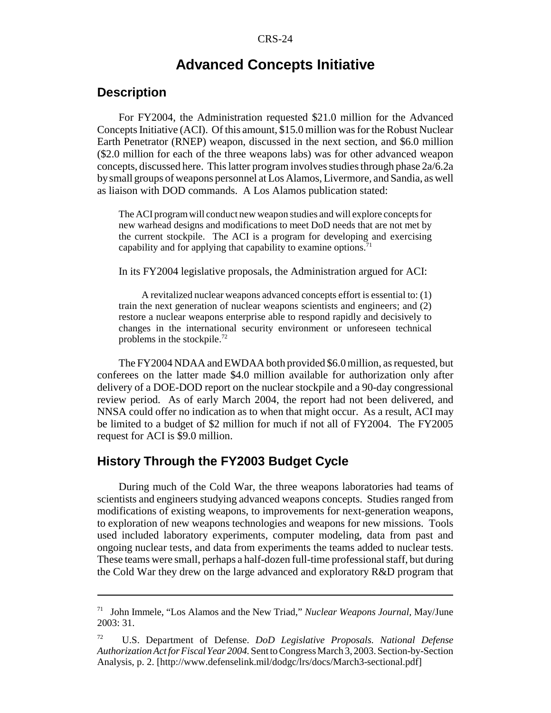## **Advanced Concepts Initiative**

## **Description**

For FY2004, the Administration requested \$21.0 million for the Advanced Concepts Initiative (ACI). Of this amount, \$15.0 million was for the Robust Nuclear Earth Penetrator (RNEP) weapon, discussed in the next section, and \$6.0 million (\$2.0 million for each of the three weapons labs) was for other advanced weapon concepts, discussed here. This latter program involves studies through phase 2a/6.2a by small groups of weapons personnel at Los Alamos, Livermore, and Sandia, as well as liaison with DOD commands. A Los Alamos publication stated:

The ACI program will conduct new weapon studies and will explore concepts for new warhead designs and modifications to meet DoD needs that are not met by the current stockpile. The ACI is a program for developing and exercising capability and for applying that capability to examine options.<sup>71</sup>

In its FY2004 legislative proposals, the Administration argued for ACI:

A revitalized nuclear weapons advanced concepts effort is essential to: (1) train the next generation of nuclear weapons scientists and engineers; and (2) restore a nuclear weapons enterprise able to respond rapidly and decisively to changes in the international security environment or unforeseen technical problems in the stockpile. $^{72}$ 

The FY2004 NDAA and EWDAA both provided \$6.0 million, as requested, but conferees on the latter made \$4.0 million available for authorization only after delivery of a DOE-DOD report on the nuclear stockpile and a 90-day congressional review period. As of early March 2004, the report had not been delivered, and NNSA could offer no indication as to when that might occur. As a result, ACI may be limited to a budget of \$2 million for much if not all of FY2004. The FY2005 request for ACI is \$9.0 million.

## **History Through the FY2003 Budget Cycle**

During much of the Cold War, the three weapons laboratories had teams of scientists and engineers studying advanced weapons concepts. Studies ranged from modifications of existing weapons, to improvements for next-generation weapons, to exploration of new weapons technologies and weapons for new missions. Tools used included laboratory experiments, computer modeling, data from past and ongoing nuclear tests, and data from experiments the teams added to nuclear tests. These teams were small, perhaps a half-dozen full-time professional staff, but during the Cold War they drew on the large advanced and exploratory R&D program that

<sup>71</sup> John Immele, "Los Alamos and the New Triad," *Nuclear Weapons Journal,* May/June 2003: 31.

<sup>72</sup> U.S. Department of Defense. *DoD Legislative Proposals. National Defense Authorization Act for Fiscal Year 2004.* Sent to Congress March 3, 2003. Section-by-Section Analysis, p. 2. [http://www.defenselink.mil/dodgc/lrs/docs/March3-sectional.pdf]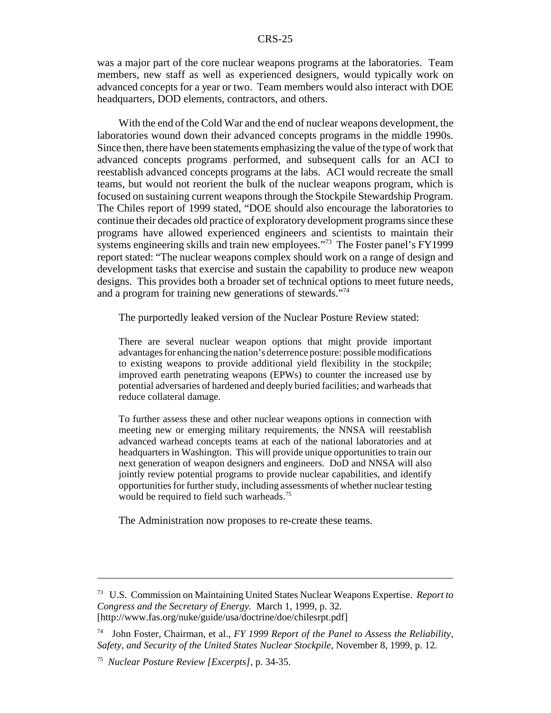was a major part of the core nuclear weapons programs at the laboratories. Team members, new staff as well as experienced designers, would typically work on advanced concepts for a year or two. Team members would also interact with DOE headquarters, DOD elements, contractors, and others.

With the end of the Cold War and the end of nuclear weapons development, the laboratories wound down their advanced concepts programs in the middle 1990s. Since then, there have been statements emphasizing the value of the type of work that advanced concepts programs performed, and subsequent calls for an ACI to reestablish advanced concepts programs at the labs. ACI would recreate the small teams, but would not reorient the bulk of the nuclear weapons program, which is focused on sustaining current weapons through the Stockpile Stewardship Program. The Chiles report of 1999 stated, "DOE should also encourage the laboratories to continue their decades old practice of exploratory development programs since these programs have allowed experienced engineers and scientists to maintain their systems engineering skills and train new employees."<sup>73</sup> The Foster panel's FY1999 report stated: "The nuclear weapons complex should work on a range of design and development tasks that exercise and sustain the capability to produce new weapon designs. This provides both a broader set of technical options to meet future needs, and a program for training new generations of stewards."74

The purportedly leaked version of the Nuclear Posture Review stated:

There are several nuclear weapon options that might provide important advantages for enhancing the nation's deterrence posture: possible modifications to existing weapons to provide additional yield flexibility in the stockpile; improved earth penetrating weapons (EPWs) to counter the increased use by potential adversaries of hardened and deeply buried facilities; and warheads that reduce collateral damage.

To further assess these and other nuclear weapons options in connection with meeting new or emerging military requirements, the NNSA will reestablish advanced warhead concepts teams at each of the national laboratories and at headquarters in Washington. This will provide unique opportunities to train our next generation of weapon designers and engineers. DoD and NNSA will also jointly review potential programs to provide nuclear capabilities, and identify opportunities for further study, including assessments of whether nuclear testing would be required to field such warheads.<sup>75</sup>

The Administration now proposes to re-create these teams.

<sup>73</sup> U.S. Commission on Maintaining United States Nuclear Weapons Expertise. *Report to Congress and the Secretary of Energy.* March 1, 1999, p. 32. [http://www.fas.org/nuke/guide/usa/doctrine/doe/chilesrpt.pdf]

<sup>74</sup> John Foster, Chairman, et al., *FY 1999 Report of the Panel to Assess the Reliability, Safety, and Security of the United States Nuclear Stockpile,* November 8, 1999, p. 12.

<sup>75</sup> *Nuclear Posture Review [Excerpts],* p. 34-35.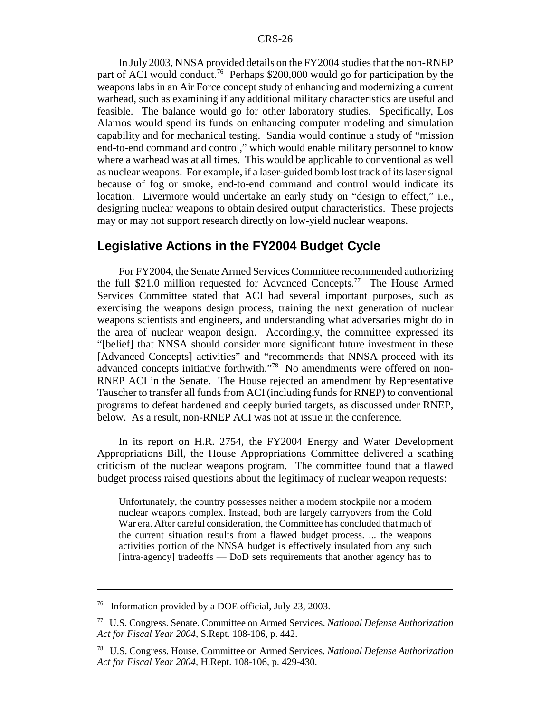In July 2003, NNSA provided details on the FY2004 studies that the non-RNEP part of ACI would conduct.<sup>76</sup> Perhaps \$200,000 would go for participation by the weapons labs in an Air Force concept study of enhancing and modernizing a current warhead, such as examining if any additional military characteristics are useful and feasible. The balance would go for other laboratory studies. Specifically, Los Alamos would spend its funds on enhancing computer modeling and simulation capability and for mechanical testing. Sandia would continue a study of "mission end-to-end command and control," which would enable military personnel to know where a warhead was at all times. This would be applicable to conventional as well as nuclear weapons. For example, if a laser-guided bomb lost track of its laser signal because of fog or smoke, end-to-end command and control would indicate its location. Livermore would undertake an early study on "design to effect," i.e., designing nuclear weapons to obtain desired output characteristics. These projects may or may not support research directly on low-yield nuclear weapons.

#### **Legislative Actions in the FY2004 Budget Cycle**

For FY2004, the Senate Armed Services Committee recommended authorizing the full \$21.0 million requested for Advanced Concepts.77 The House Armed Services Committee stated that ACI had several important purposes, such as exercising the weapons design process, training the next generation of nuclear weapons scientists and engineers, and understanding what adversaries might do in the area of nuclear weapon design. Accordingly, the committee expressed its "[belief] that NNSA should consider more significant future investment in these [Advanced Concepts] activities" and "recommends that NNSA proceed with its advanced concepts initiative forthwith."78 No amendments were offered on non-RNEP ACI in the Senate. The House rejected an amendment by Representative Tauscher to transfer all funds from ACI (including funds for RNEP) to conventional programs to defeat hardened and deeply buried targets, as discussed under RNEP, below. As a result, non-RNEP ACI was not at issue in the conference.

In its report on H.R. 2754, the FY2004 Energy and Water Development Appropriations Bill, the House Appropriations Committee delivered a scathing criticism of the nuclear weapons program. The committee found that a flawed budget process raised questions about the legitimacy of nuclear weapon requests:

Unfortunately, the country possesses neither a modern stockpile nor a modern nuclear weapons complex. Instead, both are largely carryovers from the Cold War era. After careful consideration, the Committee has concluded that much of the current situation results from a flawed budget process. ... the weapons activities portion of the NNSA budget is effectively insulated from any such [intra-agency] tradeoffs — DoD sets requirements that another agency has to

<sup>76</sup> Information provided by a DOE official, July 23, 2003.

<sup>77</sup> U.S. Congress. Senate. Committee on Armed Services. *National Defense Authorization Act for Fiscal Year 2004,* S.Rept. 108-106, p. 442.

<sup>78</sup> U.S. Congress. House. Committee on Armed Services. *National Defense Authorization Act for Fiscal Year 2004,* H.Rept. 108-106, p. 429-430.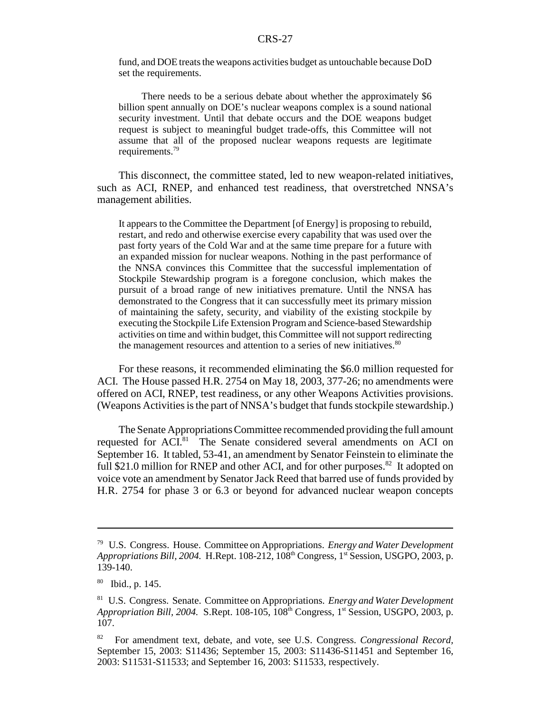fund, and DOE treats the weapons activities budget as untouchable because DoD set the requirements.

There needs to be a serious debate about whether the approximately \$6 billion spent annually on DOE's nuclear weapons complex is a sound national security investment. Until that debate occurs and the DOE weapons budget request is subject to meaningful budget trade-offs, this Committee will not assume that all of the proposed nuclear weapons requests are legitimate requirements.79

This disconnect, the committee stated, led to new weapon-related initiatives, such as ACI, RNEP, and enhanced test readiness, that overstretched NNSA's management abilities.

It appears to the Committee the Department [of Energy] is proposing to rebuild, restart, and redo and otherwise exercise every capability that was used over the past forty years of the Cold War and at the same time prepare for a future with an expanded mission for nuclear weapons. Nothing in the past performance of the NNSA convinces this Committee that the successful implementation of Stockpile Stewardship program is a foregone conclusion, which makes the pursuit of a broad range of new initiatives premature. Until the NNSA has demonstrated to the Congress that it can successfully meet its primary mission of maintaining the safety, security, and viability of the existing stockpile by executing the Stockpile Life Extension Program and Science-based Stewardship activities on time and within budget, this Committee will not support redirecting the management resources and attention to a series of new initiatives.<sup>80</sup>

For these reasons, it recommended eliminating the \$6.0 million requested for ACI. The House passed H.R. 2754 on May 18, 2003, 377-26; no amendments were offered on ACI, RNEP, test readiness, or any other Weapons Activities provisions. (Weapons Activities is the part of NNSA's budget that funds stockpile stewardship.)

The Senate Appropriations Committee recommended providing the full amount requested for ACI.<sup>81</sup> The Senate considered several amendments on ACI on September 16. It tabled, 53-41, an amendment by Senator Feinstein to eliminate the full \$21.0 million for RNEP and other ACI, and for other purposes.<sup>82</sup> It adopted on voice vote an amendment by Senator Jack Reed that barred use of funds provided by H.R. 2754 for phase 3 or 6.3 or beyond for advanced nuclear weapon concepts

<sup>79</sup> U.S. Congress. House. Committee on Appropriations. *Energy and Water Development Appropriations Bill, 2004.* H.Rept. 108-212, 108<sup>th</sup> Congress, 1<sup>st</sup> Session, USGPO, 2003, p. 139-140.

<sup>80</sup> Ibid., p. 145.

<sup>81</sup> U.S. Congress. Senate. Committee on Appropriations. *Energy and Water Development Appropriation Bill, 2004.* S.Rept. 108-105, 108<sup>th</sup> Congress, 1<sup>st</sup> Session, USGPO, 2003, p. 107.

<sup>82</sup> For amendment text, debate, and vote, see U.S. Congress. *Congressional Record,* September 15, 2003: S11436; September 15, 2003: S11436-S11451 and September 16, 2003: S11531-S11533; and September 16, 2003: S11533, respectively.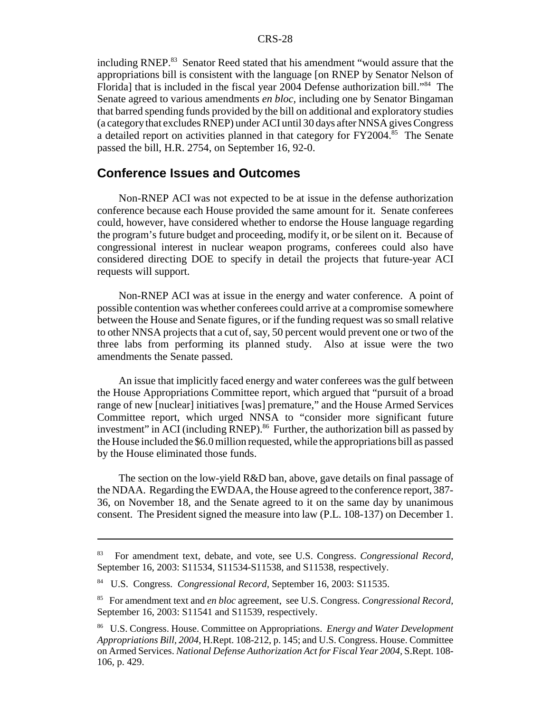including RNEP.<sup>83</sup> Senator Reed stated that his amendment "would assure that the appropriations bill is consistent with the language [on RNEP by Senator Nelson of Florida] that is included in the fiscal year 2004 Defense authorization bill."84 The Senate agreed to various amendments *en bloc,* including one by Senator Bingaman that barred spending funds provided by the bill on additional and exploratory studies (a category that excludes RNEP) under ACI until 30 days after NNSA gives Congress a detailed report on activities planned in that category for FY2004.<sup>85</sup> The Senate passed the bill, H.R. 2754, on September 16, 92-0.

### **Conference Issues and Outcomes**

Non-RNEP ACI was not expected to be at issue in the defense authorization conference because each House provided the same amount for it. Senate conferees could, however, have considered whether to endorse the House language regarding the program's future budget and proceeding, modify it, or be silent on it. Because of congressional interest in nuclear weapon programs, conferees could also have considered directing DOE to specify in detail the projects that future-year ACI requests will support.

Non-RNEP ACI was at issue in the energy and water conference. A point of possible contention was whether conferees could arrive at a compromise somewhere between the House and Senate figures, or if the funding request was so small relative to other NNSA projects that a cut of, say, 50 percent would prevent one or two of the three labs from performing its planned study. Also at issue were the two amendments the Senate passed.

An issue that implicitly faced energy and water conferees was the gulf between the House Appropriations Committee report, which argued that "pursuit of a broad range of new [nuclear] initiatives [was] premature," and the House Armed Services Committee report, which urged NNSA to "consider more significant future investment" in ACI (including RNEP).<sup>86</sup> Further, the authorization bill as passed by the House included the \$6.0 million requested, while the appropriations bill as passed by the House eliminated those funds.

The section on the low-yield R&D ban, above, gave details on final passage of the NDAA. Regarding the EWDAA, the House agreed to the conference report, 387- 36, on November 18, and the Senate agreed to it on the same day by unanimous consent. The President signed the measure into law (P.L. 108-137) on December 1.

<sup>83</sup> For amendment text, debate, and vote, see U.S. Congress. *Congressional Record,* September 16, 2003: S11534, S11534-S11538, and S11538, respectively.

<sup>84</sup> U.S. Congress. *Congressional Record,* September 16, 2003: S11535.

<sup>85</sup> For amendment text and *en bloc* agreement, see U.S. Congress. *Congressional Record,* September 16, 2003: S11541 and S11539, respectively.

<sup>86</sup> U.S. Congress. House. Committee on Appropriations. *Energy and Water Development Appropriations Bill, 2004*, H.Rept. 108-212, p. 145; and U.S. Congress. House. Committee on Armed Services. *National Defense Authorization Act for Fiscal Year 2004,* S.Rept. 108- 106, p. 429.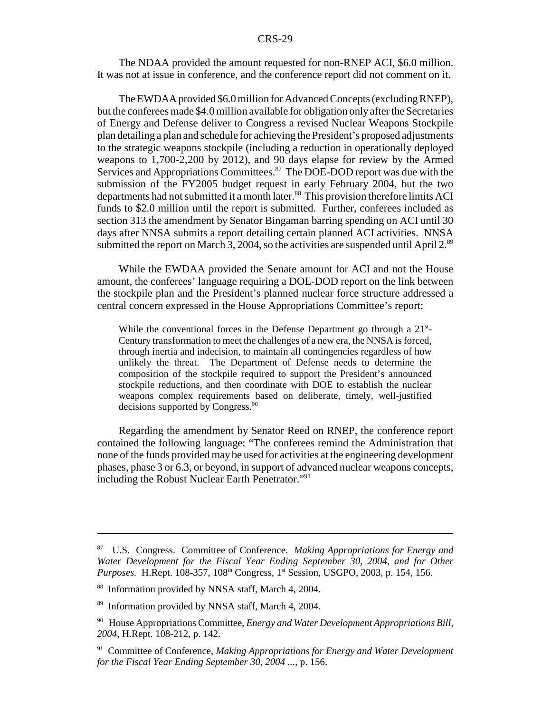The NDAA provided the amount requested for non-RNEP ACI, \$6.0 million. It was not at issue in conference, and the conference report did not comment on it.

The EWDAA provided \$6.0 million for Advanced Concepts (excluding RNEP), but the conferees made \$4.0 million available for obligation only after the Secretaries of Energy and Defense deliver to Congress a revised Nuclear Weapons Stockpile plan detailing a plan and schedule for achieving the President's proposed adjustments to the strategic weapons stockpile (including a reduction in operationally deployed weapons to 1,700-2,200 by 2012), and 90 days elapse for review by the Armed Services and Appropriations Committees.<sup>87</sup> The DOE-DOD report was due with the submission of the FY2005 budget request in early February 2004, but the two departments had not submitted it a month later.<sup>88</sup> This provision therefore limits ACI funds to \$2.0 million until the report is submitted. Further, conferees included as section 313 the amendment by Senator Bingaman barring spending on ACI until 30 days after NNSA submits a report detailing certain planned ACI activities. NNSA submitted the report on March 3, 2004, so the activities are suspended until April 2. $89$ 

While the EWDAA provided the Senate amount for ACI and not the House amount, the conferees' language requiring a DOE-DOD report on the link between the stockpile plan and the President's planned nuclear force structure addressed a central concern expressed in the House Appropriations Committee's report:

While the conventional forces in the Defense Department go through a  $21<sup>st</sup>$ -Century transformation to meet the challenges of a new era, the NNSA is forced, through inertia and indecision, to maintain all contingencies regardless of how unlikely the threat. The Department of Defense needs to determine the composition of the stockpile required to support the President's announced stockpile reductions, and then coordinate with DOE to establish the nuclear weapons complex requirements based on deliberate, timely, well-justified decisions supported by Congress.<sup>90</sup>

Regarding the amendment by Senator Reed on RNEP, the conference report contained the following language: "The conferees remind the Administration that none of the funds provided may be used for activities at the engineering development phases, phase 3 or 6.3, or beyond, in support of advanced nuclear weapons concepts, including the Robust Nuclear Earth Penetrator."<sup>91</sup>

<sup>87</sup> U.S. Congress. Committee of Conference. *Making Appropriations for Energy and Water Development for the Fiscal Year Ending September 30, 2004, and for Other Purposes.* H.Rept. 108-357, 108<sup>th</sup> Congress, 1<sup>st</sup> Session, USGPO, 2003, p. 154, 156.

<sup>88</sup> Information provided by NNSA staff, March 4, 2004.

<sup>89</sup> Information provided by NNSA staff, March 4, 2004.

<sup>90</sup> House Appropriations Committee, *Energy and Water Development Appropriations Bill, 2004,* H.Rept. 108-212, p. 142.

<sup>91</sup> Committee of Conference, *Making Appropriations for Energy and Water Development for the Fiscal Year Ending September 30, 2004 ...,* p. 156.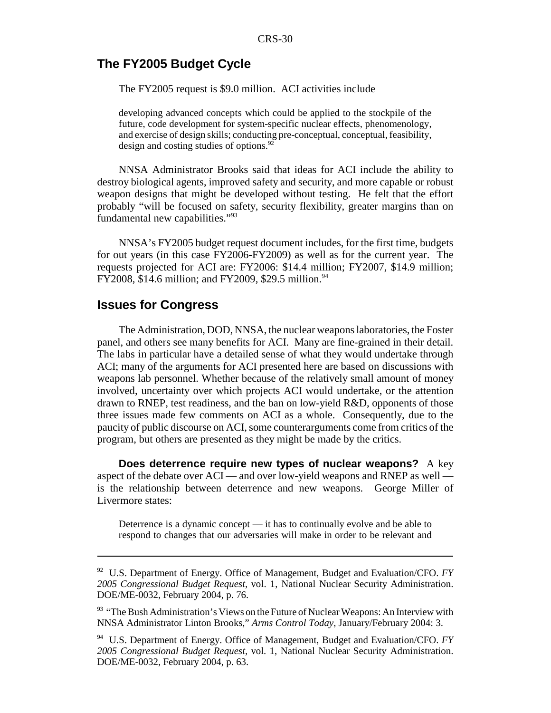## **The FY2005 Budget Cycle**

The FY2005 request is \$9.0 million. ACI activities include

developing advanced concepts which could be applied to the stockpile of the future, code development for system-specific nuclear effects, phenomenology, and exercise of design skills; conducting pre-conceptual, conceptual, feasibility, design and costing studies of options.<sup>92</sup>

NNSA Administrator Brooks said that ideas for ACI include the ability to destroy biological agents, improved safety and security, and more capable or robust weapon designs that might be developed without testing. He felt that the effort probably "will be focused on safety, security flexibility, greater margins than on fundamental new capabilities."93

NNSA's FY2005 budget request document includes, for the first time, budgets for out years (in this case FY2006-FY2009) as well as for the current year. The requests projected for ACI are: FY2006: \$14.4 million; FY2007, \$14.9 million; FY2008, \$14.6 million; and FY2009, \$29.5 million.<sup>94</sup>

#### **Issues for Congress**

The Administration, DOD, NNSA, the nuclear weapons laboratories, the Foster panel, and others see many benefits for ACI. Many are fine-grained in their detail. The labs in particular have a detailed sense of what they would undertake through ACI; many of the arguments for ACI presented here are based on discussions with weapons lab personnel. Whether because of the relatively small amount of money involved, uncertainty over which projects ACI would undertake, or the attention drawn to RNEP, test readiness, and the ban on low-yield R&D, opponents of those three issues made few comments on ACI as a whole. Consequently, due to the paucity of public discourse on ACI, some counterarguments come from critics of the program, but others are presented as they might be made by the critics.

**Does deterrence require new types of nuclear weapons?** A key aspect of the debate over ACI — and over low-yield weapons and RNEP as well is the relationship between deterrence and new weapons. George Miller of Livermore states:

Deterrence is a dynamic concept — it has to continually evolve and be able to respond to changes that our adversaries will make in order to be relevant and

<sup>92</sup> U.S. Department of Energy. Office of Management, Budget and Evaluation/CFO. *FY 2005 Congressional Budget Request,* vol. 1, National Nuclear Security Administration. DOE/ME-0032, February 2004, p. 76.

<sup>93 &</sup>quot;The Bush Administration's Views on the Future of Nuclear Weapons: An Interview with NNSA Administrator Linton Brooks," *Arms Control Today,* January/February 2004: 3.

<sup>94</sup> U.S. Department of Energy. Office of Management, Budget and Evaluation/CFO. *FY 2005 Congressional Budget Request,* vol. 1, National Nuclear Security Administration. DOE/ME-0032, February 2004, p. 63.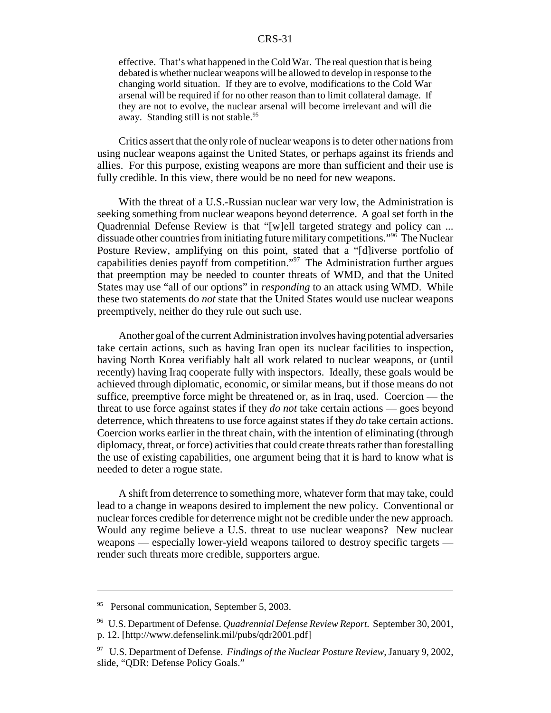effective. That's what happened in the Cold War. The real question that is being debated is whether nuclear weapons will be allowed to develop in response to the changing world situation. If they are to evolve, modifications to the Cold War arsenal will be required if for no other reason than to limit collateral damage. If they are not to evolve, the nuclear arsenal will become irrelevant and will die away. Standing still is not stable.<sup>95</sup>

Critics assert that the only role of nuclear weapons is to deter other nations from using nuclear weapons against the United States, or perhaps against its friends and allies. For this purpose, existing weapons are more than sufficient and their use is fully credible. In this view, there would be no need for new weapons.

With the threat of a U.S.-Russian nuclear war very low, the Administration is seeking something from nuclear weapons beyond deterrence. A goal set forth in the Quadrennial Defense Review is that "[w]ell targeted strategy and policy can ... dissuade other countries from initiating future military competitions."96 The Nuclear Posture Review, amplifying on this point, stated that a "[d]iverse portfolio of capabilities denies payoff from competition."97 The Administration further argues that preemption may be needed to counter threats of WMD, and that the United States may use "all of our options" in *responding* to an attack using WMD. While these two statements do *not* state that the United States would use nuclear weapons preemptively, neither do they rule out such use.

Another goal of the current Administration involves having potential adversaries take certain actions, such as having Iran open its nuclear facilities to inspection, having North Korea verifiably halt all work related to nuclear weapons, or (until recently) having Iraq cooperate fully with inspectors. Ideally, these goals would be achieved through diplomatic, economic, or similar means, but if those means do not suffice, preemptive force might be threatened or, as in Iraq, used. Coercion — the threat to use force against states if they *do not* take certain actions — goes beyond deterrence, which threatens to use force against states if they *do* take certain actions. Coercion works earlier in the threat chain, with the intention of eliminating (through diplomacy, threat, or force) activities that could create threats rather than forestalling the use of existing capabilities, one argument being that it is hard to know what is needed to deter a rogue state.

A shift from deterrence to something more, whatever form that may take, could lead to a change in weapons desired to implement the new policy. Conventional or nuclear forces credible for deterrence might not be credible under the new approach. Would any regime believe a U.S. threat to use nuclear weapons? New nuclear weapons — especially lower-yield weapons tailored to destroy specific targets render such threats more credible, supporters argue.

<sup>&</sup>lt;sup>95</sup> Personal communication, September 5, 2003.

<sup>96</sup> U.S. Department of Defense. *Quadrennial Defense Review Report.* September 30, 2001, p. 12. [http://www.defenselink.mil/pubs/qdr2001.pdf]

<sup>97</sup> U.S. Department of Defense. *Findings of the Nuclear Posture Review,* January 9, 2002, slide, "QDR: Defense Policy Goals."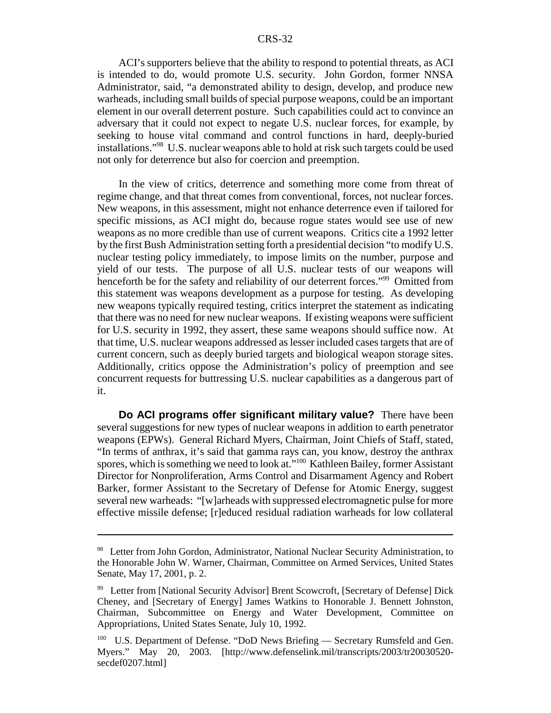ACI's supporters believe that the ability to respond to potential threats, as ACI is intended to do, would promote U.S. security. John Gordon, former NNSA Administrator, said, "a demonstrated ability to design, develop, and produce new warheads, including small builds of special purpose weapons, could be an important element in our overall deterrent posture. Such capabilities could act to convince an adversary that it could not expect to negate U.S. nuclear forces, for example, by seeking to house vital command and control functions in hard, deeply-buried installations."98 U.S. nuclear weapons able to hold at risk such targets could be used not only for deterrence but also for coercion and preemption.

In the view of critics, deterrence and something more come from threat of regime change, and that threat comes from conventional, forces, not nuclear forces. New weapons, in this assessment, might not enhance deterrence even if tailored for specific missions, as ACI might do, because rogue states would see use of new weapons as no more credible than use of current weapons. Critics cite a 1992 letter by the first Bush Administration setting forth a presidential decision "to modify U.S. nuclear testing policy immediately, to impose limits on the number, purpose and yield of our tests. The purpose of all U.S. nuclear tests of our weapons will henceforth be for the safety and reliability of our deterrent forces."<sup>99</sup> Omitted from this statement was weapons development as a purpose for testing. As developing new weapons typically required testing, critics interpret the statement as indicating that there was no need for new nuclear weapons. If existing weapons were sufficient for U.S. security in 1992, they assert, these same weapons should suffice now. At that time, U.S. nuclear weapons addressed as lesser included cases targets that are of current concern, such as deeply buried targets and biological weapon storage sites. Additionally, critics oppose the Administration's policy of preemption and see concurrent requests for buttressing U.S. nuclear capabilities as a dangerous part of it.

**Do ACI programs offer significant military value?** There have been several suggestions for new types of nuclear weapons in addition to earth penetrator weapons (EPWs). General Richard Myers, Chairman, Joint Chiefs of Staff, stated, "In terms of anthrax, it's said that gamma rays can, you know, destroy the anthrax spores, which is something we need to look at."<sup>100</sup> Kathleen Bailey, former Assistant Director for Nonproliferation, Arms Control and Disarmament Agency and Robert Barker, former Assistant to the Secretary of Defense for Atomic Energy, suggest several new warheads: "[w]arheads with suppressed electromagnetic pulse for more effective missile defense; [r]educed residual radiation warheads for low collateral

<sup>&</sup>lt;sup>98</sup> Letter from John Gordon, Administrator, National Nuclear Security Administration, to the Honorable John W. Warner, Chairman, Committee on Armed Services, United States Senate, May 17, 2001, p. 2.

<sup>&</sup>lt;sup>99</sup> Letter from [National Security Advisor] Brent Scowcroft, [Secretary of Defense] Dick Cheney, and [Secretary of Energy] James Watkins to Honorable J. Bennett Johnston, Chairman, Subcommittee on Energy and Water Development, Committee on Appropriations, United States Senate, July 10, 1992.

<sup>&</sup>lt;sup>100</sup> U.S. Department of Defense. "DoD News Briefing — Secretary Rumsfeld and Gen. Myers." May 20, 2003. [http://www.defenselink.mil/transcripts/2003/tr20030520 secdef0207.html]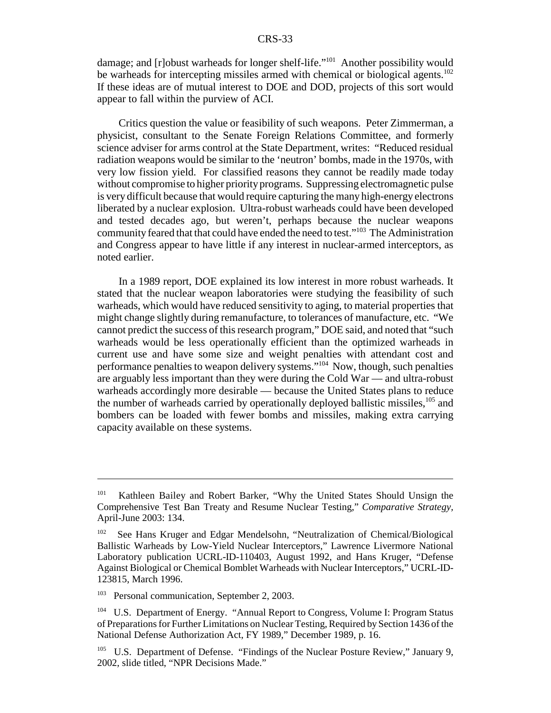damage; and [r]obust warheads for longer shelf-life."<sup>101</sup> Another possibility would be warheads for intercepting missiles armed with chemical or biological agents.<sup>102</sup> If these ideas are of mutual interest to DOE and DOD, projects of this sort would appear to fall within the purview of ACI.

Critics question the value or feasibility of such weapons. Peter Zimmerman, a physicist, consultant to the Senate Foreign Relations Committee, and formerly science adviser for arms control at the State Department, writes: "Reduced residual radiation weapons would be similar to the 'neutron' bombs, made in the 1970s, with very low fission yield. For classified reasons they cannot be readily made today without compromise to higher priority programs. Suppressing electromagnetic pulse is very difficult because that would require capturing the many high-energy electrons liberated by a nuclear explosion. Ultra-robust warheads could have been developed and tested decades ago, but weren't, perhaps because the nuclear weapons community feared that that could have ended the need to test."103 The Administration and Congress appear to have little if any interest in nuclear-armed interceptors, as noted earlier.

In a 1989 report, DOE explained its low interest in more robust warheads. It stated that the nuclear weapon laboratories were studying the feasibility of such warheads, which would have reduced sensitivity to aging, to material properties that might change slightly during remanufacture, to tolerances of manufacture, etc. "We cannot predict the success of this research program," DOE said, and noted that "such warheads would be less operationally efficient than the optimized warheads in current use and have some size and weight penalties with attendant cost and performance penalties to weapon delivery systems."104 Now, though, such penalties are arguably less important than they were during the Cold War — and ultra-robust warheads accordingly more desirable — because the United States plans to reduce the number of warheads carried by operationally deployed ballistic missiles,<sup>105</sup> and bombers can be loaded with fewer bombs and missiles, making extra carrying capacity available on these systems.

<sup>&</sup>lt;sup>101</sup> Kathleen Bailey and Robert Barker, "Why the United States Should Unsign the Comprehensive Test Ban Treaty and Resume Nuclear Testing," *Comparative Strategy,* April-June 2003: 134.

<sup>102</sup> See Hans Kruger and Edgar Mendelsohn, "Neutralization of Chemical/Biological Ballistic Warheads by Low-Yield Nuclear Interceptors," Lawrence Livermore National Laboratory publication UCRL-ID-110403, August 1992, and Hans Kruger, "Defense Against Biological or Chemical Bomblet Warheads with Nuclear Interceptors," UCRL-ID-123815, March 1996.

<sup>&</sup>lt;sup>103</sup> Personal communication, September 2, 2003.

<sup>104</sup> U.S. Department of Energy. "Annual Report to Congress, Volume I: Program Status of Preparations for Further Limitations on Nuclear Testing, Required by Section 1436 of the National Defense Authorization Act, FY 1989," December 1989, p. 16.

<sup>&</sup>lt;sup>105</sup> U.S. Department of Defense. "Findings of the Nuclear Posture Review," January 9, 2002, slide titled, "NPR Decisions Made."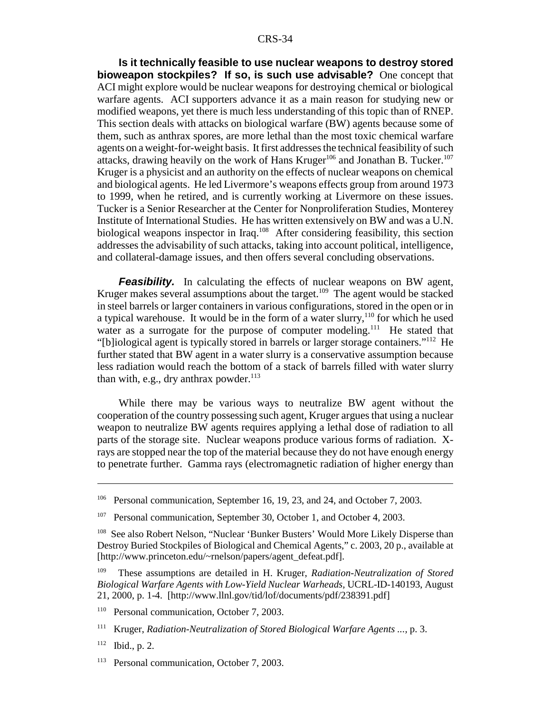**Is it technically feasible to use nuclear weapons to destroy stored bioweapon stockpiles? If so, is such use advisable?** One concept that ACI might explore would be nuclear weapons for destroying chemical or biological warfare agents. ACI supporters advance it as a main reason for studying new or modified weapons, yet there is much less understanding of this topic than of RNEP. This section deals with attacks on biological warfare (BW) agents because some of them, such as anthrax spores, are more lethal than the most toxic chemical warfare agents on a weight-for-weight basis. It first addresses the technical feasibility of such attacks, drawing heavily on the work of Hans Kruger<sup>106</sup> and Jonathan B. Tucker.<sup>107</sup> Kruger is a physicist and an authority on the effects of nuclear weapons on chemical and biological agents. He led Livermore's weapons effects group from around 1973 to 1999, when he retired, and is currently working at Livermore on these issues. Tucker is a Senior Researcher at the Center for Nonproliferation Studies, Monterey Institute of International Studies. He has written extensively on BW and was a U.N. biological weapons inspector in Iraq.<sup>108</sup> After considering feasibility, this section addresses the advisability of such attacks, taking into account political, intelligence, and collateral-damage issues, and then offers several concluding observations.

**Feasibility.** In calculating the effects of nuclear weapons on BW agent, Kruger makes several assumptions about the target.<sup>109</sup> The agent would be stacked in steel barrels or larger containers in various configurations, stored in the open or in a typical warehouse. It would be in the form of a water slurry,<sup>110</sup> for which he used water as a surrogate for the purpose of computer modeling.<sup>111</sup> He stated that "[b]iological agent is typically stored in barrels or larger storage containers."112 He further stated that BW agent in a water slurry is a conservative assumption because less radiation would reach the bottom of a stack of barrels filled with water slurry than with, e.g., dry anthrax powder. $^{113}$ 

While there may be various ways to neutralize BW agent without the cooperation of the country possessing such agent, Kruger argues that using a nuclear weapon to neutralize BW agents requires applying a lethal dose of radiation to all parts of the storage site. Nuclear weapons produce various forms of radiation. Xrays are stopped near the top of the material because they do not have enough energy to penetrate further. Gamma rays (electromagnetic radiation of higher energy than

<sup>&</sup>lt;sup>106</sup> Personal communication, September 16, 19, 23, and 24, and October 7, 2003.

<sup>&</sup>lt;sup>107</sup> Personal communication, September 30, October 1, and October 4, 2003.

<sup>108</sup> See also Robert Nelson, "Nuclear 'Bunker Busters' Would More Likely Disperse than Destroy Buried Stockpiles of Biological and Chemical Agents," c. 2003, 20 p., available at [http://www.princeton.edu/~rnelson/papers/agent\_defeat.pdf].

<sup>109</sup> These assumptions are detailed in H. Kruger, *Radiation-Neutralization of Stored Biological Warfare Agents with Low-Yield Nuclear Warheads,* UCRL-ID-140193, August 21, 2000, p. 1-4. [http://www.llnl.gov/tid/lof/documents/pdf/238391.pdf]

<sup>&</sup>lt;sup>110</sup> Personal communication, October 7, 2003.

<sup>111</sup> Kruger, *Radiation-Neutralization of Stored Biological Warfare Agents ...,* p. 3.

 $112$  Ibid., p. 2.

<sup>&</sup>lt;sup>113</sup> Personal communication, October 7, 2003.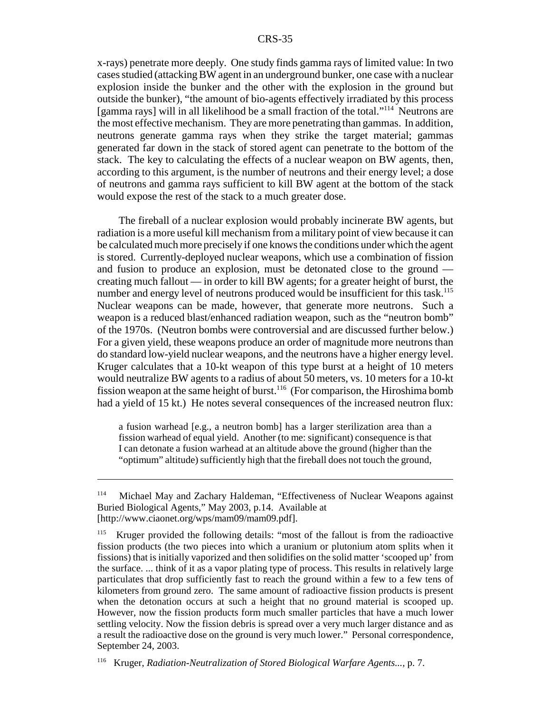x-rays) penetrate more deeply. One study finds gamma rays of limited value: In two cases studied (attacking BW agent in an underground bunker, one case with a nuclear explosion inside the bunker and the other with the explosion in the ground but outside the bunker), "the amount of bio-agents effectively irradiated by this process [gamma rays] will in all likelihood be a small fraction of the total."114 Neutrons are the most effective mechanism. They are more penetrating than gammas. In addition, neutrons generate gamma rays when they strike the target material; gammas generated far down in the stack of stored agent can penetrate to the bottom of the stack. The key to calculating the effects of a nuclear weapon on BW agents, then, according to this argument, is the number of neutrons and their energy level; a dose of neutrons and gamma rays sufficient to kill BW agent at the bottom of the stack would expose the rest of the stack to a much greater dose.

The fireball of a nuclear explosion would probably incinerate BW agents, but radiation is a more useful kill mechanism from a military point of view because it can be calculated much more precisely if one knows the conditions under which the agent is stored. Currently-deployed nuclear weapons, which use a combination of fission and fusion to produce an explosion, must be detonated close to the ground creating much fallout — in order to kill BW agents; for a greater height of burst, the number and energy level of neutrons produced would be insufficient for this task.<sup>115</sup> Nuclear weapons can be made, however, that generate more neutrons. Such a weapon is a reduced blast/enhanced radiation weapon, such as the "neutron bomb" of the 1970s. (Neutron bombs were controversial and are discussed further below.) For a given yield, these weapons produce an order of magnitude more neutrons than do standard low-yield nuclear weapons, and the neutrons have a higher energy level. Kruger calculates that a 10-kt weapon of this type burst at a height of 10 meters would neutralize BW agents to a radius of about 50 meters, vs. 10 meters for a 10-kt fission weapon at the same height of burst.<sup>116</sup> (For comparison, the Hiroshima bomb had a yield of 15 kt.) He notes several consequences of the increased neutron flux:

a fusion warhead [e.g., a neutron bomb] has a larger sterilization area than a fission warhead of equal yield. Another (to me: significant) consequence is that I can detonate a fusion warhead at an altitude above the ground (higher than the "optimum" altitude) sufficiently high that the fireball does not touch the ground,

<sup>114</sup> Michael May and Zachary Haldeman, "Effectiveness of Nuclear Weapons against Buried Biological Agents," May 2003, p.14. Available at [http://www.ciaonet.org/wps/mam09/mam09.pdf].

<sup>&</sup>lt;sup>115</sup> Kruger provided the following details: "most of the fallout is from the radioactive fission products (the two pieces into which a uranium or plutonium atom splits when it fissions) that is initially vaporized and then solidifies on the solid matter 'scooped up' from the surface. ... think of it as a vapor plating type of process. This results in relatively large particulates that drop sufficiently fast to reach the ground within a few to a few tens of kilometers from ground zero. The same amount of radioactive fission products is present when the detonation occurs at such a height that no ground material is scooped up. However, now the fission products form much smaller particles that have a much lower settling velocity. Now the fission debris is spread over a very much larger distance and as a result the radioactive dose on the ground is very much lower." Personal correspondence, September 24, 2003.

<sup>116</sup> Kruger, *Radiation-Neutralization of Stored Biological Warfare Agents...,* p. 7.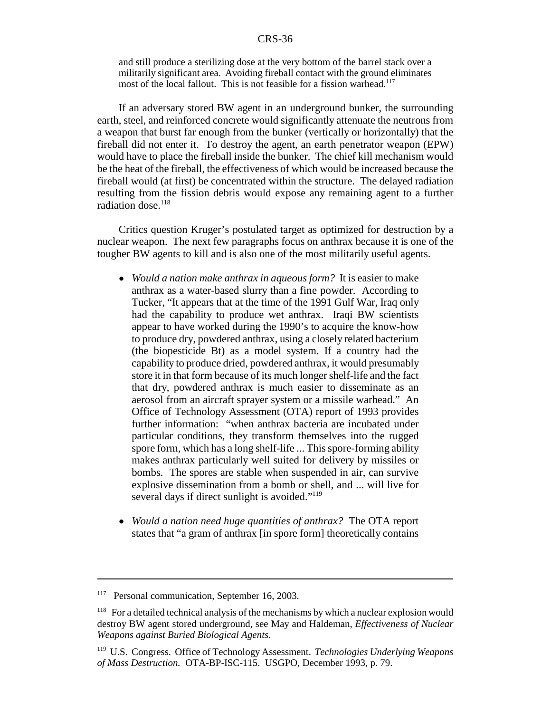and still produce a sterilizing dose at the very bottom of the barrel stack over a militarily significant area. Avoiding fireball contact with the ground eliminates most of the local fallout. This is not feasible for a fission warhead.<sup>117</sup>

If an adversary stored BW agent in an underground bunker, the surrounding earth, steel, and reinforced concrete would significantly attenuate the neutrons from a weapon that burst far enough from the bunker (vertically or horizontally) that the fireball did not enter it. To destroy the agent, an earth penetrator weapon (EPW) would have to place the fireball inside the bunker. The chief kill mechanism would be the heat of the fireball, the effectiveness of which would be increased because the fireball would (at first) be concentrated within the structure. The delayed radiation resulting from the fission debris would expose any remaining agent to a further radiation dose. $118$ 

Critics question Kruger's postulated target as optimized for destruction by a nuclear weapon. The next few paragraphs focus on anthrax because it is one of the tougher BW agents to kill and is also one of the most militarily useful agents.

- ! *Would a nation make anthrax in aqueous form?* It is easier to make anthrax as a water-based slurry than a fine powder. According to Tucker, "It appears that at the time of the 1991 Gulf War, Iraq only had the capability to produce wet anthrax. Iraqi BW scientists appear to have worked during the 1990's to acquire the know-how to produce dry, powdered anthrax, using a closely related bacterium (the biopesticide Bt) as a model system. If a country had the capability to produce dried, powdered anthrax, it would presumably store it in that form because of its much longer shelf-life and the fact that dry, powdered anthrax is much easier to disseminate as an aerosol from an aircraft sprayer system or a missile warhead." An Office of Technology Assessment (OTA) report of 1993 provides further information: "when anthrax bacteria are incubated under particular conditions, they transform themselves into the rugged spore form, which has a long shelf-life ... This spore-forming ability makes anthrax particularly well suited for delivery by missiles or bombs. The spores are stable when suspended in air, can survive explosive dissemination from a bomb or shell, and ... will live for several days if direct sunlight is avoided."<sup>119</sup>
- ! *Would a nation need huge quantities of anthrax?* The OTA report states that "a gram of anthrax [in spore form] theoretically contains

<sup>&</sup>lt;sup>117</sup> Personal communication, September 16, 2003.

 $118$  For a detailed technical analysis of the mechanisms by which a nuclear explosion would destroy BW agent stored underground, see May and Haldeman, *Effectiveness of Nuclear Weapons against Buried Biological Agents.*

<sup>119</sup> U.S. Congress. Office of Technology Assessment. *Technologies Underlying Weapons of Mass Destruction.* OTA-BP-ISC-115. USGPO, December 1993, p. 79.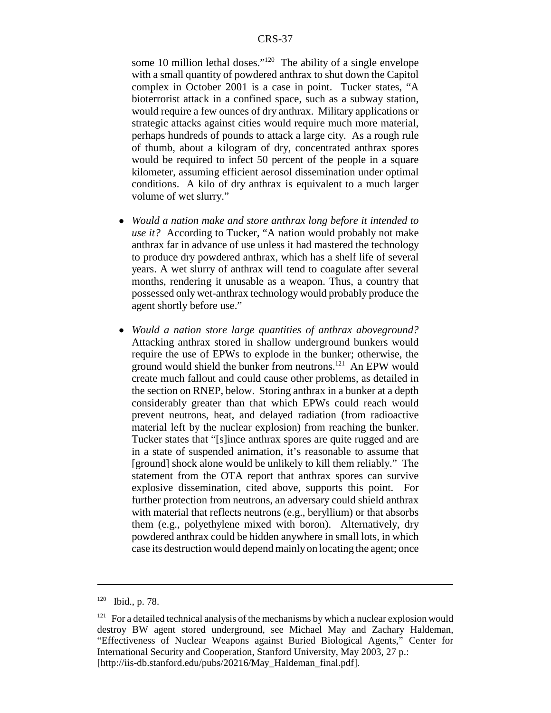some 10 million lethal doses."<sup>120</sup> The ability of a single envelope with a small quantity of powdered anthrax to shut down the Capitol complex in October 2001 is a case in point. Tucker states, "A bioterrorist attack in a confined space, such as a subway station, would require a few ounces of dry anthrax. Military applications or strategic attacks against cities would require much more material, perhaps hundreds of pounds to attack a large city. As a rough rule of thumb, about a kilogram of dry, concentrated anthrax spores would be required to infect 50 percent of the people in a square kilometer, assuming efficient aerosol dissemination under optimal conditions. A kilo of dry anthrax is equivalent to a much larger volume of wet slurry."

- ! *Would a nation make and store anthrax long before it intended to use it?* According to Tucker, "A nation would probably not make anthrax far in advance of use unless it had mastered the technology to produce dry powdered anthrax, which has a shelf life of several years. A wet slurry of anthrax will tend to coagulate after several months, rendering it unusable as a weapon. Thus, a country that possessed only wet-anthrax technology would probably produce the agent shortly before use."
- ! *Would a nation store large quantities of anthrax aboveground?* Attacking anthrax stored in shallow underground bunkers would require the use of EPWs to explode in the bunker; otherwise, the ground would shield the bunker from neutrons.<sup>121</sup> An EPW would create much fallout and could cause other problems, as detailed in the section on RNEP, below. Storing anthrax in a bunker at a depth considerably greater than that which EPWs could reach would prevent neutrons, heat, and delayed radiation (from radioactive material left by the nuclear explosion) from reaching the bunker. Tucker states that "[s]ince anthrax spores are quite rugged and are in a state of suspended animation, it's reasonable to assume that [ground] shock alone would be unlikely to kill them reliably." The statement from the OTA report that anthrax spores can survive explosive dissemination, cited above, supports this point. For further protection from neutrons, an adversary could shield anthrax with material that reflects neutrons (e.g., beryllium) or that absorbs them (e.g., polyethylene mixed with boron). Alternatively, dry powdered anthrax could be hidden anywhere in small lots, in which case its destruction would depend mainly on locating the agent; once

 $120$  Ibid., p. 78.

 $121$  For a detailed technical analysis of the mechanisms by which a nuclear explosion would destroy BW agent stored underground, see Michael May and Zachary Haldeman, "Effectiveness of Nuclear Weapons against Buried Biological Agents," Center for International Security and Cooperation, Stanford University, May 2003, 27 p.: [http://iis-db.stanford.edu/pubs/20216/May\_Haldeman\_final.pdf].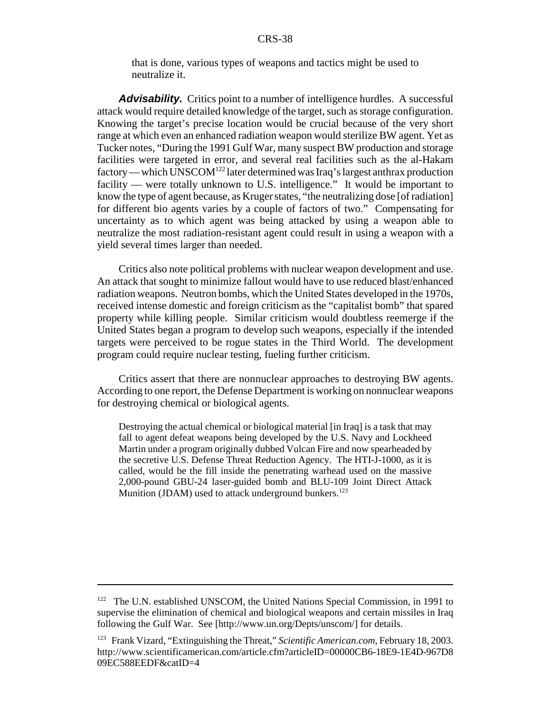that is done, various types of weapons and tactics might be used to neutralize it.

Advisability. Critics point to a number of intelligence hurdles. A successful attack would require detailed knowledge of the target, such as storage configuration. Knowing the target's precise location would be crucial because of the very short range at which even an enhanced radiation weapon would sterilize BW agent. Yet as Tucker notes, "During the 1991 Gulf War, many suspect BW production and storage facilities were targeted in error, and several real facilities such as the al-Hakam factory — which UNSCOM<sup>122</sup> later determined was Iraq's largest anthrax production facility — were totally unknown to U.S. intelligence." It would be important to know the type of agent because, as Kruger states, "the neutralizing dose [of radiation] for different bio agents varies by a couple of factors of two." Compensating for uncertainty as to which agent was being attacked by using a weapon able to neutralize the most radiation-resistant agent could result in using a weapon with a yield several times larger than needed.

Critics also note political problems with nuclear weapon development and use. An attack that sought to minimize fallout would have to use reduced blast/enhanced radiation weapons. Neutron bombs, which the United States developed in the 1970s, received intense domestic and foreign criticism as the "capitalist bomb" that spared property while killing people. Similar criticism would doubtless reemerge if the United States began a program to develop such weapons, especially if the intended targets were perceived to be rogue states in the Third World. The development program could require nuclear testing, fueling further criticism.

Critics assert that there are nonnuclear approaches to destroying BW agents. According to one report, the Defense Department is working on nonnuclear weapons for destroying chemical or biological agents.

Destroying the actual chemical or biological material [in Iraq] is a task that may fall to agent defeat weapons being developed by the U.S. Navy and Lockheed Martin under a program originally dubbed Vulcan Fire and now spearheaded by the secretive U.S. Defense Threat Reduction Agency. The HTI-J-1000, as it is called, would be the fill inside the penetrating warhead used on the massive 2,000-pound GBU-24 laser-guided bomb and BLU-109 Joint Direct Attack Munition (JDAM) used to attack underground bunkers.<sup>123</sup>

<sup>&</sup>lt;sup>122</sup> The U.N. established UNSCOM, the United Nations Special Commission, in 1991 to supervise the elimination of chemical and biological weapons and certain missiles in Iraq following the Gulf War. See [http://www.un.org/Depts/unscom/] for details.

<sup>123</sup> Frank Vizard, "Extinguishing the Threat," *Scientific American.com,* February 18, 2003. http://www.scientificamerican.com/article.cfm?articleID=00000CB6-18E9-1E4D-967D8 09EC588EEDF&catID=4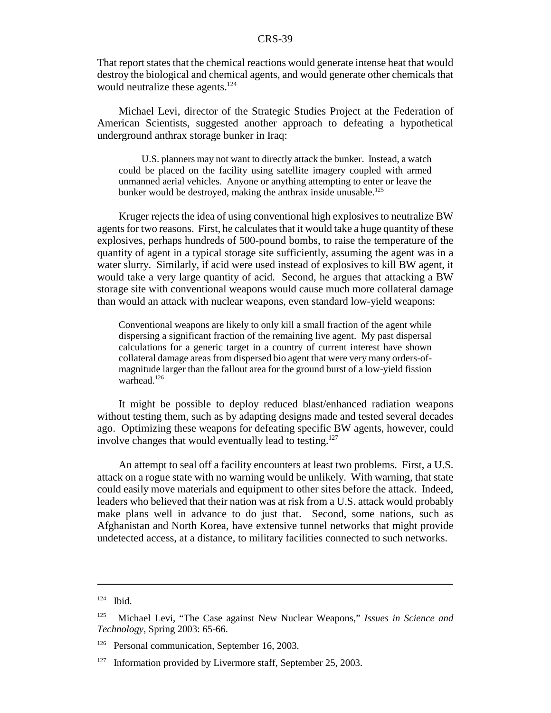That report states that the chemical reactions would generate intense heat that would destroy the biological and chemical agents, and would generate other chemicals that would neutralize these agents.<sup>124</sup>

Michael Levi, director of the Strategic Studies Project at the Federation of American Scientists, suggested another approach to defeating a hypothetical underground anthrax storage bunker in Iraq:

U.S. planners may not want to directly attack the bunker. Instead, a watch could be placed on the facility using satellite imagery coupled with armed unmanned aerial vehicles. Anyone or anything attempting to enter or leave the bunker would be destroyed, making the anthrax inside unusable.<sup>125</sup>

Kruger rejects the idea of using conventional high explosives to neutralize BW agents for two reasons. First, he calculates that it would take a huge quantity of these explosives, perhaps hundreds of 500-pound bombs, to raise the temperature of the quantity of agent in a typical storage site sufficiently, assuming the agent was in a water slurry. Similarly, if acid were used instead of explosives to kill BW agent, it would take a very large quantity of acid. Second, he argues that attacking a BW storage site with conventional weapons would cause much more collateral damage than would an attack with nuclear weapons, even standard low-yield weapons:

Conventional weapons are likely to only kill a small fraction of the agent while dispersing a significant fraction of the remaining live agent. My past dispersal calculations for a generic target in a country of current interest have shown collateral damage areas from dispersed bio agent that were very many orders-ofmagnitude larger than the fallout area for the ground burst of a low-yield fission warhead.<sup>126</sup>

It might be possible to deploy reduced blast/enhanced radiation weapons without testing them, such as by adapting designs made and tested several decades ago. Optimizing these weapons for defeating specific BW agents, however, could involve changes that would eventually lead to testing.<sup>127</sup>

An attempt to seal off a facility encounters at least two problems. First, a U.S. attack on a rogue state with no warning would be unlikely. With warning, that state could easily move materials and equipment to other sites before the attack. Indeed, leaders who believed that their nation was at risk from a U.S. attack would probably make plans well in advance to do just that. Second, some nations, such as Afghanistan and North Korea, have extensive tunnel networks that might provide undetected access, at a distance, to military facilities connected to such networks.

 $124$  Ibid.

<sup>125</sup> Michael Levi, "The Case against New Nuclear Weapons," *Issues in Science and Technology,* Spring 2003: 65-66.

<sup>&</sup>lt;sup>126</sup> Personal communication, September 16, 2003.

 $127$  Information provided by Livermore staff, September 25, 2003.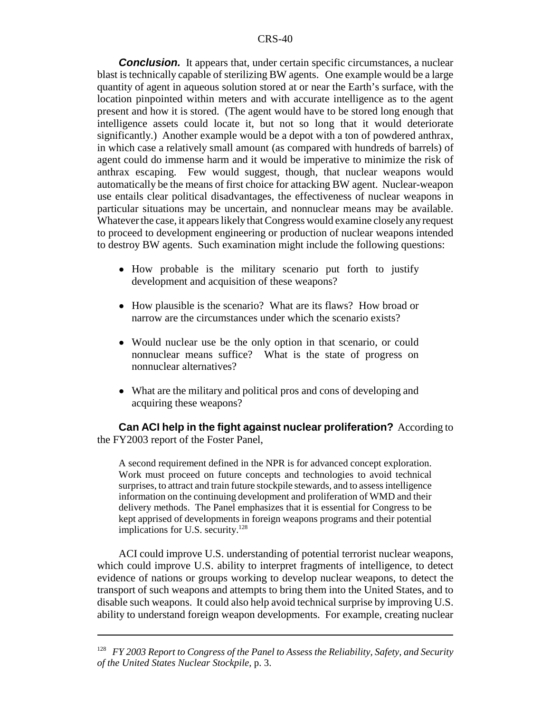**Conclusion.** It appears that, under certain specific circumstances, a nuclear blast is technically capable of sterilizing BW agents. One example would be a large quantity of agent in aqueous solution stored at or near the Earth's surface, with the location pinpointed within meters and with accurate intelligence as to the agent present and how it is stored. (The agent would have to be stored long enough that intelligence assets could locate it, but not so long that it would deteriorate significantly.) Another example would be a depot with a ton of powdered anthrax, in which case a relatively small amount (as compared with hundreds of barrels) of agent could do immense harm and it would be imperative to minimize the risk of anthrax escaping. Few would suggest, though, that nuclear weapons would automatically be the means of first choice for attacking BW agent. Nuclear-weapon use entails clear political disadvantages, the effectiveness of nuclear weapons in particular situations may be uncertain, and nonnuclear means may be available. Whatever the case, it appears likely that Congress would examine closely any request to proceed to development engineering or production of nuclear weapons intended to destroy BW agents. Such examination might include the following questions:

- How probable is the military scenario put forth to justify development and acquisition of these weapons?
- How plausible is the scenario? What are its flaws? How broad or narrow are the circumstances under which the scenario exists?
- Would nuclear use be the only option in that scenario, or could nonnuclear means suffice? What is the state of progress on nonnuclear alternatives?
- What are the military and political pros and cons of developing and acquiring these weapons?

**Can ACI help in the fight against nuclear proliferation?** According to the FY2003 report of the Foster Panel,

A second requirement defined in the NPR is for advanced concept exploration. Work must proceed on future concepts and technologies to avoid technical surprises, to attract and train future stockpile stewards, and to assess intelligence information on the continuing development and proliferation of WMD and their delivery methods. The Panel emphasizes that it is essential for Congress to be kept apprised of developments in foreign weapons programs and their potential implications for U.S. security. $128$ 

ACI could improve U.S. understanding of potential terrorist nuclear weapons, which could improve U.S. ability to interpret fragments of intelligence, to detect evidence of nations or groups working to develop nuclear weapons, to detect the transport of such weapons and attempts to bring them into the United States, and to disable such weapons. It could also help avoid technical surprise by improving U.S. ability to understand foreign weapon developments. For example, creating nuclear

<sup>128</sup> *FY 2003 Report to Congress of the Panel to Assess the Reliability, Safety, and Security of the United States Nuclear Stockpile,* p. 3.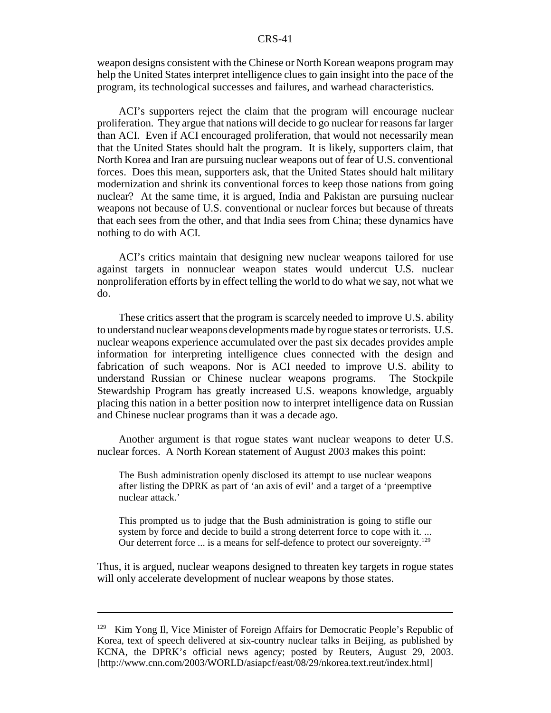weapon designs consistent with the Chinese or North Korean weapons program may help the United States interpret intelligence clues to gain insight into the pace of the program, its technological successes and failures, and warhead characteristics.

ACI's supporters reject the claim that the program will encourage nuclear proliferation. They argue that nations will decide to go nuclear for reasons far larger than ACI. Even if ACI encouraged proliferation, that would not necessarily mean that the United States should halt the program. It is likely, supporters claim, that North Korea and Iran are pursuing nuclear weapons out of fear of U.S. conventional forces. Does this mean, supporters ask, that the United States should halt military modernization and shrink its conventional forces to keep those nations from going nuclear? At the same time, it is argued, India and Pakistan are pursuing nuclear weapons not because of U.S. conventional or nuclear forces but because of threats that each sees from the other, and that India sees from China; these dynamics have nothing to do with ACI.

ACI's critics maintain that designing new nuclear weapons tailored for use against targets in nonnuclear weapon states would undercut U.S. nuclear nonproliferation efforts by in effect telling the world to do what we say, not what we do.

These critics assert that the program is scarcely needed to improve U.S. ability to understand nuclear weapons developments made by rogue states or terrorists. U.S. nuclear weapons experience accumulated over the past six decades provides ample information for interpreting intelligence clues connected with the design and fabrication of such weapons. Nor is ACI needed to improve U.S. ability to understand Russian or Chinese nuclear weapons programs. The Stockpile Stewardship Program has greatly increased U.S. weapons knowledge, arguably placing this nation in a better position now to interpret intelligence data on Russian and Chinese nuclear programs than it was a decade ago.

Another argument is that rogue states want nuclear weapons to deter U.S. nuclear forces. A North Korean statement of August 2003 makes this point:

The Bush administration openly disclosed its attempt to use nuclear weapons after listing the DPRK as part of 'an axis of evil' and a target of a 'preemptive nuclear attack.'

This prompted us to judge that the Bush administration is going to stifle our system by force and decide to build a strong deterrent force to cope with it. ... Our deterrent force ... is a means for self-defence to protect our sovereignty.<sup>129</sup>

Thus, it is argued, nuclear weapons designed to threaten key targets in rogue states will only accelerate development of nuclear weapons by those states.

 $129$  Kim Yong Il, Vice Minister of Foreign Affairs for Democratic People's Republic of Korea, text of speech delivered at six-country nuclear talks in Beijing, as published by KCNA, the DPRK's official news agency; posted by Reuters, August 29, 2003. [http://www.cnn.com/2003/WORLD/asiapcf/east/08/29/nkorea.text.reut/index.html]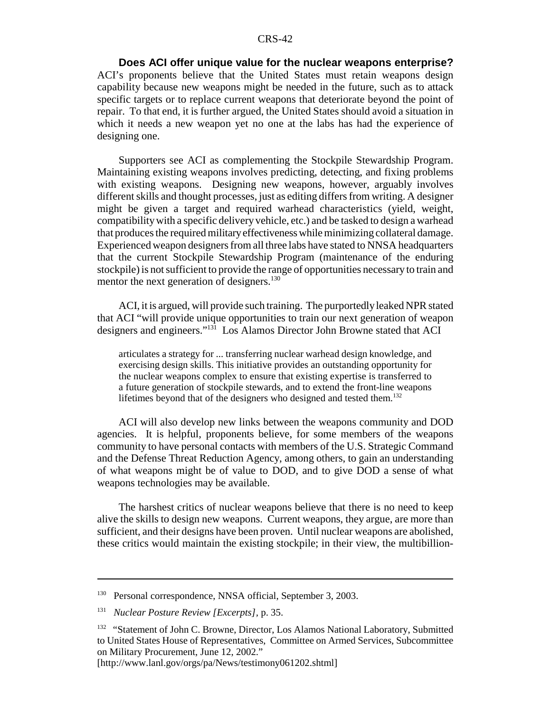**Does ACI offer unique value for the nuclear weapons enterprise?** ACI's proponents believe that the United States must retain weapons design capability because new weapons might be needed in the future, such as to attack specific targets or to replace current weapons that deteriorate beyond the point of repair. To that end, it is further argued, the United States should avoid a situation in which it needs a new weapon yet no one at the labs has had the experience of designing one.

Supporters see ACI as complementing the Stockpile Stewardship Program. Maintaining existing weapons involves predicting, detecting, and fixing problems with existing weapons. Designing new weapons, however, arguably involves different skills and thought processes, just as editing differs from writing. A designer might be given a target and required warhead characteristics (yield, weight, compatibility with a specific delivery vehicle, etc.) and be tasked to design a warhead that produces the required military effectiveness while minimizing collateral damage. Experienced weapon designers from all three labs have stated to NNSA headquarters that the current Stockpile Stewardship Program (maintenance of the enduring stockpile) is not sufficient to provide the range of opportunities necessary to train and mentor the next generation of designers. $130$ 

ACI, it is argued, will provide such training. The purportedly leaked NPR stated that ACI "will provide unique opportunities to train our next generation of weapon designers and engineers."131 Los Alamos Director John Browne stated that ACI

articulates a strategy for ... transferring nuclear warhead design knowledge, and exercising design skills. This initiative provides an outstanding opportunity for the nuclear weapons complex to ensure that existing expertise is transferred to a future generation of stockpile stewards, and to extend the front-line weapons lifetimes beyond that of the designers who designed and tested them.<sup>132</sup>

ACI will also develop new links between the weapons community and DOD agencies. It is helpful, proponents believe, for some members of the weapons community to have personal contacts with members of the U.S. Strategic Command and the Defense Threat Reduction Agency, among others, to gain an understanding of what weapons might be of value to DOD, and to give DOD a sense of what weapons technologies may be available.

The harshest critics of nuclear weapons believe that there is no need to keep alive the skills to design new weapons. Current weapons, they argue, are more than sufficient, and their designs have been proven. Until nuclear weapons are abolished, these critics would maintain the existing stockpile; in their view, the multibillion-

<sup>&</sup>lt;sup>130</sup> Personal correspondence, NNSA official, September 3, 2003.

<sup>131</sup> *Nuclear Posture Review [Excerpts],* p. 35.

<sup>&</sup>lt;sup>132</sup> "Statement of John C. Browne, Director, Los Alamos National Laboratory, Submitted to United States House of Representatives, Committee on Armed Services, Subcommittee on Military Procurement, June 12, 2002."

<sup>[</sup>http://www.lanl.gov/orgs/pa/News/testimony061202.shtml]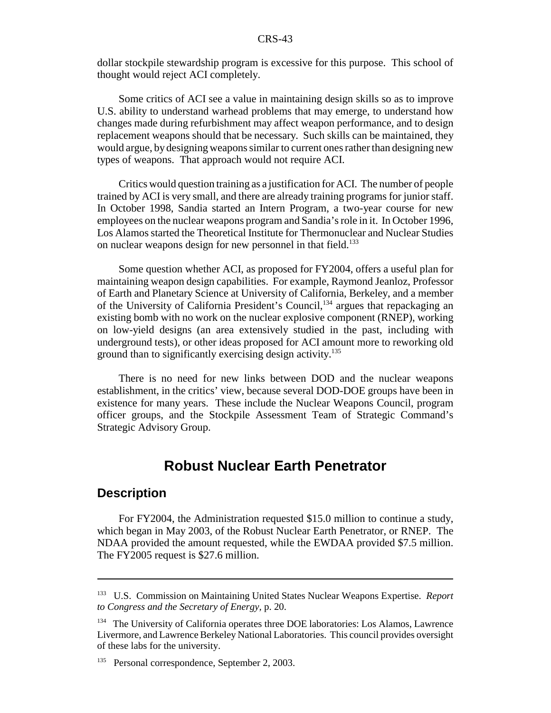dollar stockpile stewardship program is excessive for this purpose. This school of thought would reject ACI completely.

Some critics of ACI see a value in maintaining design skills so as to improve U.S. ability to understand warhead problems that may emerge, to understand how changes made during refurbishment may affect weapon performance, and to design replacement weapons should that be necessary. Such skills can be maintained, they would argue, by designing weapons similar to current ones rather than designing new types of weapons. That approach would not require ACI.

Critics would question training as a justification for ACI. The number of people trained by ACI is very small, and there are already training programs for junior staff. In October 1998, Sandia started an Intern Program, a two-year course for new employees on the nuclear weapons program and Sandia's role in it. In October 1996, Los Alamos started the Theoretical Institute for Thermonuclear and Nuclear Studies on nuclear weapons design for new personnel in that field.<sup>133</sup>

Some question whether ACI, as proposed for FY2004, offers a useful plan for maintaining weapon design capabilities. For example, Raymond Jeanloz, Professor of Earth and Planetary Science at University of California, Berkeley, and a member of the University of California President's Council,<sup>134</sup> argues that repackaging an existing bomb with no work on the nuclear explosive component (RNEP), working on low-yield designs (an area extensively studied in the past, including with underground tests), or other ideas proposed for ACI amount more to reworking old ground than to significantly exercising design activity.<sup>135</sup>

There is no need for new links between DOD and the nuclear weapons establishment, in the critics' view, because several DOD-DOE groups have been in existence for many years. These include the Nuclear Weapons Council, program officer groups, and the Stockpile Assessment Team of Strategic Command's Strategic Advisory Group.

# **Robust Nuclear Earth Penetrator**

#### **Description**

For FY2004, the Administration requested \$15.0 million to continue a study, which began in May 2003, of the Robust Nuclear Earth Penetrator, or RNEP. The NDAA provided the amount requested, while the EWDAA provided \$7.5 million. The FY2005 request is \$27.6 million.

<sup>133</sup> U.S. Commission on Maintaining United States Nuclear Weapons Expertise. *Report to Congress and the Secretary of Energy,* p. 20.

<sup>&</sup>lt;sup>134</sup> The University of California operates three DOE laboratories: Los Alamos, Lawrence Livermore, and Lawrence Berkeley National Laboratories. This council provides oversight of these labs for the university.

<sup>&</sup>lt;sup>135</sup> Personal correspondence, September 2, 2003.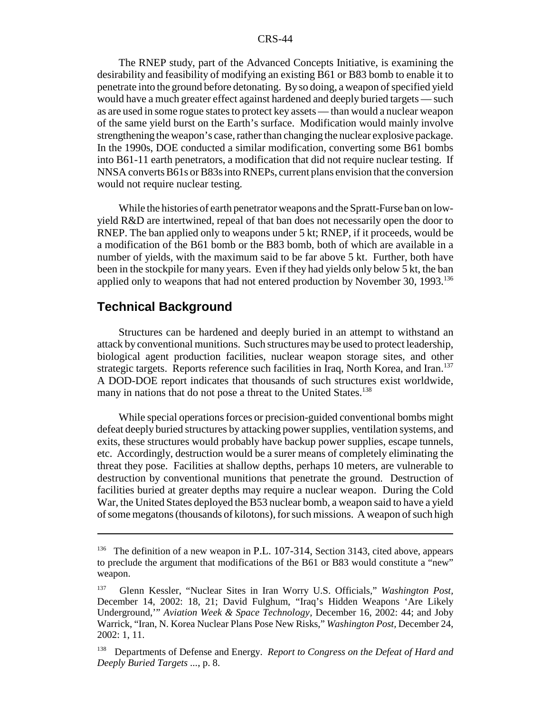The RNEP study, part of the Advanced Concepts Initiative, is examining the desirability and feasibility of modifying an existing B61 or B83 bomb to enable it to penetrate into the ground before detonating. By so doing, a weapon of specified yield would have a much greater effect against hardened and deeply buried targets — such as are used in some rogue states to protect key assets — than would a nuclear weapon of the same yield burst on the Earth's surface. Modification would mainly involve strengthening the weapon's case, rather than changing the nuclear explosive package. In the 1990s, DOE conducted a similar modification, converting some B61 bombs into B61-11 earth penetrators, a modification that did not require nuclear testing. If NNSA converts B61s or B83s into RNEPs, current plans envision that the conversion would not require nuclear testing.

While the histories of earth penetrator weapons and the Spratt-Furse ban on lowyield R&D are intertwined, repeal of that ban does not necessarily open the door to RNEP. The ban applied only to weapons under 5 kt; RNEP, if it proceeds, would be a modification of the B61 bomb or the B83 bomb, both of which are available in a number of yields, with the maximum said to be far above 5 kt. Further, both have been in the stockpile for many years. Even if they had yields only below 5 kt, the ban applied only to weapons that had not entered production by November 30, 1993.<sup>136</sup>

## **Technical Background**

Structures can be hardened and deeply buried in an attempt to withstand an attack by conventional munitions. Such structures may be used to protect leadership, biological agent production facilities, nuclear weapon storage sites, and other strategic targets. Reports reference such facilities in Iraq, North Korea, and Iran.<sup>137</sup> A DOD-DOE report indicates that thousands of such structures exist worldwide, many in nations that do not pose a threat to the United States.<sup>138</sup>

While special operations forces or precision-guided conventional bombs might defeat deeply buried structures by attacking power supplies, ventilation systems, and exits, these structures would probably have backup power supplies, escape tunnels, etc. Accordingly, destruction would be a surer means of completely eliminating the threat they pose. Facilities at shallow depths, perhaps 10 meters, are vulnerable to destruction by conventional munitions that penetrate the ground. Destruction of facilities buried at greater depths may require a nuclear weapon. During the Cold War, the United States deployed the B53 nuclear bomb, a weapon said to have a yield of some megatons (thousands of kilotons), for such missions. A weapon of such high

<sup>&</sup>lt;sup>136</sup> The definition of a new weapon in P.L.  $107-314$ , Section 3143, cited above, appears to preclude the argument that modifications of the B61 or B83 would constitute a "new" weapon.

<sup>137</sup> Glenn Kessler, "Nuclear Sites in Iran Worry U.S. Officials," *Washington Post,* December 14, 2002: 18, 21; David Fulghum, "Iraq's Hidden Weapons 'Are Likely Underground,'" *Aviation Week & Space Technology,* December 16, 2002: 44; and Joby Warrick, "Iran, N. Korea Nuclear Plans Pose New Risks," *Washington Post,* December 24, 2002: 1, 11.

<sup>138</sup> Departments of Defense and Energy. *Report to Congress on the Defeat of Hard and Deeply Buried Targets ...*, p. 8.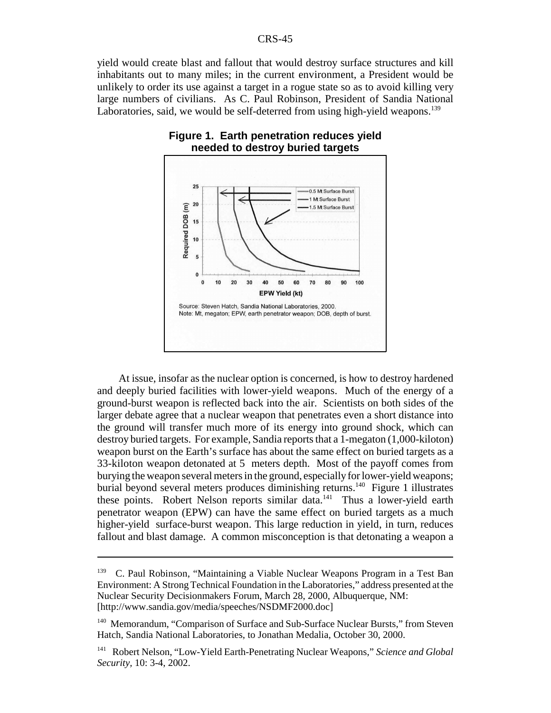yield would create blast and fallout that would destroy surface structures and kill inhabitants out to many miles; in the current environment, a President would be unlikely to order its use against a target in a rogue state so as to avoid killing very large numbers of civilians. As C. Paul Robinson, President of Sandia National Laboratories, said, we would be self-deterred from using high-yield weapons.<sup>139</sup>



## **Figure 1. Earth penetration reduces yield needed to destroy buried targets**

At issue, insofar as the nuclear option is concerned, is how to destroy hardened and deeply buried facilities with lower-yield weapons. Much of the energy of a ground-burst weapon is reflected back into the air. Scientists on both sides of the larger debate agree that a nuclear weapon that penetrates even a short distance into the ground will transfer much more of its energy into ground shock, which can destroy buried targets. For example, Sandia reports that a 1-megaton (1,000-kiloton) weapon burst on the Earth's surface has about the same effect on buried targets as a 33-kiloton weapon detonated at 5 meters depth. Most of the payoff comes from burying the weapon several meters in the ground, especially for lower-yield weapons; burial beyond several meters produces diminishing returns.<sup>140</sup> Figure 1 illustrates these points. Robert Nelson reports similar data.<sup>141</sup> Thus a lower-yield earth penetrator weapon (EPW) can have the same effect on buried targets as a much higher-yield surface-burst weapon. This large reduction in yield, in turn, reduces fallout and blast damage. A common misconception is that detonating a weapon a

<sup>&</sup>lt;sup>139</sup> C. Paul Robinson, "Maintaining a Viable Nuclear Weapons Program in a Test Ban Environment: A Strong Technical Foundation in the Laboratories," address presented at the Nuclear Security Decisionmakers Forum, March 28, 2000, Albuquerque, NM: [http://www.sandia.gov/media/speeches/NSDMF2000.doc]

<sup>&</sup>lt;sup>140</sup> Memorandum, "Comparison of Surface and Sub-Surface Nuclear Bursts," from Steven Hatch, Sandia National Laboratories, to Jonathan Medalia, October 30, 2000.

<sup>141</sup> Robert Nelson, "Low-Yield Earth-Penetrating Nuclear Weapons," *Science and Global Security,* 10: 3-4, 2002.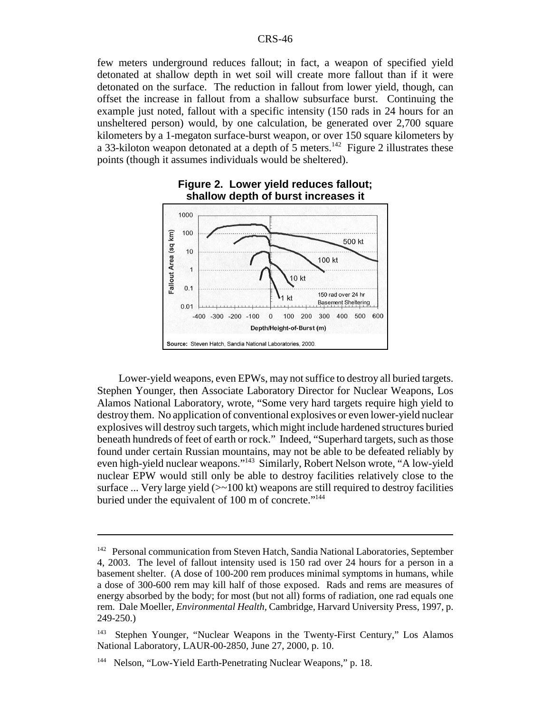few meters underground reduces fallout; in fact, a weapon of specified yield detonated at shallow depth in wet soil will create more fallout than if it were detonated on the surface. The reduction in fallout from lower yield, though, can offset the increase in fallout from a shallow subsurface burst. Continuing the example just noted, fallout with a specific intensity (150 rads in 24 hours for an unsheltered person) would, by one calculation, be generated over 2,700 square kilometers by a 1-megaton surface-burst weapon, or over 150 square kilometers by a 33-kiloton weapon detonated at a depth of 5 meters.<sup>142</sup> Figure 2 illustrates these points (though it assumes individuals would be sheltered).





Lower-yield weapons, even EPWs, may not suffice to destroy all buried targets. Stephen Younger, then Associate Laboratory Director for Nuclear Weapons, Los Alamos National Laboratory, wrote, "Some very hard targets require high yield to destroy them. No application of conventional explosives or even lower-yield nuclear explosives will destroy such targets, which might include hardened structures buried beneath hundreds of feet of earth or rock." Indeed, "Superhard targets, such as those found under certain Russian mountains, may not be able to be defeated reliably by even high-yield nuclear weapons."143 Similarly, Robert Nelson wrote, "A low-yield nuclear EPW would still only be able to destroy facilities relatively close to the surface ... Very large yield  $(\geq 100 \text{ kt})$  weapons are still required to destroy facilities buried under the equivalent of 100 m of concrete."<sup>144</sup>

<sup>&</sup>lt;sup>142</sup> Personal communication from Steven Hatch, Sandia National Laboratories, September 4, 2003. The level of fallout intensity used is 150 rad over 24 hours for a person in a basement shelter. (A dose of 100-200 rem produces minimal symptoms in humans, while a dose of 300-600 rem may kill half of those exposed. Rads and rems are measures of energy absorbed by the body; for most (but not all) forms of radiation, one rad equals one rem. Dale Moeller, *Environmental Health,* Cambridge, Harvard University Press, 1997, p. 249-250.)

<sup>143</sup> Stephen Younger, "Nuclear Weapons in the Twenty-First Century," Los Alamos National Laboratory, LAUR-00-2850, June 27, 2000, p. 10.

<sup>&</sup>lt;sup>144</sup> Nelson, "Low-Yield Earth-Penetrating Nuclear Weapons," p. 18.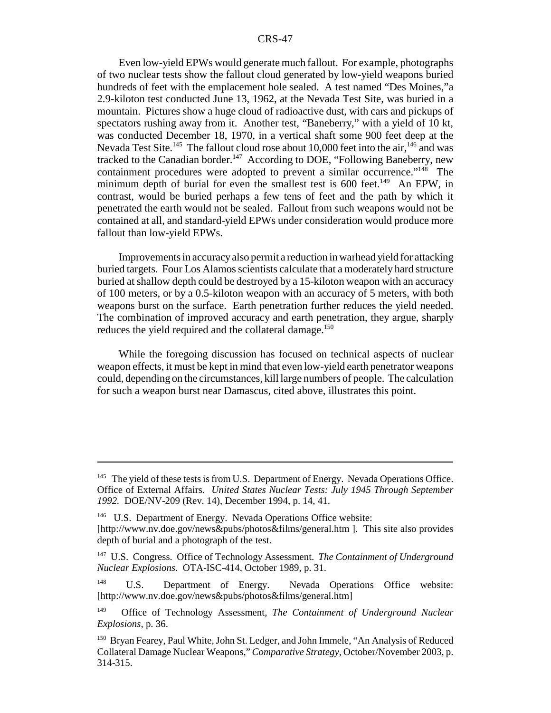Even low-yield EPWs would generate much fallout. For example, photographs of two nuclear tests show the fallout cloud generated by low-yield weapons buried hundreds of feet with the emplacement hole sealed. A test named "Des Moines,"a 2.9-kiloton test conducted June 13, 1962, at the Nevada Test Site, was buried in a mountain. Pictures show a huge cloud of radioactive dust, with cars and pickups of spectators rushing away from it. Another test, "Baneberry," with a yield of 10 kt, was conducted December 18, 1970, in a vertical shaft some 900 feet deep at the Nevada Test Site.<sup>145</sup> The fallout cloud rose about 10,000 feet into the air,  $146$  and was tracked to the Canadian border.<sup>147</sup> According to DOE, "Following Baneberry, new containment procedures were adopted to prevent a similar occurrence."<sup>148</sup> The minimum depth of burial for even the smallest test is 600 feet.<sup>149</sup> An EPW, in contrast, would be buried perhaps a few tens of feet and the path by which it penetrated the earth would not be sealed. Fallout from such weapons would not be contained at all, and standard-yield EPWs under consideration would produce more fallout than low-yield EPWs.

Improvements in accuracy also permit a reduction in warhead yield for attacking buried targets. Four Los Alamos scientists calculate that a moderately hard structure buried at shallow depth could be destroyed by a 15-kiloton weapon with an accuracy of 100 meters, or by a 0.5-kiloton weapon with an accuracy of 5 meters, with both weapons burst on the surface. Earth penetration further reduces the yield needed. The combination of improved accuracy and earth penetration, they argue, sharply reduces the yield required and the collateral damage.<sup>150</sup>

While the foregoing discussion has focused on technical aspects of nuclear weapon effects, it must be kept in mind that even low-yield earth penetrator weapons could, depending on the circumstances, kill large numbers of people. The calculation for such a weapon burst near Damascus, cited above, illustrates this point.

<sup>&</sup>lt;sup>145</sup> The yield of these tests is from U.S. Department of Energy. Nevada Operations Office. Office of External Affairs. *United States Nuclear Tests: July 1945 Through September 1992.* DOE/NV-209 (Rev. 14), December 1994, p. 14, 41.

<sup>&</sup>lt;sup>146</sup> U.S. Department of Energy. Nevada Operations Office website: [http://www.nv.doe.gov/news&pubs/photos&films/general.htm ]. This site also provides depth of burial and a photograph of the test.

<sup>147</sup> U.S. Congress. Office of Technology Assessment. *The Containment of Underground Nuclear Explosions.* OTA-ISC-414, October 1989, p. 31.

<sup>&</sup>lt;sup>148</sup> U.S. Department of Energy. Nevada Operations Office website: [http://www.nv.doe.gov/news&pubs/photos&films/general.htm]

<sup>149</sup> Office of Technology Assessment, *The Containment of Underground Nuclear Explosions,* p. 36.

<sup>&</sup>lt;sup>150</sup> Bryan Fearey, Paul White, John St. Ledger, and John Immele, "An Analysis of Reduced Collateral Damage Nuclear Weapons," *Comparative Strategy,* October/November 2003, p. 314-315.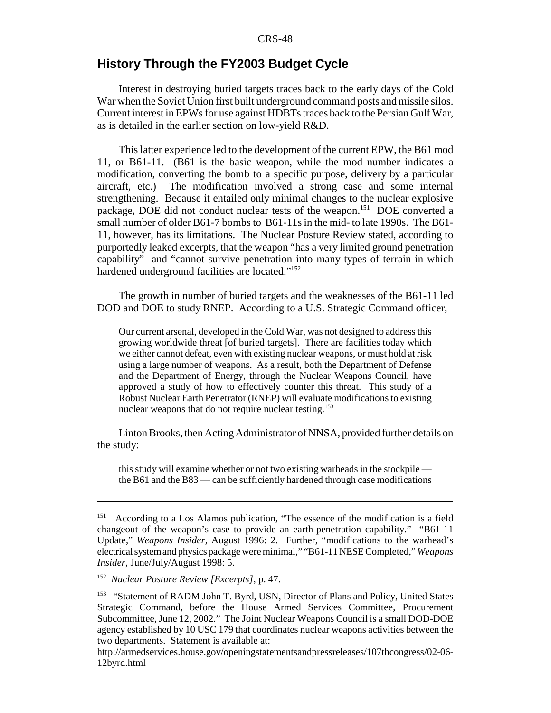## **History Through the FY2003 Budget Cycle**

Interest in destroying buried targets traces back to the early days of the Cold War when the Soviet Union first built underground command posts and missile silos. Current interest in EPWs for use against HDBTs traces back to the Persian Gulf War, as is detailed in the earlier section on low-yield R&D.

This latter experience led to the development of the current EPW, the B61 mod 11, or B61-11. (B61 is the basic weapon, while the mod number indicates a modification, converting the bomb to a specific purpose, delivery by a particular aircraft, etc.) The modification involved a strong case and some internal strengthening. Because it entailed only minimal changes to the nuclear explosive package, DOE did not conduct nuclear tests of the weapon.<sup>151</sup> DOE converted a small number of older B61-7 bombs to B61-11s in the mid- to late 1990s. The B61- 11, however, has its limitations. The Nuclear Posture Review stated, according to purportedly leaked excerpts, that the weapon "has a very limited ground penetration capability" and "cannot survive penetration into many types of terrain in which hardened underground facilities are located."152

The growth in number of buried targets and the weaknesses of the B61-11 led DOD and DOE to study RNEP. According to a U.S. Strategic Command officer,

Our current arsenal, developed in the Cold War, was not designed to address this growing worldwide threat [of buried targets]. There are facilities today which we either cannot defeat, even with existing nuclear weapons, or must hold at risk using a large number of weapons. As a result, both the Department of Defense and the Department of Energy, through the Nuclear Weapons Council, have approved a study of how to effectively counter this threat. This study of a Robust Nuclear Earth Penetrator (RNEP) will evaluate modifications to existing nuclear weapons that do not require nuclear testing.153

Linton Brooks, then Acting Administrator of NNSA, provided further details on the study:

this study will examine whether or not two existing warheads in the stockpile the B61 and the B83 — can be sufficiently hardened through case modifications

<sup>&</sup>lt;sup>151</sup> According to a Los Alamos publication, "The essence of the modification is a field changeout of the weapon's case to provide an earth-penetration capability." "B61-11 Update," *Weapons Insider,* August 1996: 2. Further, "modifications to the warhead's electrical system and physics package were minimal," "B61-11 NESE Completed," *Weapons Insider,* June/July/August 1998: 5.

<sup>152</sup> *Nuclear Posture Review [Excerpts],* p. 47.

<sup>&</sup>lt;sup>153</sup> "Statement of RADM John T. Byrd, USN, Director of Plans and Policy, United States Strategic Command, before the House Armed Services Committee, Procurement Subcommittee, June 12, 2002." The Joint Nuclear Weapons Council is a small DOD-DOE agency established by 10 USC 179 that coordinates nuclear weapons activities between the two departments. Statement is available at:

http://armedservices.house.gov/openingstatementsandpressreleases/107thcongress/02-06- 12byrd.html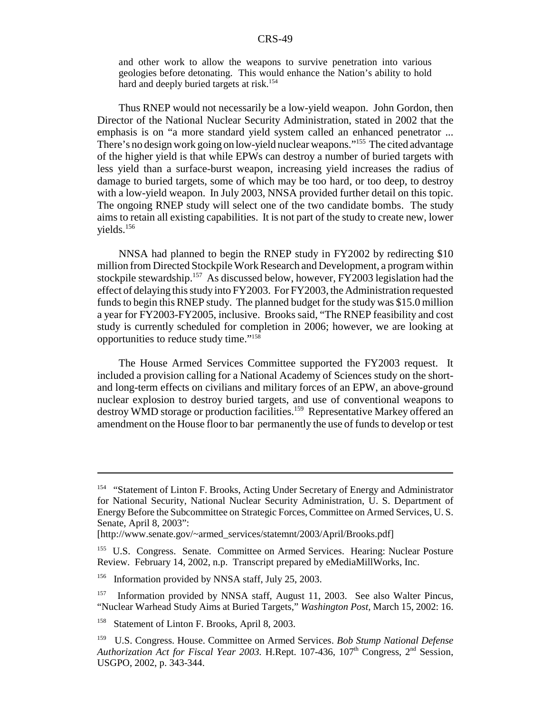and other work to allow the weapons to survive penetration into various geologies before detonating. This would enhance the Nation's ability to hold hard and deeply buried targets at risk.<sup>154</sup>

Thus RNEP would not necessarily be a low-yield weapon. John Gordon, then Director of the National Nuclear Security Administration, stated in 2002 that the emphasis is on "a more standard yield system called an enhanced penetrator ... There's no design work going on low-yield nuclear weapons."155 The cited advantage of the higher yield is that while EPWs can destroy a number of buried targets with less yield than a surface-burst weapon, increasing yield increases the radius of damage to buried targets, some of which may be too hard, or too deep, to destroy with a low-yield weapon. In July 2003, NNSA provided further detail on this topic. The ongoing RNEP study will select one of the two candidate bombs. The study aims to retain all existing capabilities. It is not part of the study to create new, lower yields.156

NNSA had planned to begin the RNEP study in FY2002 by redirecting \$10 million from Directed Stockpile Work Research and Development, a program within stockpile stewardship.157 As discussed below, however, FY2003 legislation had the effect of delaying this study into FY2003. For FY2003, the Administration requested funds to begin this RNEP study. The planned budget for the study was \$15.0 million a year for FY2003-FY2005, inclusive. Brooks said, "The RNEP feasibility and cost study is currently scheduled for completion in 2006; however, we are looking at opportunities to reduce study time."158

The House Armed Services Committee supported the FY2003 request. It included a provision calling for a National Academy of Sciences study on the shortand long-term effects on civilians and military forces of an EPW, an above-ground nuclear explosion to destroy buried targets, and use of conventional weapons to destroy WMD storage or production facilities.<sup>159</sup> Representative Markey offered an amendment on the House floor to bar permanently the use of funds to develop or test

<sup>&</sup>lt;sup>154</sup> "Statement of Linton F. Brooks, Acting Under Secretary of Energy and Administrator for National Security, National Nuclear Security Administration, U. S. Department of Energy Before the Subcommittee on Strategic Forces, Committee on Armed Services, U. S. Senate, April 8, 2003":

<sup>[</sup>http://www.senate.gov/~armed\_services/statemnt/2003/April/Brooks.pdf]

<sup>&</sup>lt;sup>155</sup> U.S. Congress. Senate. Committee on Armed Services. Hearing: Nuclear Posture Review. February 14, 2002, n.p. Transcript prepared by eMediaMillWorks, Inc.

<sup>&</sup>lt;sup>156</sup> Information provided by NNSA staff, July 25, 2003.

<sup>&</sup>lt;sup>157</sup> Information provided by NNSA staff, August 11, 2003. See also Walter Pincus, "Nuclear Warhead Study Aims at Buried Targets," *Washington Post,* March 15, 2002: 16.

<sup>&</sup>lt;sup>158</sup> Statement of Linton F. Brooks, April 8, 2003.

<sup>159</sup> U.S. Congress. House. Committee on Armed Services. *Bob Stump National Defense Authorization Act for Fiscal Year 2003.* H.Rept. 107-436, 107<sup>th</sup> Congress, 2<sup>nd</sup> Session, USGPO, 2002, p. 343-344.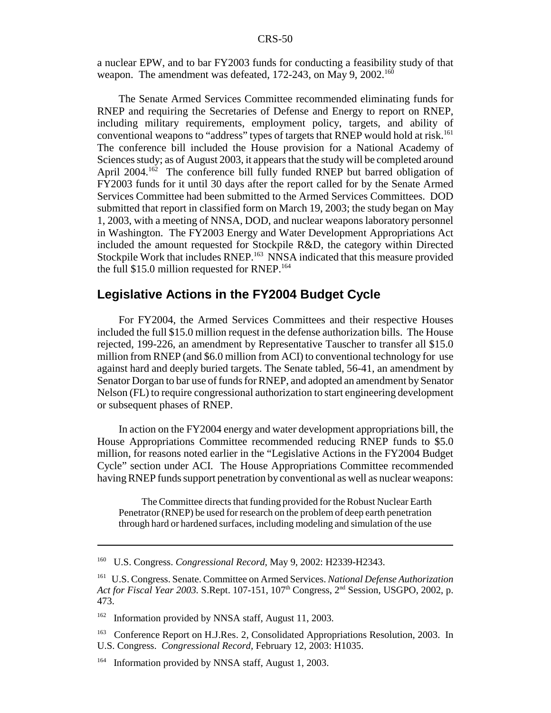a nuclear EPW, and to bar FY2003 funds for conducting a feasibility study of that weapon. The amendment was defeated,  $172-243$ , on May 9,  $2002$ <sup>160</sup>

The Senate Armed Services Committee recommended eliminating funds for RNEP and requiring the Secretaries of Defense and Energy to report on RNEP, including military requirements, employment policy, targets, and ability of conventional weapons to "address" types of targets that RNEP would hold at risk.<sup>161</sup> The conference bill included the House provision for a National Academy of Sciences study; as of August 2003, it appears that the study will be completed around April 2004.<sup>162</sup> The conference bill fully funded RNEP but barred obligation of FY2003 funds for it until 30 days after the report called for by the Senate Armed Services Committee had been submitted to the Armed Services Committees. DOD submitted that report in classified form on March 19, 2003; the study began on May 1, 2003, with a meeting of NNSA, DOD, and nuclear weapons laboratory personnel in Washington. The FY2003 Energy and Water Development Appropriations Act included the amount requested for Stockpile R&D, the category within Directed Stockpile Work that includes RNEP.<sup>163</sup> NNSA indicated that this measure provided the full  $$15.0$  million requested for RNEP.<sup>164</sup>

### **Legislative Actions in the FY2004 Budget Cycle**

For FY2004, the Armed Services Committees and their respective Houses included the full \$15.0 million request in the defense authorization bills. The House rejected, 199-226, an amendment by Representative Tauscher to transfer all \$15.0 million from RNEP (and \$6.0 million from ACI) to conventional technology for use against hard and deeply buried targets. The Senate tabled, 56-41, an amendment by Senator Dorgan to bar use of funds for RNEP, and adopted an amendment by Senator Nelson (FL) to require congressional authorization to start engineering development or subsequent phases of RNEP.

In action on the FY2004 energy and water development appropriations bill, the House Appropriations Committee recommended reducing RNEP funds to \$5.0 million, for reasons noted earlier in the "Legislative Actions in the FY2004 Budget Cycle" section under ACI. The House Appropriations Committee recommended having RNEP funds support penetration by conventional as well as nuclear weapons:

The Committee directs that funding provided for the Robust Nuclear Earth Penetrator (RNEP) be used for research on the problem of deep earth penetration through hard or hardened surfaces, including modeling and simulation of the use

<sup>162</sup> Information provided by NNSA staff, August 11, 2003.

<sup>160</sup> U.S. Congress. *Congressional Record,* May 9, 2002: H2339-H2343.

<sup>161</sup> U.S. Congress. Senate. Committee on Armed Services. *National Defense Authorization* Act for Fiscal Year 2003. S.Rept. 107-151, 107<sup>th</sup> Congress, 2<sup>nd</sup> Session, USGPO, 2002, p. 473.

<sup>&</sup>lt;sup>163</sup> Conference Report on H.J.Res. 2, Consolidated Appropriations Resolution, 2003. In U.S. Congress. *Congressional Record,* February 12, 2003: H1035.

<sup>&</sup>lt;sup>164</sup> Information provided by NNSA staff, August 1, 2003.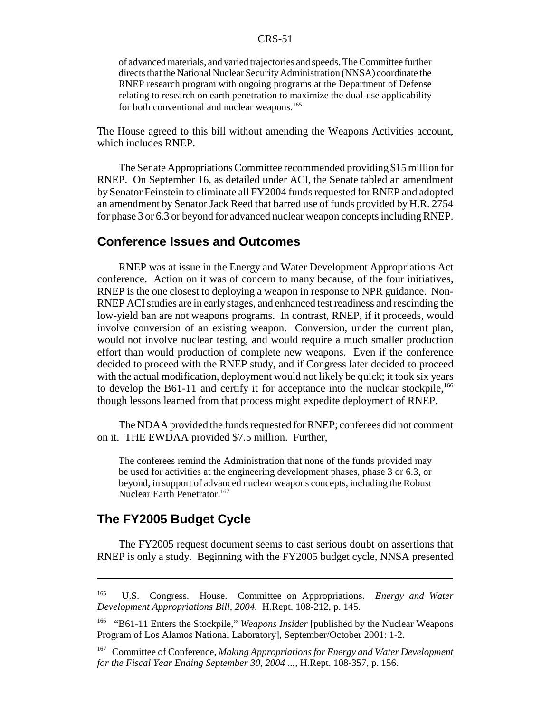of advanced materials, and varied trajectories and speeds. The Committee further directs that the National Nuclear Security Administration (NNSA) coordinate the RNEP research program with ongoing programs at the Department of Defense relating to research on earth penetration to maximize the dual-use applicability for both conventional and nuclear weapons.<sup>165</sup>

The House agreed to this bill without amending the Weapons Activities account, which includes RNEP.

The Senate Appropriations Committee recommended providing \$15 million for RNEP. On September 16, as detailed under ACI, the Senate tabled an amendment by Senator Feinstein to eliminate all FY2004 funds requested for RNEP and adopted an amendment by Senator Jack Reed that barred use of funds provided by H.R. 2754 for phase 3 or 6.3 or beyond for advanced nuclear weapon concepts including RNEP.

### **Conference Issues and Outcomes**

RNEP was at issue in the Energy and Water Development Appropriations Act conference. Action on it was of concern to many because, of the four initiatives, RNEP is the one closest to deploying a weapon in response to NPR guidance. Non-RNEP ACI studies are in early stages, and enhanced test readiness and rescinding the low-yield ban are not weapons programs. In contrast, RNEP, if it proceeds, would involve conversion of an existing weapon. Conversion, under the current plan, would not involve nuclear testing, and would require a much smaller production effort than would production of complete new weapons. Even if the conference decided to proceed with the RNEP study, and if Congress later decided to proceed with the actual modification, deployment would not likely be quick; it took six years to develop the B61-11 and certify it for acceptance into the nuclear stockpile,<sup>166</sup> though lessons learned from that process might expedite deployment of RNEP.

The NDAA provided the funds requested for RNEP; conferees did not comment on it. THE EWDAA provided \$7.5 million. Further,

The conferees remind the Administration that none of the funds provided may be used for activities at the engineering development phases, phase 3 or 6.3, or beyond, in support of advanced nuclear weapons concepts, including the Robust Nuclear Earth Penetrator.<sup>167</sup>

## **The FY2005 Budget Cycle**

The FY2005 request document seems to cast serious doubt on assertions that RNEP is only a study. Beginning with the FY2005 budget cycle, NNSA presented

<sup>165</sup> U.S. Congress. House. Committee on Appropriations. *Energy and Water Development Appropriations Bill, 2004.* H.Rept. 108-212, p. 145.

<sup>166 &</sup>quot;B61-11 Enters the Stockpile," *Weapons Insider* [published by the Nuclear Weapons Program of Los Alamos National Laboratory], September/October 2001: 1-2.

<sup>167</sup> Committee of Conference, *Making Appropriations for Energy and Water Development for the Fiscal Year Ending September 30, 2004 ...,* H.Rept. 108-357, p. 156.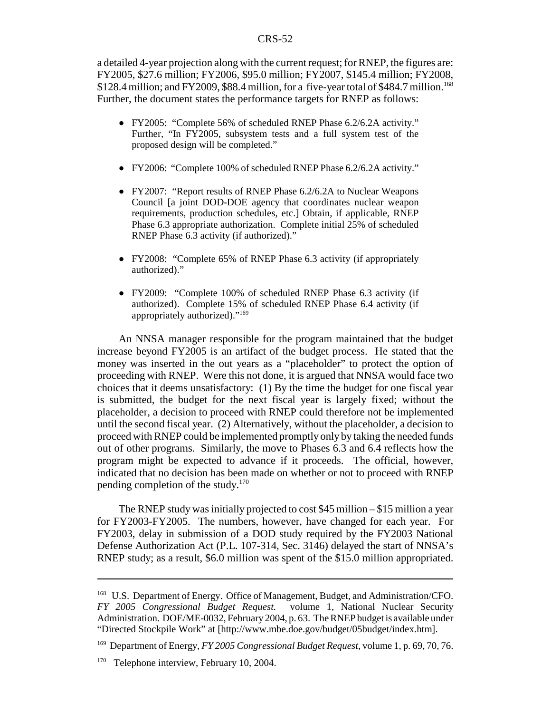a detailed 4-year projection along with the current request; for RNEP, the figures are: FY2005, \$27.6 million; FY2006, \$95.0 million; FY2007, \$145.4 million; FY2008,  $$128.4$  million; and FY2009, \$88.4 million, for a five-year total of \$484.7 million.<sup>168</sup> Further, the document states the performance targets for RNEP as follows:

- ! FY2005: "Complete 56% of scheduled RNEP Phase 6.2/6.2A activity." Further, "In FY2005, subsystem tests and a full system test of the proposed design will be completed."
- ! FY2006: "Complete 100% of scheduled RNEP Phase 6.2/6.2A activity."
- ! FY2007: "Report results of RNEP Phase 6.2/6.2A to Nuclear Weapons Council [a joint DOD-DOE agency that coordinates nuclear weapon requirements, production schedules, etc.] Obtain, if applicable, RNEP Phase 6.3 appropriate authorization. Complete initial 25% of scheduled RNEP Phase 6.3 activity (if authorized)."
- FY2008: "Complete 65% of RNEP Phase 6.3 activity (if appropriately authorized)."
- ! FY2009: "Complete 100% of scheduled RNEP Phase 6.3 activity (if authorized). Complete 15% of scheduled RNEP Phase 6.4 activity (if appropriately authorized)."169

An NNSA manager responsible for the program maintained that the budget increase beyond FY2005 is an artifact of the budget process. He stated that the money was inserted in the out years as a "placeholder" to protect the option of proceeding with RNEP. Were this not done, it is argued that NNSA would face two choices that it deems unsatisfactory: (1) By the time the budget for one fiscal year is submitted, the budget for the next fiscal year is largely fixed; without the placeholder, a decision to proceed with RNEP could therefore not be implemented until the second fiscal year. (2) Alternatively, without the placeholder, a decision to proceed with RNEP could be implemented promptly only by taking the needed funds out of other programs. Similarly, the move to Phases 6.3 and 6.4 reflects how the program might be expected to advance if it proceeds. The official, however, indicated that no decision has been made on whether or not to proceed with RNEP pending completion of the study.<sup>170</sup>

The RNEP study was initially projected to cost \$45 million – \$15 million a year for FY2003-FY2005. The numbers, however, have changed for each year. For FY2003, delay in submission of a DOD study required by the FY2003 National Defense Authorization Act (P.L. 107-314, Sec. 3146) delayed the start of NNSA's RNEP study; as a result, \$6.0 million was spent of the \$15.0 million appropriated.

<sup>168</sup> U.S. Department of Energy. Office of Management, Budget, and Administration/CFO. *FY 2005 Congressional Budget Request.* volume 1, National Nuclear Security Administration. DOE/ME-0032, February 2004, p. 63. The RNEP budget is available under "Directed Stockpile Work" at [http://www.mbe.doe.gov/budget/05budget/index.htm].

<sup>169</sup> Department of Energy, *FY 2005 Congressional Budget Request,* volume 1, p. 69, 70, 76.

<sup>&</sup>lt;sup>170</sup> Telephone interview, February 10, 2004.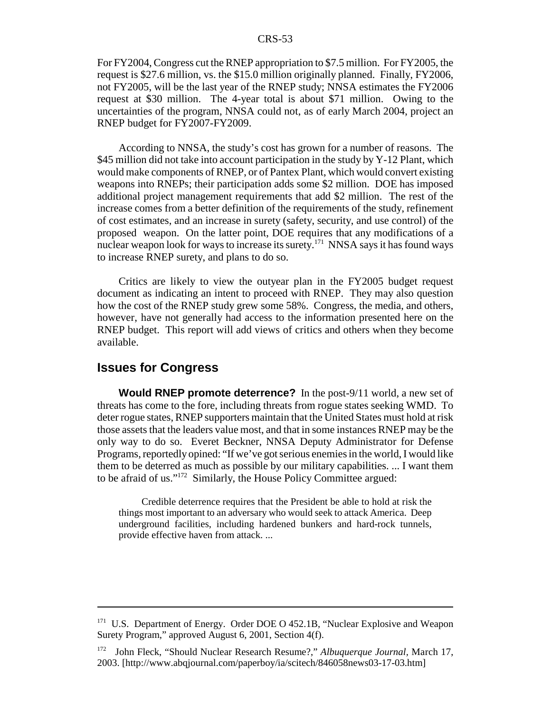For FY2004, Congress cut the RNEP appropriation to \$7.5 million. For FY2005, the request is \$27.6 million, vs. the \$15.0 million originally planned. Finally, FY2006, not FY2005, will be the last year of the RNEP study; NNSA estimates the FY2006 request at \$30 million. The 4-year total is about \$71 million. Owing to the uncertainties of the program, NNSA could not, as of early March 2004, project an RNEP budget for FY2007-FY2009.

According to NNSA, the study's cost has grown for a number of reasons. The \$45 million did not take into account participation in the study by Y-12 Plant, which would make components of RNEP, or of Pantex Plant, which would convert existing weapons into RNEPs; their participation adds some \$2 million. DOE has imposed additional project management requirements that add \$2 million. The rest of the increase comes from a better definition of the requirements of the study, refinement of cost estimates, and an increase in surety (safety, security, and use control) of the proposed weapon. On the latter point, DOE requires that any modifications of a nuclear weapon look for ways to increase its surety.<sup>171</sup> NNSA says it has found ways to increase RNEP surety, and plans to do so.

Critics are likely to view the outyear plan in the FY2005 budget request document as indicating an intent to proceed with RNEP. They may also question how the cost of the RNEP study grew some 58%. Congress, the media, and others, however, have not generally had access to the information presented here on the RNEP budget. This report will add views of critics and others when they become available.

## **Issues for Congress**

**Would RNEP promote deterrence?** In the post-9/11 world, a new set of threats has come to the fore, including threats from rogue states seeking WMD. To deter rogue states, RNEP supporters maintain that the United States must hold at risk those assets that the leaders value most, and that in some instances RNEP may be the only way to do so. Everet Beckner, NNSA Deputy Administrator for Defense Programs, reportedly opined: "If we've got serious enemies in the world, I would like them to be deterred as much as possible by our military capabilities. ... I want them to be afraid of us."172 Similarly, the House Policy Committee argued:

Credible deterrence requires that the President be able to hold at risk the things most important to an adversary who would seek to attack America. Deep underground facilities, including hardened bunkers and hard-rock tunnels, provide effective haven from attack. ...

<sup>&</sup>lt;sup>171</sup> U.S. Department of Energy. Order DOE O 452.1B, "Nuclear Explosive and Weapon Surety Program," approved August 6, 2001, Section 4(f).

<sup>172</sup> John Fleck, "Should Nuclear Research Resume?," *Albuquerque Journal,* March 17, 2003. [http://www.abqjournal.com/paperboy/ia/scitech/846058news03-17-03.htm]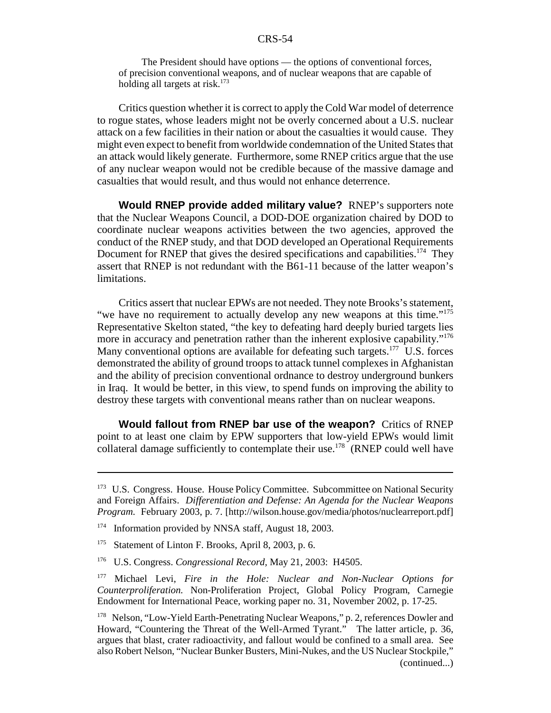The President should have options — the options of conventional forces, of precision conventional weapons, and of nuclear weapons that are capable of holding all targets at risk.<sup>173</sup>

Critics question whether it is correct to apply the Cold War model of deterrence to rogue states, whose leaders might not be overly concerned about a U.S. nuclear attack on a few facilities in their nation or about the casualties it would cause. They might even expect to benefit from worldwide condemnation of the United States that an attack would likely generate. Furthermore, some RNEP critics argue that the use of any nuclear weapon would not be credible because of the massive damage and casualties that would result, and thus would not enhance deterrence.

**Would RNEP provide added military value?** RNEP's supporters note that the Nuclear Weapons Council, a DOD-DOE organization chaired by DOD to coordinate nuclear weapons activities between the two agencies, approved the conduct of the RNEP study, and that DOD developed an Operational Requirements Document for RNEP that gives the desired specifications and capabilities.<sup>174</sup> They assert that RNEP is not redundant with the B61-11 because of the latter weapon's limitations.

Critics assert that nuclear EPWs are not needed. They note Brooks's statement, "we have no requirement to actually develop any new weapons at this time."<sup>175</sup> Representative Skelton stated, "the key to defeating hard deeply buried targets lies more in accuracy and penetration rather than the inherent explosive capability."<sup>176</sup> Many conventional options are available for defeating such targets.<sup>177</sup> U.S. forces demonstrated the ability of ground troops to attack tunnel complexes in Afghanistan and the ability of precision conventional ordnance to destroy underground bunkers in Iraq. It would be better, in this view, to spend funds on improving the ability to destroy these targets with conventional means rather than on nuclear weapons.

**Would fallout from RNEP bar use of the weapon?** Critics of RNEP point to at least one claim by EPW supporters that low-yield EPWs would limit collateral damage sufficiently to contemplate their use.<sup>178</sup> (RNEP could well have

<sup>&</sup>lt;sup>173</sup> U.S. Congress. House. House Policy Committee. Subcommittee on National Security and Foreign Affairs. *Differentiation and Defense: An Agenda for the Nuclear Weapons Program.* February 2003, p. 7. [http://wilson.house.gov/media/photos/nuclearreport.pdf]

<sup>&</sup>lt;sup>174</sup> Information provided by NNSA staff, August 18, 2003.

<sup>&</sup>lt;sup>175</sup> Statement of Linton F. Brooks, April 8, 2003, p. 6.

<sup>176</sup> U.S. Congress. *Congressional Record,* May 21, 2003: H4505.

<sup>177</sup> Michael Levi, *Fire in the Hole: Nuclear and Non-Nuclear Options for Counterproliferation.* Non-Proliferation Project, Global Policy Program, Carnegie Endowment for International Peace, working paper no. 31, November 2002, p. 17-25.

<sup>&</sup>lt;sup>178</sup> Nelson, "Low-Yield Earth-Penetrating Nuclear Weapons," p. 2, references Dowler and Howard, "Countering the Threat of the Well-Armed Tyrant." The latter article, p. 36, argues that blast, crater radioactivity, and fallout would be confined to a small area. See also Robert Nelson, "Nuclear Bunker Busters, Mini-Nukes, and the US Nuclear Stockpile," (continued...)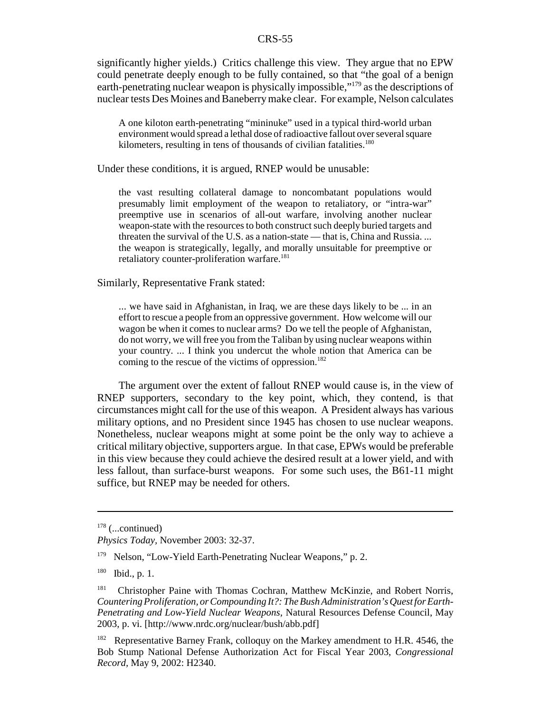significantly higher yields.) Critics challenge this view. They argue that no EPW could penetrate deeply enough to be fully contained, so that "the goal of a benign earth-penetrating nuclear weapon is physically impossible,"179 as the descriptions of nuclear tests Des Moines and Baneberry make clear. For example, Nelson calculates

A one kiloton earth-penetrating "mininuke" used in a typical third-world urban environment would spread a lethal dose of radioactive fallout over several square kilometers, resulting in tens of thousands of civilian fatalities.<sup>180</sup>

Under these conditions, it is argued, RNEP would be unusable:

the vast resulting collateral damage to noncombatant populations would presumably limit employment of the weapon to retaliatory, or "intra-war" preemptive use in scenarios of all-out warfare, involving another nuclear weapon-state with the resources to both construct such deeply buried targets and threaten the survival of the U.S. as a nation-state — that is, China and Russia. ... the weapon is strategically, legally, and morally unsuitable for preemptive or retaliatory counter-proliferation warfare.<sup>181</sup>

Similarly, Representative Frank stated:

... we have said in Afghanistan, in Iraq, we are these days likely to be ... in an effort to rescue a people from an oppressive government. How welcome will our wagon be when it comes to nuclear arms? Do we tell the people of Afghanistan, do not worry, we will free you from the Taliban by using nuclear weapons within your country. ... I think you undercut the whole notion that America can be coming to the rescue of the victims of oppression.<sup>182</sup>

The argument over the extent of fallout RNEP would cause is, in the view of RNEP supporters, secondary to the key point, which, they contend, is that circumstances might call for the use of this weapon. A President always has various military options, and no President since 1945 has chosen to use nuclear weapons. Nonetheless, nuclear weapons might at some point be the only way to achieve a critical military objective, supporters argue. In that case, EPWs would be preferable in this view because they could achieve the desired result at a lower yield, and with less fallout, than surface-burst weapons. For some such uses, the B61-11 might suffice, but RNEP may be needed for others.

 $178$  (...continued)

*Physics Today,* November 2003: 32-37.

<sup>&</sup>lt;sup>179</sup> Nelson, "Low-Yield Earth-Penetrating Nuclear Weapons," p. 2.

<sup>180</sup> Ibid., p. 1.

<sup>&</sup>lt;sup>181</sup> Christopher Paine with Thomas Cochran, Matthew McKinzie, and Robert Norris, *Countering Proliferation, or Compounding It?: The Bush Administration's Quest for Earth-Penetrating and Low-Yield Nuclear Weapons,* Natural Resources Defense Council, May 2003, p. vi. [http://www.nrdc.org/nuclear/bush/abb.pdf]

<sup>&</sup>lt;sup>182</sup> Representative Barney Frank, colloquy on the Markey amendment to H.R. 4546, the Bob Stump National Defense Authorization Act for Fiscal Year 2003, *Congressional Record,* May 9, 2002: H2340.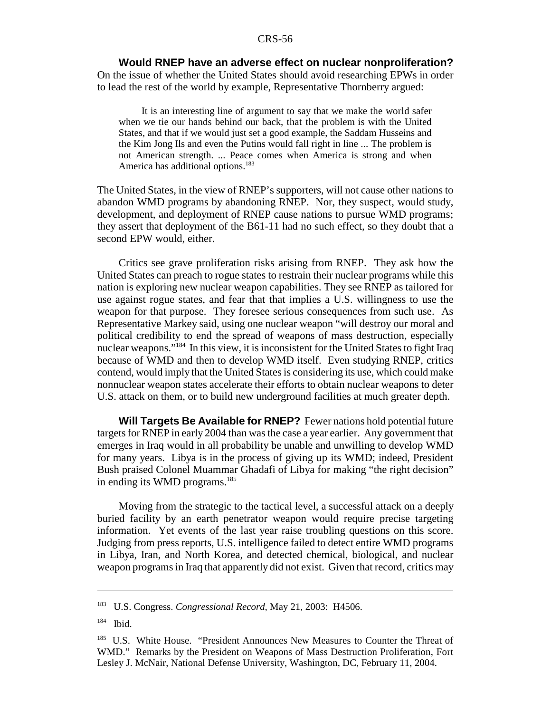#### **Would RNEP have an adverse effect on nuclear nonproliferation?**

On the issue of whether the United States should avoid researching EPWs in order to lead the rest of the world by example, Representative Thornberry argued:

It is an interesting line of argument to say that we make the world safer when we tie our hands behind our back, that the problem is with the United States, and that if we would just set a good example, the Saddam Husseins and the Kim Jong Ils and even the Putins would fall right in line ... The problem is not American strength. ... Peace comes when America is strong and when America has additional options.<sup>183</sup>

The United States, in the view of RNEP's supporters, will not cause other nations to abandon WMD programs by abandoning RNEP. Nor, they suspect, would study, development, and deployment of RNEP cause nations to pursue WMD programs; they assert that deployment of the B61-11 had no such effect, so they doubt that a second EPW would, either.

Critics see grave proliferation risks arising from RNEP. They ask how the United States can preach to rogue states to restrain their nuclear programs while this nation is exploring new nuclear weapon capabilities. They see RNEP as tailored for use against rogue states, and fear that that implies a U.S. willingness to use the weapon for that purpose. They foresee serious consequences from such use. As Representative Markey said, using one nuclear weapon "will destroy our moral and political credibility to end the spread of weapons of mass destruction, especially nuclear weapons."184 In this view, it is inconsistent for the United States to fight Iraq because of WMD and then to develop WMD itself. Even studying RNEP, critics contend, would imply that the United States is considering its use, which could make nonnuclear weapon states accelerate their efforts to obtain nuclear weapons to deter U.S. attack on them, or to build new underground facilities at much greater depth.

**Will Targets Be Available for RNEP?** Fewer nations hold potential future targets for RNEP in early 2004 than was the case a year earlier. Any government that emerges in Iraq would in all probability be unable and unwilling to develop WMD for many years. Libya is in the process of giving up its WMD; indeed, President Bush praised Colonel Muammar Ghadafi of Libya for making "the right decision" in ending its WMD programs. $185$ 

Moving from the strategic to the tactical level, a successful attack on a deeply buried facility by an earth penetrator weapon would require precise targeting information. Yet events of the last year raise troubling questions on this score. Judging from press reports, U.S. intelligence failed to detect entire WMD programs in Libya, Iran, and North Korea, and detected chemical, biological, and nuclear weapon programs in Iraq that apparently did not exist. Given that record, critics may

<sup>183</sup> U.S. Congress. *Congressional Record,* May 21, 2003: H4506.

<sup>184</sup> Ibid.

<sup>&</sup>lt;sup>185</sup> U.S. White House. "President Announces New Measures to Counter the Threat of WMD." Remarks by the President on Weapons of Mass Destruction Proliferation, Fort Lesley J. McNair, National Defense University, Washington, DC, February 11, 2004.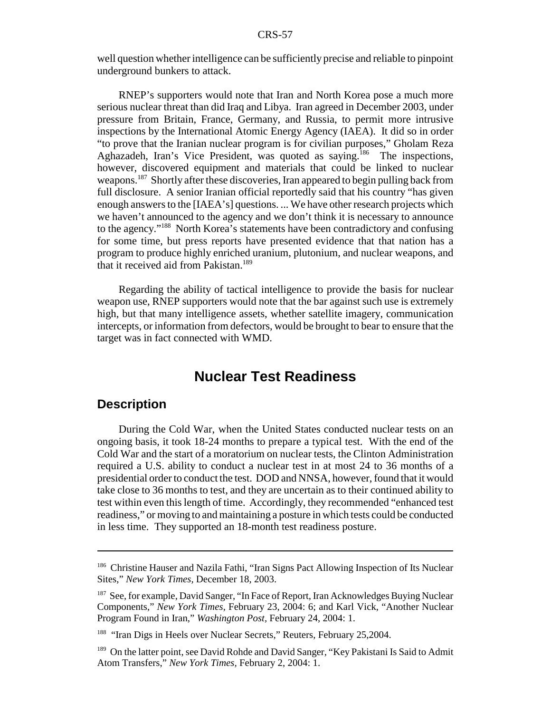well question whether intelligence can be sufficiently precise and reliable to pinpoint underground bunkers to attack.

RNEP's supporters would note that Iran and North Korea pose a much more serious nuclear threat than did Iraq and Libya. Iran agreed in December 2003, under pressure from Britain, France, Germany, and Russia, to permit more intrusive inspections by the International Atomic Energy Agency (IAEA). It did so in order "to prove that the Iranian nuclear program is for civilian purposes," Gholam Reza Aghazadeh, Iran's Vice President, was quoted as saying.<sup>186</sup> The inspections, however, discovered equipment and materials that could be linked to nuclear weapons.187 Shortly after these discoveries, Iran appeared to begin pulling back from full disclosure. A senior Iranian official reportedly said that his country "has given enough answers to the [IAEA's] questions. ... We have other research projects which we haven't announced to the agency and we don't think it is necessary to announce to the agency."188 North Korea's statements have been contradictory and confusing for some time, but press reports have presented evidence that that nation has a program to produce highly enriched uranium, plutonium, and nuclear weapons, and that it received aid from Pakistan.<sup>189</sup>

Regarding the ability of tactical intelligence to provide the basis for nuclear weapon use, RNEP supporters would note that the bar against such use is extremely high, but that many intelligence assets, whether satellite imagery, communication intercepts, or information from defectors, would be brought to bear to ensure that the target was in fact connected with WMD.

# **Nuclear Test Readiness**

# **Description**

During the Cold War, when the United States conducted nuclear tests on an ongoing basis, it took 18-24 months to prepare a typical test. With the end of the Cold War and the start of a moratorium on nuclear tests, the Clinton Administration required a U.S. ability to conduct a nuclear test in at most 24 to 36 months of a presidential order to conduct the test. DOD and NNSA, however, found that it would take close to 36 months to test, and they are uncertain as to their continued ability to test within even this length of time. Accordingly, they recommended "enhanced test readiness," or moving to and maintaining a posture in which tests could be conducted in less time. They supported an 18-month test readiness posture.

<sup>&</sup>lt;sup>186</sup> Christine Hauser and Nazila Fathi, "Iran Signs Pact Allowing Inspection of Its Nuclear Sites," *New York Times,* December 18, 2003.

<sup>&</sup>lt;sup>187</sup> See, for example, David Sanger, "In Face of Report, Iran Acknowledges Buying Nuclear Components," *New York Times,* February 23, 2004: 6; and Karl Vick, "Another Nuclear Program Found in Iran," *Washington Post,* February 24, 2004: 1.

<sup>&</sup>lt;sup>188</sup> "Iran Digs in Heels over Nuclear Secrets," Reuters, February 25,2004.

<sup>&</sup>lt;sup>189</sup> On the latter point, see David Rohde and David Sanger, "Key Pakistani Is Said to Admit Atom Transfers," *New York Times,* February 2, 2004: 1.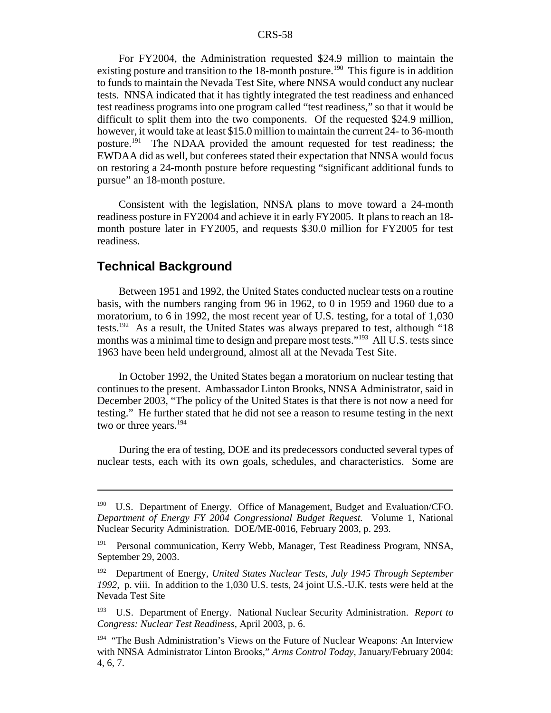For FY2004, the Administration requested \$24.9 million to maintain the existing posture and transition to the 18-month posture.<sup>190</sup> This figure is in addition to funds to maintain the Nevada Test Site, where NNSA would conduct any nuclear tests. NNSA indicated that it has tightly integrated the test readiness and enhanced test readiness programs into one program called "test readiness," so that it would be difficult to split them into the two components. Of the requested \$24.9 million, however, it would take at least \$15.0 million to maintain the current 24- to 36-month posture.<sup>191</sup> The NDAA provided the amount requested for test readiness; the EWDAA did as well, but conferees stated their expectation that NNSA would focus on restoring a 24-month posture before requesting "significant additional funds to pursue" an 18-month posture.

Consistent with the legislation, NNSA plans to move toward a 24-month readiness posture in FY2004 and achieve it in early FY2005. It plans to reach an 18 month posture later in FY2005, and requests \$30.0 million for FY2005 for test readiness.

## **Technical Background**

Between 1951 and 1992, the United States conducted nuclear tests on a routine basis, with the numbers ranging from 96 in 1962, to 0 in 1959 and 1960 due to a moratorium, to 6 in 1992, the most recent year of U.S. testing, for a total of 1,030 tests.<sup>192</sup> As a result, the United States was always prepared to test, although "18" months was a minimal time to design and prepare most tests."<sup>193</sup> All U.S. tests since 1963 have been held underground, almost all at the Nevada Test Site.

In October 1992, the United States began a moratorium on nuclear testing that continues to the present. Ambassador Linton Brooks, NNSA Administrator, said in December 2003, "The policy of the United States is that there is not now a need for testing." He further stated that he did not see a reason to resume testing in the next two or three years.<sup>194</sup>

During the era of testing, DOE and its predecessors conducted several types of nuclear tests, each with its own goals, schedules, and characteristics. Some are

<sup>&</sup>lt;sup>190</sup> U.S. Department of Energy. Office of Management, Budget and Evaluation/CFO. *Department of Energy FY 2004 Congressional Budget Request.* Volume 1, National Nuclear Security Administration. DOE/ME-0016, February 2003, p. 293.

<sup>&</sup>lt;sup>191</sup> Personal communication, Kerry Webb, Manager, Test Readiness Program, NNSA, September 29, 2003.

<sup>192</sup> Department of Energy, *United States Nuclear Tests, July 1945 Through September 1992,* p. viii. In addition to the 1,030 U.S. tests, 24 joint U.S.-U.K. tests were held at the Nevada Test Site

<sup>193</sup> U.S. Department of Energy. National Nuclear Security Administration. *Report to Congress: Nuclear Test Readiness,* April 2003, p. 6.

<sup>&</sup>lt;sup>194</sup> "The Bush Administration's Views on the Future of Nuclear Weapons: An Interview with NNSA Administrator Linton Brooks," *Arms Control Today,* January/February 2004: 4, 6, 7.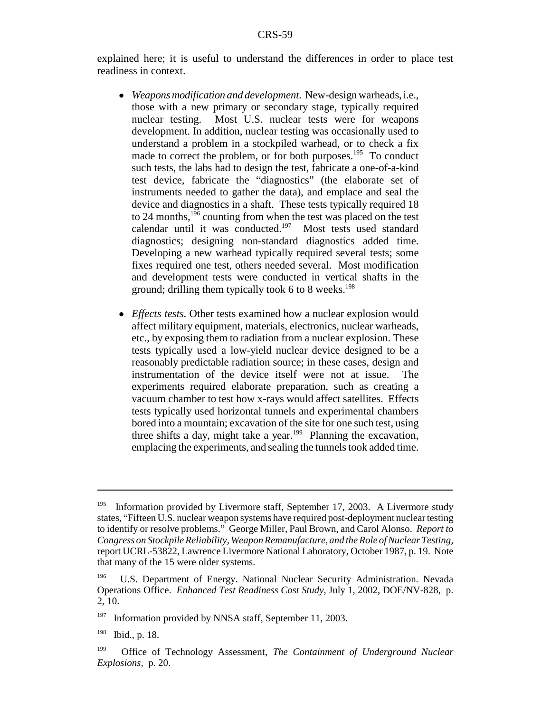explained here; it is useful to understand the differences in order to place test readiness in context.

- ! *Weapons modification and development.* New-design warheads, i.e., those with a new primary or secondary stage, typically required nuclear testing. Most U.S. nuclear tests were for weapons development. In addition, nuclear testing was occasionally used to understand a problem in a stockpiled warhead, or to check a fix made to correct the problem, or for both purposes.<sup>195</sup> To conduct such tests, the labs had to design the test, fabricate a one-of-a-kind test device, fabricate the "diagnostics" (the elaborate set of instruments needed to gather the data), and emplace and seal the device and diagnostics in a shaft. These tests typically required 18 to 24 months,  $1\frac{1}{96}$  counting from when the test was placed on the test calendar until it was conducted.197 Most tests used standard diagnostics; designing non-standard diagnostics added time. Developing a new warhead typically required several tests; some fixes required one test, others needed several. Most modification and development tests were conducted in vertical shafts in the ground; drilling them typically took 6 to 8 weeks.<sup>198</sup>
- ! *Effects tests.* Other tests examined how a nuclear explosion would affect military equipment, materials, electronics, nuclear warheads, etc., by exposing them to radiation from a nuclear explosion. These tests typically used a low-yield nuclear device designed to be a reasonably predictable radiation source; in these cases, design and instrumentation of the device itself were not at issue. The experiments required elaborate preparation, such as creating a vacuum chamber to test how x-rays would affect satellites. Effects tests typically used horizontal tunnels and experimental chambers bored into a mountain; excavation of the site for one such test, using three shifts a day, might take a year.<sup>199</sup> Planning the excavation, emplacing the experiments, and sealing the tunnels took added time.

<sup>&</sup>lt;sup>195</sup> Information provided by Livermore staff, September 17, 2003. A Livermore study states, "Fifteen U.S. nuclear weapon systems have required post-deployment nuclear testing to identify or resolve problems." George Miller, Paul Brown, and Carol Alonso. *Report to Congress on Stockpile Reliability, Weapon Remanufacture, and the Role of Nuclear Testing,* report UCRL-53822, Lawrence Livermore National Laboratory, October 1987, p. 19. Note that many of the 15 were older systems.

<sup>&</sup>lt;sup>196</sup> U.S. Department of Energy. National Nuclear Security Administration. Nevada Operations Office. *Enhanced Test Readiness Cost Study,* July 1, 2002, DOE/NV-828, p. 2, 10.

<sup>&</sup>lt;sup>197</sup> Information provided by NNSA staff, September 11, 2003.

<sup>198</sup> Ibid., p. 18.

<sup>199</sup> Office of Technology Assessment, *The Containment of Underground Nuclear Explosions,* p. 20.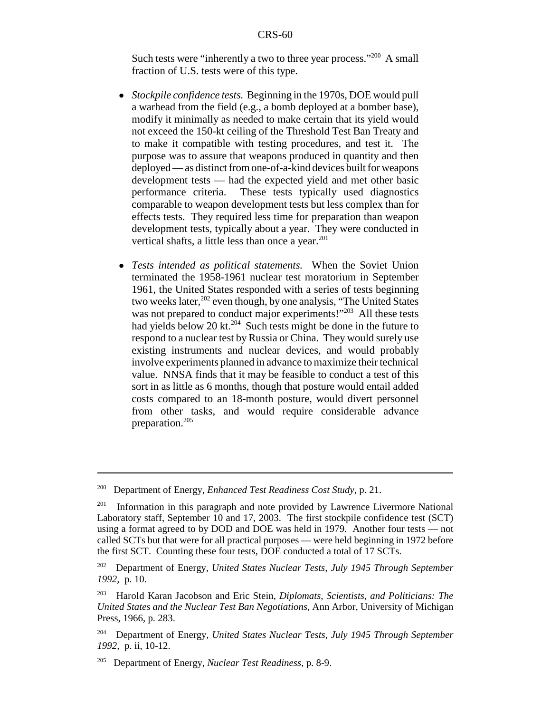Such tests were "inherently a two to three year process."<sup>200</sup> A small fraction of U.S. tests were of this type.

- ! *Stockpile confidence tests.* Beginning in the 1970s, DOE would pull a warhead from the field (e.g., a bomb deployed at a bomber base), modify it minimally as needed to make certain that its yield would not exceed the 150-kt ceiling of the Threshold Test Ban Treaty and to make it compatible with testing procedures, and test it. The purpose was to assure that weapons produced in quantity and then deployed — as distinct from one-of-a-kind devices built for weapons development tests — had the expected yield and met other basic performance criteria. These tests typically used diagnostics comparable to weapon development tests but less complex than for effects tests. They required less time for preparation than weapon development tests, typically about a year. They were conducted in vertical shafts, a little less than once a year. $201$
- ! *Tests intended as political statements.* When the Soviet Union terminated the 1958-1961 nuclear test moratorium in September 1961, the United States responded with a series of tests beginning two weeks later,  $202$  even though, by one analysis, "The United States" was not prepared to conduct major experiments!"<sup>203</sup> All these tests had yields below 20 kt.<sup>204</sup> Such tests might be done in the future to respond to a nuclear test by Russia or China. They would surely use existing instruments and nuclear devices, and would probably involve experiments planned in advance to maximize their technical value. NNSA finds that it may be feasible to conduct a test of this sort in as little as 6 months, though that posture would entail added costs compared to an 18-month posture, would divert personnel from other tasks, and would require considerable advance preparation.205

<sup>200</sup> Department of Energy, *Enhanced Test Readiness Cost Study,* p. 21.

 $201$  Information in this paragraph and note provided by Lawrence Livermore National Laboratory staff, September 10 and 17, 2003. The first stockpile confidence test (SCT) using a format agreed to by DOD and DOE was held in 1979. Another four tests — not called SCTs but that were for all practical purposes — were held beginning in 1972 before the first SCT. Counting these four tests, DOE conducted a total of 17 SCTs.

<sup>202</sup> Department of Energy, *United States Nuclear Tests, July 1945 Through September 1992,* p. 10.

<sup>203</sup> Harold Karan Jacobson and Eric Stein, *Diplomats, Scientists, and Politicians: The United States and the Nuclear Test Ban Negotiations,* Ann Arbor, University of Michigan Press, 1966, p. 283.

<sup>204</sup> Department of Energy, *United States Nuclear Tests, July 1945 Through September 1992,* p. ii, 10-12.

<sup>205</sup> Department of Energy, *Nuclear Test Readiness,* p. 8-9.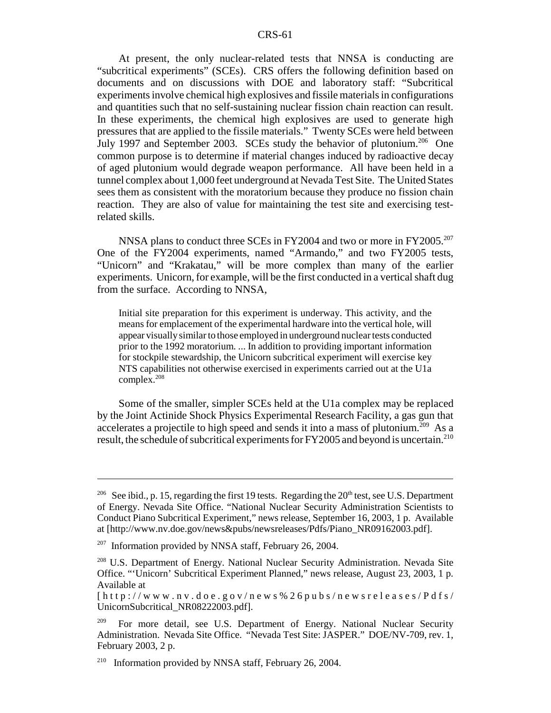At present, the only nuclear-related tests that NNSA is conducting are "subcritical experiments" (SCEs). CRS offers the following definition based on documents and on discussions with DOE and laboratory staff: "Subcritical experiments involve chemical high explosives and fissile materials in configurations and quantities such that no self-sustaining nuclear fission chain reaction can result. In these experiments, the chemical high explosives are used to generate high pressures that are applied to the fissile materials." Twenty SCEs were held between July 1997 and September 2003. SCEs study the behavior of plutonium.<sup>206</sup> One common purpose is to determine if material changes induced by radioactive decay of aged plutonium would degrade weapon performance. All have been held in a tunnel complex about 1,000 feet underground at Nevada Test Site. The United States sees them as consistent with the moratorium because they produce no fission chain reaction. They are also of value for maintaining the test site and exercising testrelated skills.

NNSA plans to conduct three SCEs in FY2004 and two or more in FY2005.<sup>207</sup> One of the FY2004 experiments, named "Armando," and two FY2005 tests, "Unicorn" and "Krakatau," will be more complex than many of the earlier experiments. Unicorn, for example, will be the first conducted in a vertical shaft dug from the surface. According to NNSA,

Initial site preparation for this experiment is underway. This activity, and the means for emplacement of the experimental hardware into the vertical hole, will appear visually similar to those employed in underground nuclear tests conducted prior to the 1992 moratorium. ... In addition to providing important information for stockpile stewardship, the Unicorn subcritical experiment will exercise key NTS capabilities not otherwise exercised in experiments carried out at the U1a complex.208

Some of the smaller, simpler SCEs held at the U1a complex may be replaced by the Joint Actinide Shock Physics Experimental Research Facility, a gas gun that accelerates a projectile to high speed and sends it into a mass of plutonium.<sup>209</sup> As a result, the schedule of subcritical experiments for FY2005 and beyond is uncertain.<sup>210</sup>

<sup>&</sup>lt;sup>206</sup> See ibid., p. 15, regarding the first 19 tests. Regarding the  $20<sup>th</sup>$  test, see U.S. Department of Energy. Nevada Site Office. "National Nuclear Security Administration Scientists to Conduct Piano Subcritical Experiment," news release, September 16, 2003, 1 p. Available at [http://www.nv.doe.gov/news&pubs/newsreleases/Pdfs/Piano\_NR09162003.pdf].

<sup>&</sup>lt;sup>207</sup> Information provided by NNSA staff, February 26, 2004.

<sup>&</sup>lt;sup>208</sup> U.S. Department of Energy. National Nuclear Security Administration. Nevada Site Office. "'Unicorn' Subcritical Experiment Planned," news release, August 23, 2003, 1 p. Available at

<sup>[</sup>http://www.nv.doe.gov/news% 26pubs/newsreleases/Pdfs/ UnicornSubcritical\_NR08222003.pdf].

For more detail, see U.S. Department of Energy. National Nuclear Security Administration. Nevada Site Office. "Nevada Test Site: JASPER." DOE/NV-709, rev. 1, February 2003, 2 p.

<sup>&</sup>lt;sup>210</sup> Information provided by NNSA staff, February 26, 2004.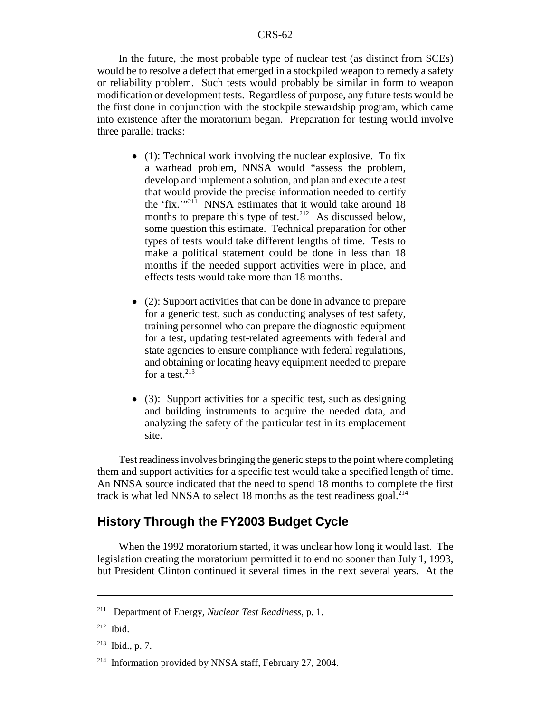In the future, the most probable type of nuclear test (as distinct from SCEs) would be to resolve a defect that emerged in a stockpiled weapon to remedy a safety or reliability problem. Such tests would probably be similar in form to weapon modification or development tests. Regardless of purpose, any future tests would be the first done in conjunction with the stockpile stewardship program, which came into existence after the moratorium began. Preparation for testing would involve three parallel tracks:

- $\bullet$  (1): Technical work involving the nuclear explosive. To fix a warhead problem, NNSA would "assess the problem, develop and implement a solution, and plan and execute a test that would provide the precise information needed to certify the 'fix.'"<sup>211</sup> NNSA estimates that it would take around 18 months to prepare this type of test.<sup>212</sup> As discussed below, some question this estimate. Technical preparation for other types of tests would take different lengths of time. Tests to make a political statement could be done in less than 18 months if the needed support activities were in place, and effects tests would take more than 18 months.
- $\bullet$  (2): Support activities that can be done in advance to prepare for a generic test, such as conducting analyses of test safety, training personnel who can prepare the diagnostic equipment for a test, updating test-related agreements with federal and state agencies to ensure compliance with federal regulations, and obtaining or locating heavy equipment needed to prepare for a test.  $213$
- $\bullet$  (3): Support activities for a specific test, such as designing and building instruments to acquire the needed data, and analyzing the safety of the particular test in its emplacement site.

Test readiness involves bringing the generic steps to the point where completing them and support activities for a specific test would take a specified length of time. An NNSA source indicated that the need to spend 18 months to complete the first track is what led NNSA to select 18 months as the test readiness goal. $^{214}$ 

## **History Through the FY2003 Budget Cycle**

When the 1992 moratorium started, it was unclear how long it would last. The legislation creating the moratorium permitted it to end no sooner than July 1, 1993, but President Clinton continued it several times in the next several years. At the

<sup>211</sup> Department of Energy, *Nuclear Test Readiness,* p. 1.

<sup>212</sup> Ibid.

 $213$  Ibid., p. 7.

<sup>&</sup>lt;sup>214</sup> Information provided by NNSA staff, February 27, 2004.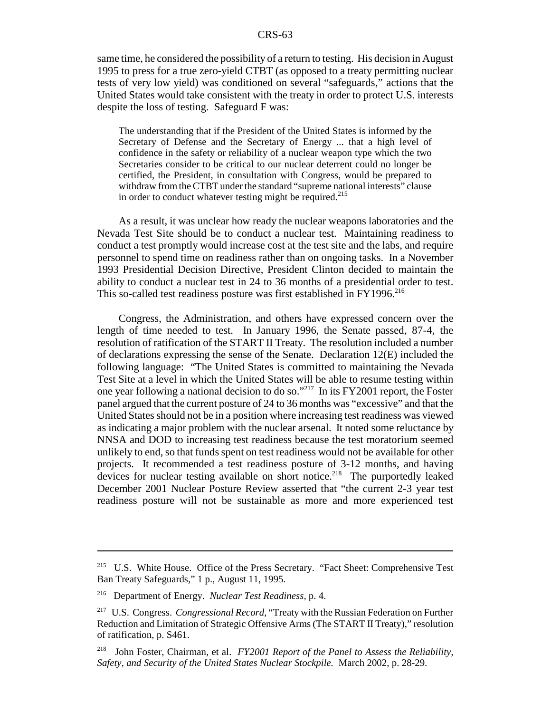same time, he considered the possibility of a return to testing. His decision in August 1995 to press for a true zero-yield CTBT (as opposed to a treaty permitting nuclear tests of very low yield) was conditioned on several "safeguards," actions that the United States would take consistent with the treaty in order to protect U.S. interests despite the loss of testing. Safeguard F was:

The understanding that if the President of the United States is informed by the Secretary of Defense and the Secretary of Energy ... that a high level of confidence in the safety or reliability of a nuclear weapon type which the two Secretaries consider to be critical to our nuclear deterrent could no longer be certified, the President, in consultation with Congress, would be prepared to withdraw from the CTBT under the standard "supreme national interests" clause in order to conduct whatever testing might be required.<sup>215</sup>

As a result, it was unclear how ready the nuclear weapons laboratories and the Nevada Test Site should be to conduct a nuclear test. Maintaining readiness to conduct a test promptly would increase cost at the test site and the labs, and require personnel to spend time on readiness rather than on ongoing tasks. In a November 1993 Presidential Decision Directive, President Clinton decided to maintain the ability to conduct a nuclear test in 24 to 36 months of a presidential order to test. This so-called test readiness posture was first established in FY1996.<sup>216</sup>

Congress, the Administration, and others have expressed concern over the length of time needed to test. In January 1996, the Senate passed, 87-4, the resolution of ratification of the START II Treaty. The resolution included a number of declarations expressing the sense of the Senate. Declaration 12(E) included the following language: "The United States is committed to maintaining the Nevada Test Site at a level in which the United States will be able to resume testing within one year following a national decision to do so."217 In its FY2001 report, the Foster panel argued that the current posture of 24 to 36 months was "excessive" and that the United States should not be in a position where increasing test readiness was viewed as indicating a major problem with the nuclear arsenal. It noted some reluctance by NNSA and DOD to increasing test readiness because the test moratorium seemed unlikely to end, so that funds spent on test readiness would not be available for other projects. It recommended a test readiness posture of 3-12 months, and having devices for nuclear testing available on short notice.<sup>218</sup> The purportedly leaked December 2001 Nuclear Posture Review asserted that "the current 2-3 year test readiness posture will not be sustainable as more and more experienced test

<sup>215</sup> U.S. White House. Office of the Press Secretary. "Fact Sheet: Comprehensive Test Ban Treaty Safeguards," 1 p., August 11, 1995.

<sup>216</sup> Department of Energy. *Nuclear Test Readiness,* p. 4.

<sup>217</sup> U.S. Congress. *Congressional Record,* "Treaty with the Russian Federation on Further Reduction and Limitation of Strategic Offensive Arms (The START II Treaty)," resolution of ratification, p. S461.

<sup>218</sup> John Foster, Chairman, et al. *FY2001 Report of the Panel to Assess the Reliability, Safety, and Security of the United States Nuclear Stockpile.* March 2002, p. 28-29.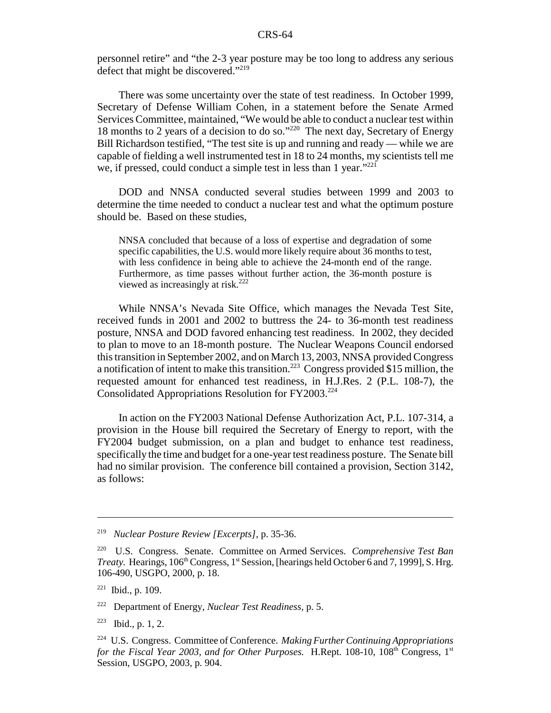personnel retire" and "the 2-3 year posture may be too long to address any serious defect that might be discovered."<sup>219</sup>

There was some uncertainty over the state of test readiness. In October 1999, Secretary of Defense William Cohen, in a statement before the Senate Armed Services Committee, maintained, "We would be able to conduct a nuclear test within 18 months to 2 years of a decision to do so."220 The next day, Secretary of Energy Bill Richardson testified, "The test site is up and running and ready — while we are capable of fielding a well instrumented test in 18 to 24 months, my scientists tell me we, if pressed, could conduct a simple test in less than 1 year."<sup>221</sup>

DOD and NNSA conducted several studies between 1999 and 2003 to determine the time needed to conduct a nuclear test and what the optimum posture should be. Based on these studies,

NNSA concluded that because of a loss of expertise and degradation of some specific capabilities, the U.S. would more likely require about 36 months to test, with less confidence in being able to achieve the 24-month end of the range. Furthermore, as time passes without further action, the 36-month posture is viewed as increasingly at risk.<sup>222</sup>

While NNSA's Nevada Site Office, which manages the Nevada Test Site, received funds in 2001 and 2002 to buttress the 24- to 36-month test readiness posture, NNSA and DOD favored enhancing test readiness. In 2002, they decided to plan to move to an 18-month posture. The Nuclear Weapons Council endorsed this transition in September 2002, and on March 13, 2003, NNSA provided Congress a notification of intent to make this transition.<sup>223</sup> Congress provided \$15 million, the requested amount for enhanced test readiness, in H.J.Res. 2 (P.L. 108-7), the Consolidated Appropriations Resolution for FY2003.<sup>224</sup>

In action on the FY2003 National Defense Authorization Act, P.L. 107-314, a provision in the House bill required the Secretary of Energy to report, with the FY2004 budget submission, on a plan and budget to enhance test readiness, specifically the time and budget for a one-year test readiness posture. The Senate bill had no similar provision. The conference bill contained a provision, Section 3142, as follows:

223 Ibid., p. 1, 2.

<sup>219</sup> *Nuclear Posture Review [Excerpts],* p. 35-36.

<sup>220</sup> U.S. Congress. Senate. Committee on Armed Services. *Comprehensive Test Ban Treaty.* Hearings, 106<sup>th</sup> Congress, 1<sup>st</sup> Session, [hearings held October 6 and 7, 1999], S. Hrg. 106-490, USGPO, 2000, p. 18.

 $221$  Ibid., p. 109.

<sup>222</sup> Department of Energy, *Nuclear Test Readiness,* p. 5.

<sup>224</sup> U.S. Congress. Committee of Conference. *Making Further Continuing Appropriations for the Fiscal Year 2003, and for Other Purposes.* H.Rept. 108-10, 108<sup>th</sup> Congress, 1<sup>st</sup> Session, USGPO, 2003, p. 904.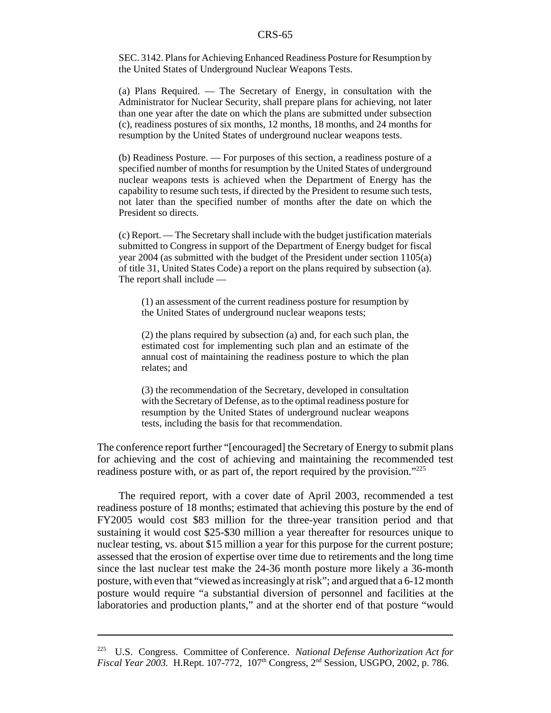SEC. 3142. Plans for Achieving Enhanced Readiness Posture for Resumption by the United States of Underground Nuclear Weapons Tests.

(a) Plans Required. — The Secretary of Energy, in consultation with the Administrator for Nuclear Security, shall prepare plans for achieving, not later than one year after the date on which the plans are submitted under subsection (c), readiness postures of six months, 12 months, 18 months, and 24 months for resumption by the United States of underground nuclear weapons tests.

(b) Readiness Posture. — For purposes of this section, a readiness posture of a specified number of months for resumption by the United States of underground nuclear weapons tests is achieved when the Department of Energy has the capability to resume such tests, if directed by the President to resume such tests, not later than the specified number of months after the date on which the President so directs.

(c) Report. — The Secretary shall include with the budget justification materials submitted to Congress in support of the Department of Energy budget for fiscal year 2004 (as submitted with the budget of the President under section 1105(a) of title 31, United States Code) a report on the plans required by subsection (a). The report shall include —

(1) an assessment of the current readiness posture for resumption by the United States of underground nuclear weapons tests;

(2) the plans required by subsection (a) and, for each such plan, the estimated cost for implementing such plan and an estimate of the annual cost of maintaining the readiness posture to which the plan relates; and

(3) the recommendation of the Secretary, developed in consultation with the Secretary of Defense, as to the optimal readiness posture for resumption by the United States of underground nuclear weapons tests, including the basis for that recommendation.

The conference report further "[encouraged] the Secretary of Energy to submit plans for achieving and the cost of achieving and maintaining the recommended test readiness posture with, or as part of, the report required by the provision."225

The required report, with a cover date of April 2003, recommended a test readiness posture of 18 months; estimated that achieving this posture by the end of FY2005 would cost \$83 million for the three-year transition period and that sustaining it would cost \$25-\$30 million a year thereafter for resources unique to nuclear testing, vs. about \$15 million a year for this purpose for the current posture; assessed that the erosion of expertise over time due to retirements and the long time since the last nuclear test make the 24-36 month posture more likely a 36-month posture, with even that "viewed as increasingly at risk"; and argued that a 6-12 month posture would require "a substantial diversion of personnel and facilities at the laboratories and production plants," and at the shorter end of that posture "would

<sup>225</sup> U.S. Congress. Committee of Conference. *National Defense Authorization Act for Fiscal Year 2003.* H.Rept. 107-772, 107<sup>th</sup> Congress, 2<sup>nd</sup> Session, USGPO, 2002, p. 786.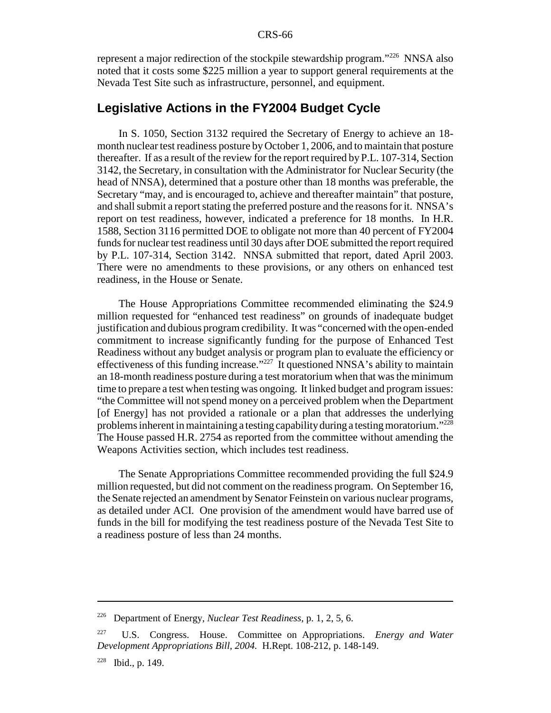represent a major redirection of the stockpile stewardship program."226 NNSA also noted that it costs some \$225 million a year to support general requirements at the Nevada Test Site such as infrastructure, personnel, and equipment.

## **Legislative Actions in the FY2004 Budget Cycle**

In S. 1050, Section 3132 required the Secretary of Energy to achieve an 18 month nuclear test readiness posture by October 1, 2006, and to maintain that posture thereafter. If as a result of the review for the report required by P.L. 107-314, Section 3142, the Secretary, in consultation with the Administrator for Nuclear Security (the head of NNSA), determined that a posture other than 18 months was preferable, the Secretary "may, and is encouraged to, achieve and thereafter maintain" that posture, and shall submit a report stating the preferred posture and the reasons for it. NNSA's report on test readiness, however, indicated a preference for 18 months. In H.R. 1588, Section 3116 permitted DOE to obligate not more than 40 percent of FY2004 funds for nuclear test readiness until 30 days after DOE submitted the report required by P.L. 107-314, Section 3142. NNSA submitted that report, dated April 2003. There were no amendments to these provisions, or any others on enhanced test readiness, in the House or Senate.

The House Appropriations Committee recommended eliminating the \$24.9 million requested for "enhanced test readiness" on grounds of inadequate budget justification and dubious program credibility. It was "concerned with the open-ended commitment to increase significantly funding for the purpose of Enhanced Test Readiness without any budget analysis or program plan to evaluate the efficiency or effectiveness of this funding increase."227 It questioned NNSA's ability to maintain an 18-month readiness posture during a test moratorium when that was the minimum time to prepare a test when testing was ongoing. It linked budget and program issues: "the Committee will not spend money on a perceived problem when the Department [of Energy] has not provided a rationale or a plan that addresses the underlying problems inherent in maintaining a testing capability during a testing moratorium."228 The House passed H.R. 2754 as reported from the committee without amending the Weapons Activities section, which includes test readiness.

The Senate Appropriations Committee recommended providing the full \$24.9 million requested, but did not comment on the readiness program. On September 16, the Senate rejected an amendment by Senator Feinstein on various nuclear programs, as detailed under ACI. One provision of the amendment would have barred use of funds in the bill for modifying the test readiness posture of the Nevada Test Site to a readiness posture of less than 24 months.

<sup>226</sup> Department of Energy, *Nuclear Test Readiness,* p. 1, 2, 5, 6.

<sup>227</sup> U.S. Congress. House. Committee on Appropriations. *Energy and Water Development Appropriations Bill, 2004.* H.Rept. 108-212, p. 148-149.

<sup>228</sup> Ibid., p. 149.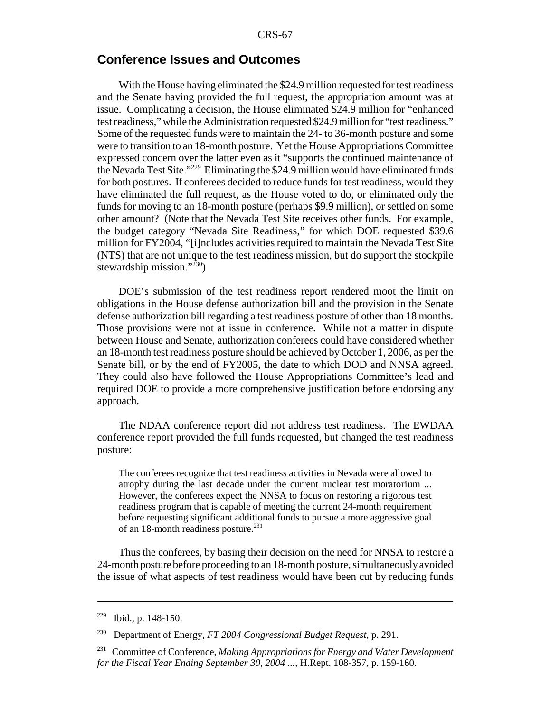## **Conference Issues and Outcomes**

With the House having eliminated the \$24.9 million requested for test readiness and the Senate having provided the full request, the appropriation amount was at issue. Complicating a decision, the House eliminated \$24.9 million for "enhanced test readiness," while the Administration requested \$24.9 million for "test readiness." Some of the requested funds were to maintain the 24- to 36-month posture and some were to transition to an 18-month posture. Yet the House Appropriations Committee expressed concern over the latter even as it "supports the continued maintenance of the Nevada Test Site."229 Eliminating the \$24.9 million would have eliminated funds for both postures. If conferees decided to reduce funds for test readiness, would they have eliminated the full request, as the House voted to do, or eliminated only the funds for moving to an 18-month posture (perhaps \$9.9 million), or settled on some other amount? (Note that the Nevada Test Site receives other funds. For example, the budget category "Nevada Site Readiness," for which DOE requested \$39.6 million for FY2004, "[i]ncludes activities required to maintain the Nevada Test Site (NTS) that are not unique to the test readiness mission, but do support the stockpile stewardship mission."230)

DOE's submission of the test readiness report rendered moot the limit on obligations in the House defense authorization bill and the provision in the Senate defense authorization bill regarding a test readiness posture of other than 18 months. Those provisions were not at issue in conference. While not a matter in dispute between House and Senate, authorization conferees could have considered whether an 18-month test readiness posture should be achieved by October 1, 2006, as per the Senate bill, or by the end of FY2005, the date to which DOD and NNSA agreed. They could also have followed the House Appropriations Committee's lead and required DOE to provide a more comprehensive justification before endorsing any approach.

The NDAA conference report did not address test readiness. The EWDAA conference report provided the full funds requested, but changed the test readiness posture:

The conferees recognize that test readiness activities in Nevada were allowed to atrophy during the last decade under the current nuclear test moratorium ... However, the conferees expect the NNSA to focus on restoring a rigorous test readiness program that is capable of meeting the current 24-month requirement before requesting significant additional funds to pursue a more aggressive goal of an 18-month readiness posture.<sup>231</sup>

Thus the conferees, by basing their decision on the need for NNSA to restore a 24-month posture before proceeding to an 18-month posture, simultaneously avoided the issue of what aspects of test readiness would have been cut by reducing funds

<sup>229</sup> Ibid., p. 148-150.

<sup>230</sup> Department of Energy, *FT 2004 Congressional Budget Request,* p. 291.

<sup>231</sup> Committee of Conference, *Making Appropriations for Energy and Water Development for the Fiscal Year Ending September 30, 2004 ...,* H.Rept. 108-357, p. 159-160.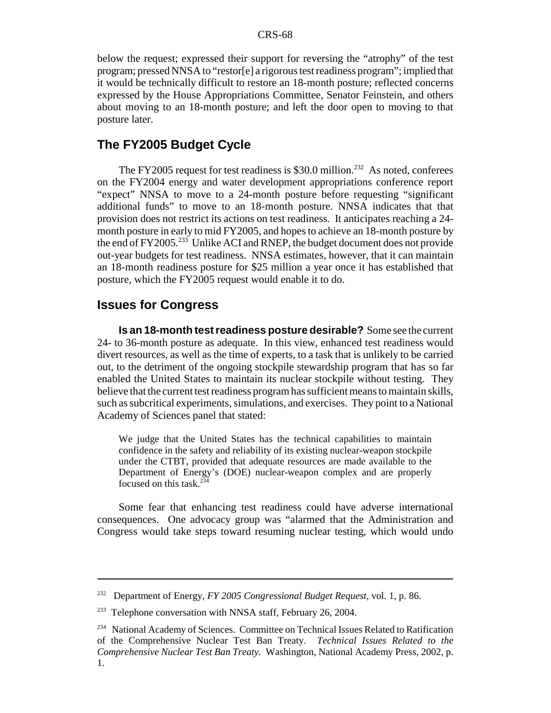below the request; expressed their support for reversing the "atrophy" of the test program; pressed NNSA to "restor[e] a rigorous test readiness program"; implied that it would be technically difficult to restore an 18-month posture; reflected concerns expressed by the House Appropriations Committee, Senator Feinstein, and others about moving to an 18-month posture; and left the door open to moving to that posture later.

# **The FY2005 Budget Cycle**

The FY2005 request for test readiness is \$30.0 million.<sup>232</sup> As noted, conferees on the FY2004 energy and water development appropriations conference report "expect" NNSA to move to a 24-month posture before requesting "significant additional funds" to move to an 18-month posture. NNSA indicates that that provision does not restrict its actions on test readiness. It anticipates reaching a 24 month posture in early to mid FY2005, and hopes to achieve an 18-month posture by the end of FY2005.<sup>233</sup> Unlike ACI and RNEP, the budget document does not provide out-year budgets for test readiness. NNSA estimates, however, that it can maintain an 18-month readiness posture for \$25 million a year once it has established that posture, which the FY2005 request would enable it to do.

## **Issues for Congress**

**Is an 18-month test readiness posture desirable?** Some see the current 24- to 36-month posture as adequate. In this view, enhanced test readiness would divert resources, as well as the time of experts, to a task that is unlikely to be carried out, to the detriment of the ongoing stockpile stewardship program that has so far enabled the United States to maintain its nuclear stockpile without testing. They believe that the current test readiness program has sufficient means to maintain skills, such as subcritical experiments, simulations, and exercises. They point to a National Academy of Sciences panel that stated:

We judge that the United States has the technical capabilities to maintain confidence in the safety and reliability of its existing nuclear-weapon stockpile under the CTBT, provided that adequate resources are made available to the Department of Energy's (DOE) nuclear-weapon complex and are properly focused on this task. $234$ 

Some fear that enhancing test readiness could have adverse international consequences. One advocacy group was "alarmed that the Administration and Congress would take steps toward resuming nuclear testing, which would undo

<sup>232</sup> Department of Energy, *FY 2005 Congressional Budget Request,* vol. 1, p. 86.

 $233$  Telephone conversation with NNSA staff, February 26, 2004.

<sup>&</sup>lt;sup>234</sup> National Academy of Sciences. Committee on Technical Issues Related to Ratification of the Comprehensive Nuclear Test Ban Treaty. *Technical Issues Related to the Comprehensive Nuclear Test Ban Treaty.* Washington, National Academy Press, 2002, p. 1.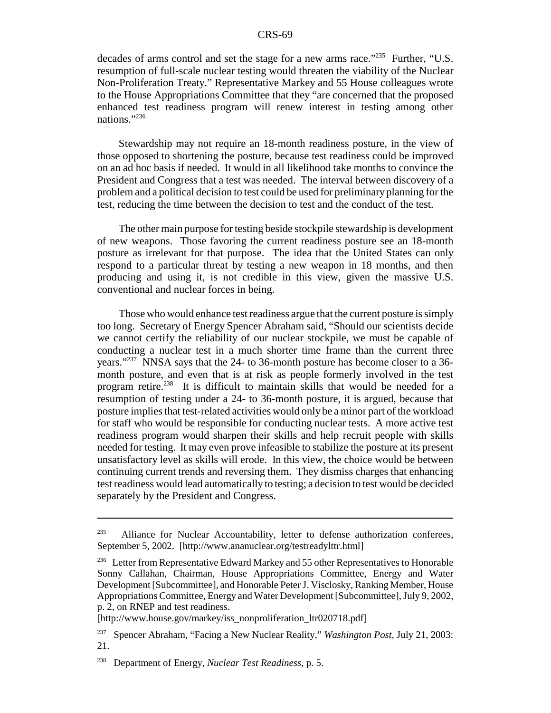decades of arms control and set the stage for a new arms race."235 Further, "U.S. resumption of full-scale nuclear testing would threaten the viability of the Nuclear Non-Proliferation Treaty." Representative Markey and 55 House colleagues wrote to the House Appropriations Committee that they "are concerned that the proposed enhanced test readiness program will renew interest in testing among other nations."236

Stewardship may not require an 18-month readiness posture, in the view of those opposed to shortening the posture, because test readiness could be improved on an ad hoc basis if needed. It would in all likelihood take months to convince the President and Congress that a test was needed. The interval between discovery of a problem and a political decision to test could be used for preliminary planning for the test, reducing the time between the decision to test and the conduct of the test.

The other main purpose for testing beside stockpile stewardship is development of new weapons. Those favoring the current readiness posture see an 18-month posture as irrelevant for that purpose. The idea that the United States can only respond to a particular threat by testing a new weapon in 18 months, and then producing and using it, is not credible in this view, given the massive U.S. conventional and nuclear forces in being.

Those who would enhance test readiness argue that the current posture is simply too long. Secretary of Energy Spencer Abraham said, "Should our scientists decide we cannot certify the reliability of our nuclear stockpile, we must be capable of conducting a nuclear test in a much shorter time frame than the current three years."<sup>237</sup> NNSA says that the 24- to 36-month posture has become closer to a 36month posture, and even that is at risk as people formerly involved in the test program retire.<sup>238</sup> It is difficult to maintain skills that would be needed for a resumption of testing under a 24- to 36-month posture, it is argued, because that posture implies that test-related activities would only be a minor part of the workload for staff who would be responsible for conducting nuclear tests. A more active test readiness program would sharpen their skills and help recruit people with skills needed for testing. It may even prove infeasible to stabilize the posture at its present unsatisfactory level as skills will erode. In this view, the choice would be between continuing current trends and reversing them. They dismiss charges that enhancing test readiness would lead automatically to testing; a decision to test would be decided separately by the President and Congress.

Alliance for Nuclear Accountability, letter to defense authorization conferees, September 5, 2002. [http://www.ananuclear.org/testreadylttr.html]

<sup>&</sup>lt;sup>236</sup> Letter from Representative Edward Markey and 55 other Representatives to Honorable Sonny Callahan, Chairman, House Appropriations Committee, Energy and Water Development [Subcommittee], and Honorable Peter J. Visclosky, Ranking Member, House Appropriations Committee, Energy and Water Development [Subcommittee], July 9, 2002, p. 2, on RNEP and test readiness.

<sup>[</sup>http://www.house.gov/markey/iss\_nonproliferation\_ltr020718.pdf]

<sup>237</sup> Spencer Abraham, "Facing a New Nuclear Reality," *Washington Post,* July 21, 2003: 21.

<sup>238</sup> Department of Energy, *Nuclear Test Readiness,* p. 5.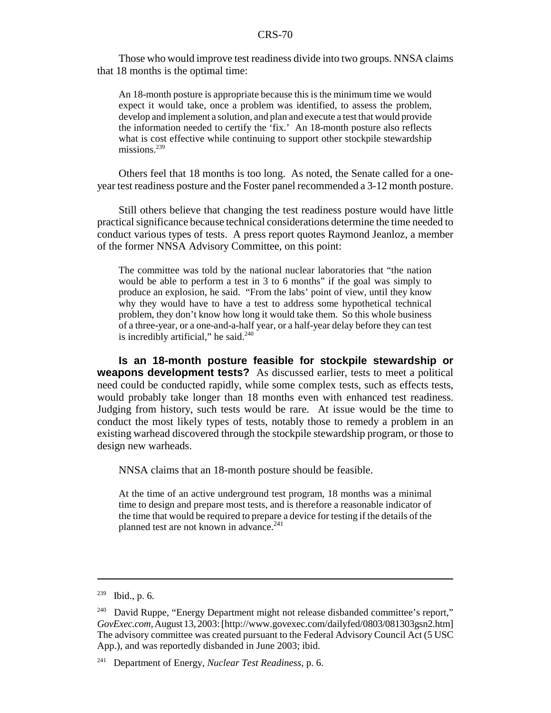Those who would improve test readiness divide into two groups. NNSA claims that 18 months is the optimal time:

An 18-month posture is appropriate because this is the minimum time we would expect it would take, once a problem was identified, to assess the problem, develop and implement a solution, and plan and execute a test that would provide the information needed to certify the 'fix.' An 18-month posture also reflects what is cost effective while continuing to support other stockpile stewardship missions.<sup>239</sup>

Others feel that 18 months is too long. As noted, the Senate called for a oneyear test readiness posture and the Foster panel recommended a 3-12 month posture.

Still others believe that changing the test readiness posture would have little practical significance because technical considerations determine the time needed to conduct various types of tests. A press report quotes Raymond Jeanloz, a member of the former NNSA Advisory Committee, on this point:

The committee was told by the national nuclear laboratories that "the nation would be able to perform a test in 3 to 6 months" if the goal was simply to produce an explosion, he said. "From the labs' point of view, until they know why they would have to have a test to address some hypothetical technical problem, they don't know how long it would take them. So this whole business of a three-year, or a one-and-a-half year, or a half-year delay before they can test is incredibly artificial," he said. $240$ 

**Is an 18-month posture feasible for stockpile stewardship or weapons development tests?** As discussed earlier, tests to meet a political need could be conducted rapidly, while some complex tests, such as effects tests, would probably take longer than 18 months even with enhanced test readiness. Judging from history, such tests would be rare. At issue would be the time to conduct the most likely types of tests, notably those to remedy a problem in an existing warhead discovered through the stockpile stewardship program, or those to design new warheads.

NNSA claims that an 18-month posture should be feasible.

At the time of an active underground test program, 18 months was a minimal time to design and prepare most tests, and is therefore a reasonable indicator of the time that would be required to prepare a device for testing if the details of the planned test are not known in advance.<sup>241</sup>

 $239$  Ibid., p. 6.

<sup>&</sup>lt;sup>240</sup> David Ruppe, "Energy Department might not release disbanded committee's report," *GovExec.com,* August 13, 2003: [http://www.govexec.com/dailyfed/0803/081303gsn2.htm] The advisory committee was created pursuant to the Federal Advisory Council Act (5 USC App.), and was reportedly disbanded in June 2003; ibid.

<sup>241</sup> Department of Energy, *Nuclear Test Readiness,* p. 6.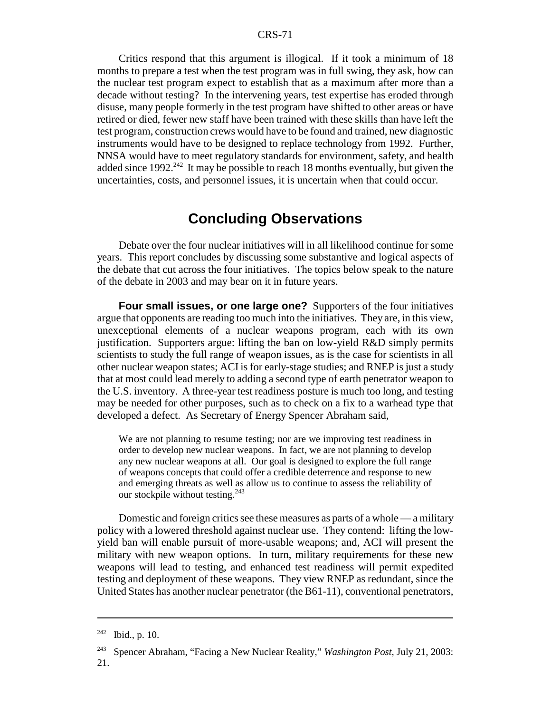Critics respond that this argument is illogical. If it took a minimum of 18 months to prepare a test when the test program was in full swing, they ask, how can the nuclear test program expect to establish that as a maximum after more than a decade without testing? In the intervening years, test expertise has eroded through disuse, many people formerly in the test program have shifted to other areas or have retired or died, fewer new staff have been trained with these skills than have left the test program, construction crews would have to be found and trained, new diagnostic instruments would have to be designed to replace technology from 1992. Further, NNSA would have to meet regulatory standards for environment, safety, and health added since  $1992<sup>242</sup>$  It may be possible to reach 18 months eventually, but given the uncertainties, costs, and personnel issues, it is uncertain when that could occur.

# **Concluding Observations**

Debate over the four nuclear initiatives will in all likelihood continue for some years. This report concludes by discussing some substantive and logical aspects of the debate that cut across the four initiatives. The topics below speak to the nature of the debate in 2003 and may bear on it in future years.

**Four small issues, or one large one?** Supporters of the four initiatives argue that opponents are reading too much into the initiatives. They are, in this view, unexceptional elements of a nuclear weapons program, each with its own justification. Supporters argue: lifting the ban on low-yield R&D simply permits scientists to study the full range of weapon issues, as is the case for scientists in all other nuclear weapon states; ACI is for early-stage studies; and RNEP is just a study that at most could lead merely to adding a second type of earth penetrator weapon to the U.S. inventory. A three-year test readiness posture is much too long, and testing may be needed for other purposes, such as to check on a fix to a warhead type that developed a defect. As Secretary of Energy Spencer Abraham said,

We are not planning to resume testing; nor are we improving test readiness in order to develop new nuclear weapons. In fact, we are not planning to develop any new nuclear weapons at all. Our goal is designed to explore the full range of weapons concepts that could offer a credible deterrence and response to new and emerging threats as well as allow us to continue to assess the reliability of our stockpile without testing.<sup>243</sup>

Domestic and foreign critics see these measures as parts of a whole — a military policy with a lowered threshold against nuclear use. They contend: lifting the lowyield ban will enable pursuit of more-usable weapons; and, ACI will present the military with new weapon options. In turn, military requirements for these new weapons will lead to testing, and enhanced test readiness will permit expedited testing and deployment of these weapons. They view RNEP as redundant, since the United States has another nuclear penetrator (the B61-11), conventional penetrators,

<sup>242</sup> Ibid., p. 10.

<sup>243</sup> Spencer Abraham, "Facing a New Nuclear Reality," *Washington Post,* July 21, 2003: 21.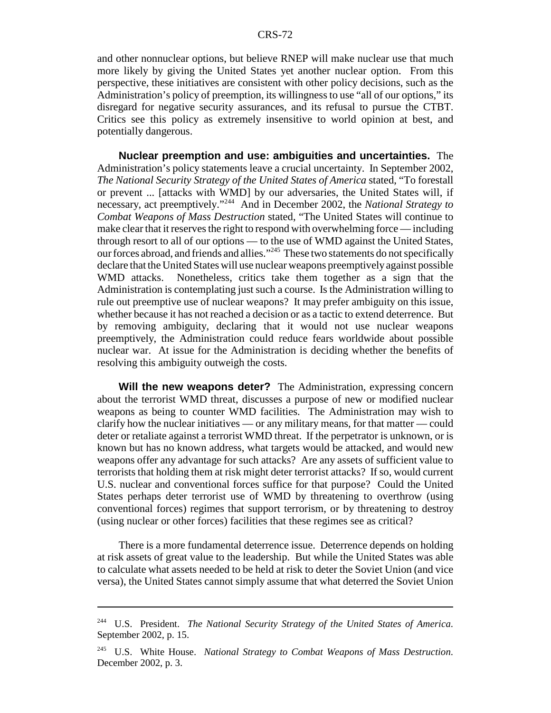and other nonnuclear options, but believe RNEP will make nuclear use that much more likely by giving the United States yet another nuclear option. From this perspective, these initiatives are consistent with other policy decisions, such as the Administration's policy of preemption, its willingness to use "all of our options," its disregard for negative security assurances, and its refusal to pursue the CTBT. Critics see this policy as extremely insensitive to world opinion at best, and potentially dangerous.

**Nuclear preemption and use: ambiguities and uncertainties.** The Administration's policy statements leave a crucial uncertainty. In September 2002, *The National Security Strategy of the United States of America* stated, "To forestall or prevent ... [attacks with WMD] by our adversaries, the United States will, if necessary, act preemptively."244 And in December 2002, the *National Strategy to Combat Weapons of Mass Destruction* stated, "The United States will continue to make clear that it reserves the right to respond with overwhelming force — including through resort to all of our options — to the use of WMD against the United States, our forces abroad, and friends and allies."245 These two statements do not specifically declare that the United States will use nuclear weapons preemptively against possible WMD attacks. Nonetheless, critics take them together as a sign that the Administration is contemplating just such a course. Is the Administration willing to rule out preemptive use of nuclear weapons? It may prefer ambiguity on this issue, whether because it has not reached a decision or as a tactic to extend deterrence. But by removing ambiguity, declaring that it would not use nuclear weapons preemptively, the Administration could reduce fears worldwide about possible nuclear war. At issue for the Administration is deciding whether the benefits of resolving this ambiguity outweigh the costs.

**Will the new weapons deter?** The Administration, expressing concern about the terrorist WMD threat, discusses a purpose of new or modified nuclear weapons as being to counter WMD facilities. The Administration may wish to clarify how the nuclear initiatives — or any military means, for that matter — could deter or retaliate against a terrorist WMD threat. If the perpetrator is unknown, or is known but has no known address, what targets would be attacked, and would new weapons offer any advantage for such attacks? Are any assets of sufficient value to terrorists that holding them at risk might deter terrorist attacks? If so, would current U.S. nuclear and conventional forces suffice for that purpose? Could the United States perhaps deter terrorist use of WMD by threatening to overthrow (using conventional forces) regimes that support terrorism, or by threatening to destroy (using nuclear or other forces) facilities that these regimes see as critical?

There is a more fundamental deterrence issue. Deterrence depends on holding at risk assets of great value to the leadership. But while the United States was able to calculate what assets needed to be held at risk to deter the Soviet Union (and vice versa), the United States cannot simply assume that what deterred the Soviet Union

<sup>244</sup> U.S. President. *The National Security Strategy of the United States of America.* September 2002, p. 15.

<sup>245</sup> U.S. White House. *National Strategy to Combat Weapons of Mass Destruction.* December 2002, p. 3.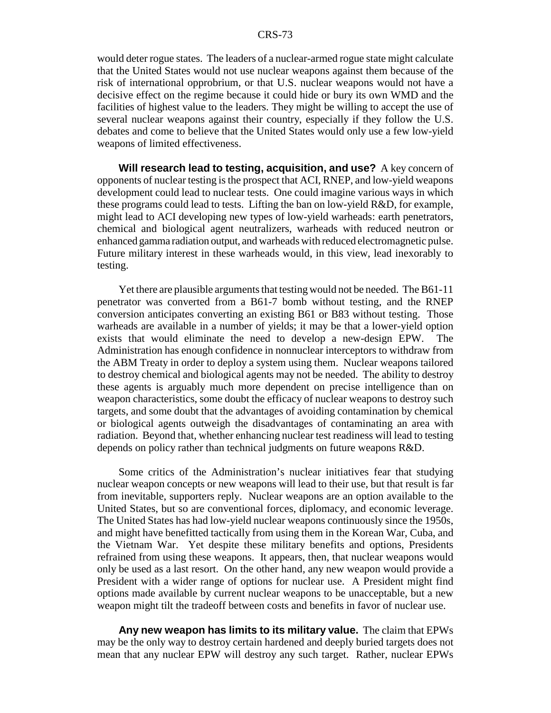would deter rogue states. The leaders of a nuclear-armed rogue state might calculate that the United States would not use nuclear weapons against them because of the risk of international opprobrium, or that U.S. nuclear weapons would not have a decisive effect on the regime because it could hide or bury its own WMD and the facilities of highest value to the leaders. They might be willing to accept the use of several nuclear weapons against their country, especially if they follow the U.S. debates and come to believe that the United States would only use a few low-yield weapons of limited effectiveness.

**Will research lead to testing, acquisition, and use?** A key concern of opponents of nuclear testing is the prospect that ACI, RNEP, and low-yield weapons development could lead to nuclear tests. One could imagine various ways in which these programs could lead to tests. Lifting the ban on low-yield R&D, for example, might lead to ACI developing new types of low-yield warheads: earth penetrators, chemical and biological agent neutralizers, warheads with reduced neutron or enhanced gamma radiation output, and warheads with reduced electromagnetic pulse. Future military interest in these warheads would, in this view, lead inexorably to testing.

Yet there are plausible arguments that testing would not be needed. The B61-11 penetrator was converted from a B61-7 bomb without testing, and the RNEP conversion anticipates converting an existing B61 or B83 without testing. Those warheads are available in a number of yields; it may be that a lower-yield option exists that would eliminate the need to develop a new-design EPW. The Administration has enough confidence in nonnuclear interceptors to withdraw from the ABM Treaty in order to deploy a system using them. Nuclear weapons tailored to destroy chemical and biological agents may not be needed. The ability to destroy these agents is arguably much more dependent on precise intelligence than on weapon characteristics, some doubt the efficacy of nuclear weapons to destroy such targets, and some doubt that the advantages of avoiding contamination by chemical or biological agents outweigh the disadvantages of contaminating an area with radiation. Beyond that, whether enhancing nuclear test readiness will lead to testing depends on policy rather than technical judgments on future weapons R&D.

Some critics of the Administration's nuclear initiatives fear that studying nuclear weapon concepts or new weapons will lead to their use, but that result is far from inevitable, supporters reply. Nuclear weapons are an option available to the United States, but so are conventional forces, diplomacy, and economic leverage. The United States has had low-yield nuclear weapons continuously since the 1950s, and might have benefitted tactically from using them in the Korean War, Cuba, and the Vietnam War. Yet despite these military benefits and options, Presidents refrained from using these weapons. It appears, then, that nuclear weapons would only be used as a last resort. On the other hand, any new weapon would provide a President with a wider range of options for nuclear use. A President might find options made available by current nuclear weapons to be unacceptable, but a new weapon might tilt the tradeoff between costs and benefits in favor of nuclear use.

**Any new weapon has limits to its military value.** The claim that EPWs may be the only way to destroy certain hardened and deeply buried targets does not mean that any nuclear EPW will destroy any such target. Rather, nuclear EPWs